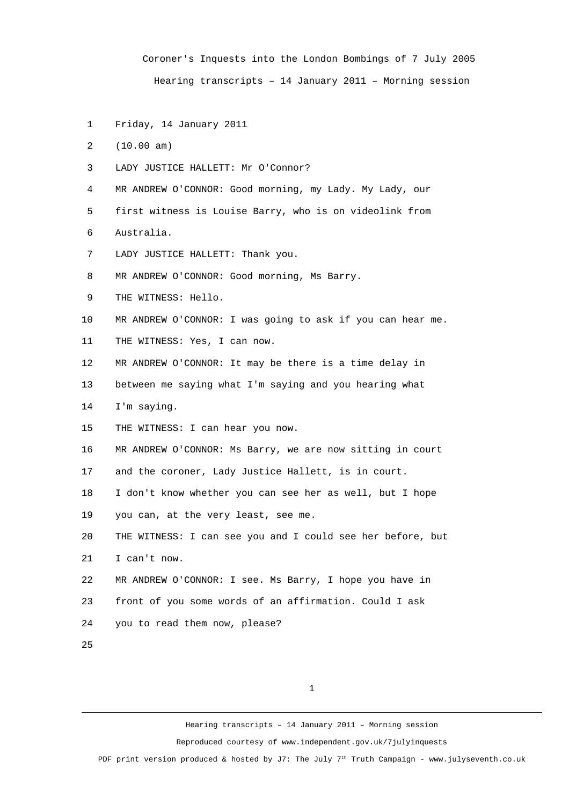Coroner's Inquests into the London Bombings of 7 July 2005 Hearing transcripts – 14 January 2011 – Morning session

- 1 Friday, 14 January 2011
- 2 (10.00 am)
- 3 LADY JUSTICE HALLETT: Mr O'Connor?
- 4 MR ANDREW O'CONNOR: Good morning, my Lady. My Lady, our
- 5 first witness is Louise Barry, who is on videolink from
- 6 Australia.
- 7 LADY JUSTICE HALLETT: Thank you.
- 8 MR ANDREW O'CONNOR: Good morning, Ms Barry.
- 9 THE WITNESS: Hello.
- 10 MR ANDREW O'CONNOR: I was going to ask if you can hear me.
- 11 THE WITNESS: Yes, I can now.
- 12 MR ANDREW O'CONNOR: It may be there is a time delay in
- 13 between me saying what I'm saying and you hearing what
- 14 I'm saying.
- 15 THE WITNESS: I can hear you now.
- 16 MR ANDREW O'CONNOR: Ms Barry, we are now sitting in court
- 17 and the coroner, Lady Justice Hallett, is in court.
- 18 I don't know whether you can see her as well, but I hope
- 19 you can, at the very least, see me.

20 THE WITNESS: I can see you and I could see her before, but 21 I can't now.

- 22 MR ANDREW O'CONNOR: I see. Ms Barry, I hope you have in
- 23 front of you some words of an affirmation. Could I ask
- 24 you to read them now, please?
- 25

1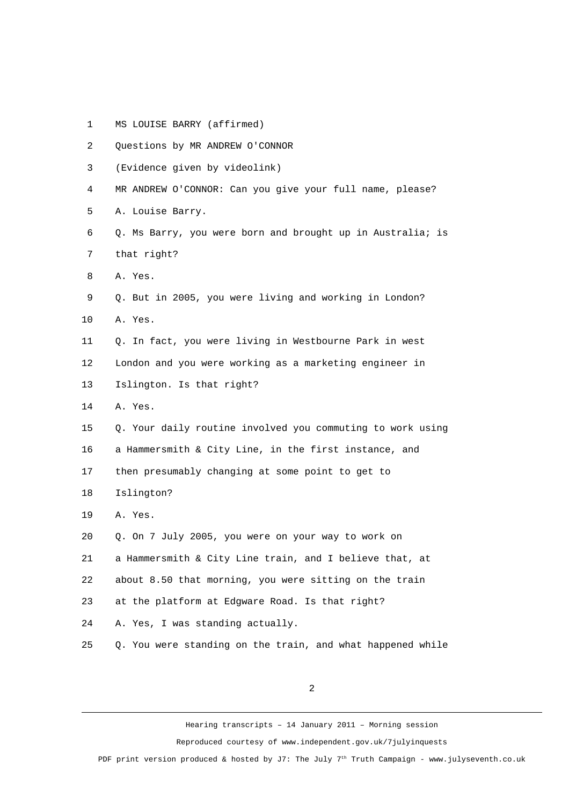1 MS LOUISE BARRY (affirmed)

| $\overline{c}$ | Questions by MR ANDREW O'CONNOR                            |
|----------------|------------------------------------------------------------|
| 3              | (Evidence given by videolink)                              |
| 4              | MR ANDREW O'CONNOR: Can you give your full name, please?   |
| 5              | A. Louise Barry.                                           |
| 6              | Q. Ms Barry, you were born and brought up in Australia; is |
| 7              | that right?                                                |
| 8              | A. Yes.                                                    |
| 9              | Q. But in 2005, you were living and working in London?     |
| 10             | A. Yes.                                                    |
| 11             | Q. In fact, you were living in Westbourne Park in west     |
| 12             | London and you were working as a marketing engineer in     |
| 13             | Islington. Is that right?                                  |
| 14             | A. Yes.                                                    |
| 15             | Q. Your daily routine involved you commuting to work using |
| 16             | a Hammersmith & City Line, in the first instance, and      |
| 17             | then presumably changing at some point to get to           |
| 18             | Islington?                                                 |
| 19             | A. Yes.                                                    |
| 20             | Q. On 7 July 2005, you were on your way to work on         |
| 21             | a Hammersmith & City Line train, and I believe that, at    |
| 22             | about 8.50 that morning, you were sitting on the train     |
| 23             | at the platform at Edgware Road. Is that right?            |
| 24             | A. Yes, I was standing actually.                           |
| 25             | Q. You were standing on the train, and what happened while |
|                |                                                            |

Hearing transcripts – 14 January 2011 – Morning session Reproduced courtesy of www.independent.gov.uk/7julyinquests PDF print version produced & hosted by J7: The July 7<sup>th</sup> Truth Campaign - www.julyseventh.co.uk

2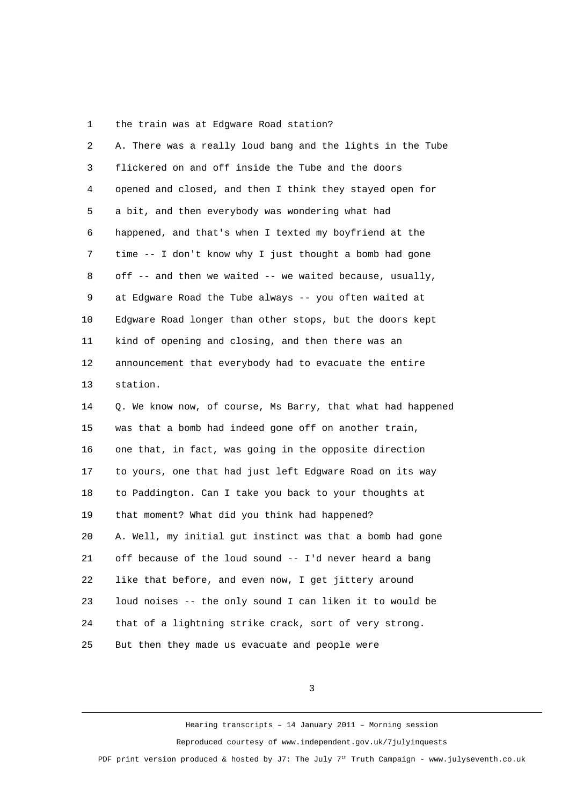1 the train was at Edgware Road station?

| 2  | A. There was a really loud bang and the lights in the Tube  |
|----|-------------------------------------------------------------|
| 3  | flickered on and off inside the Tube and the doors          |
| 4  | opened and closed, and then I think they stayed open for    |
| 5  | a bit, and then everybody was wondering what had            |
| 6  | happened, and that's when I texted my boyfriend at the      |
| 7  | time -- I don't know why I just thought a bomb had gone     |
| 8  | off -- and then we waited -- we waited because, usually,    |
| 9  | at Edgware Road the Tube always -- you often waited at      |
| 10 | Edgware Road longer than other stops, but the doors kept    |
| 11 | kind of opening and closing, and then there was an          |
| 12 | announcement that everybody had to evacuate the entire      |
| 13 | station.                                                    |
| 14 | Q. We know now, of course, Ms Barry, that what had happened |
| 15 | was that a bomb had indeed gone off on another train,       |
| 16 | one that, in fact, was going in the opposite direction      |
| 17 | to yours, one that had just left Edgware Road on its way    |
| 18 | to Paddington. Can I take you back to your thoughts at      |
| 19 | that moment? What did you think had happened?               |
| 20 | A. Well, my initial gut instinct was that a bomb had gone   |
| 21 | off because of the loud sound -- I'd never heard a bang     |
| 22 | like that before, and even now, I get jittery around        |
| 23 | loud noises -- the only sound I can liken it to would be    |
| 24 | that of a lightning strike crack, sort of very strong.      |
| 25 | But then they made us evacuate and people were              |

3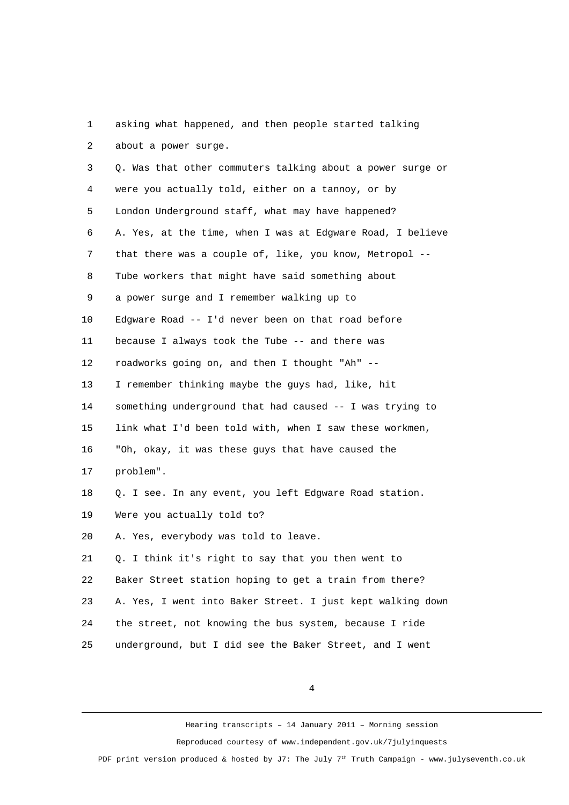1 asking what happened, and then people started talking 2 about a power surge.

 3 Q. Was that other commuters talking about a power surge or 4 were you actually told, either on a tannoy, or by 5 London Underground staff, what may have happened? 6 A. Yes, at the time, when I was at Edgware Road, I believe 7 that there was a couple of, like, you know, Metropol -- 8 Tube workers that might have said something about 9 a power surge and I remember walking up to 10 Edgware Road -- I'd never been on that road before 11 because I always took the Tube -- and there was 12 roadworks going on, and then I thought "Ah" -- 13 I remember thinking maybe the guys had, like, hit 14 something underground that had caused -- I was trying to 15 link what I'd been told with, when I saw these workmen, 16 "Oh, okay, it was these guys that have caused the 17 problem". 18 Q. I see. In any event, you left Edgware Road station. 19 Were you actually told to? 20 A. Yes, everybody was told to leave. 21 Q. I think it's right to say that you then went to 22 Baker Street station hoping to get a train from there? 23 A. Yes, I went into Baker Street. I just kept walking down 24 the street, not knowing the bus system, because I ride 25 underground, but I did see the Baker Street, and I went

4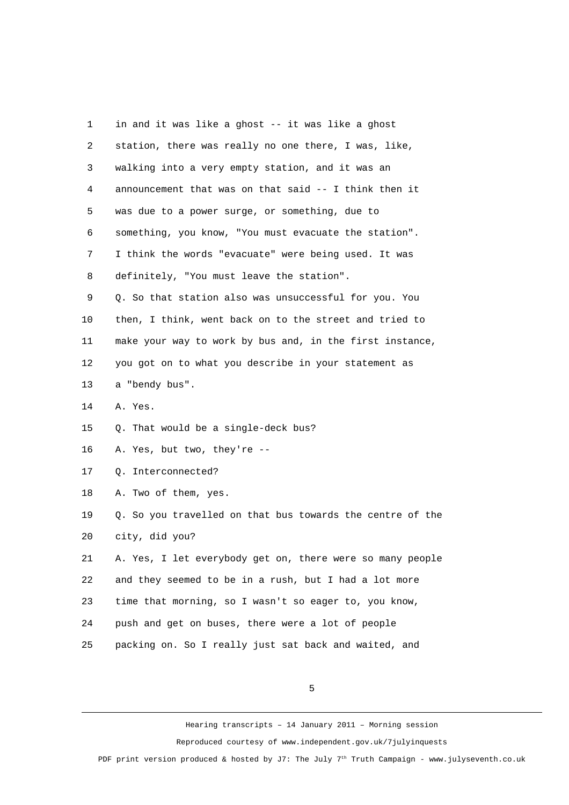| 1              | in and it was like a ghost -- it was like a ghost         |
|----------------|-----------------------------------------------------------|
| $\overline{c}$ | station, there was really no one there, I was, like,      |
| 3              | walking into a very empty station, and it was an          |
| 4              | announcement that was on that said -- I think then it     |
| 5              | was due to a power surge, or something, due to            |
| 6              | something, you know, "You must evacuate the station".     |
| 7              | I think the words "evacuate" were being used. It was      |
| 8              | definitely, "You must leave the station".                 |
| 9              | Q. So that station also was unsuccessful for you. You     |
| 10             | then, I think, went back on to the street and tried to    |
| 11             | make your way to work by bus and, in the first instance,  |
| 12             | you got on to what you describe in your statement as      |
| 13             | a "bendy bus".                                            |
| 14             | A. Yes.                                                   |
| 15             | Q. That would be a single-deck bus?                       |
| 16             | A. Yes, but two, they're --                               |
| 17             | Q. Interconnected?                                        |
| 18             | A. Two of them, yes.                                      |
| 19             | Q. So you travelled on that bus towards the centre of the |
| 20             | city, did you?                                            |
| 21             | A. Yes, I let everybody get on, there were so many people |
| 22             | and they seemed to be in a rush, but I had a lot more     |
| 23             | time that morning, so I wasn't so eager to, you know,     |
| 24             | push and get on buses, there were a lot of people         |
| 25             | packing on. So I really just sat back and waited, and     |
|                |                                                           |

5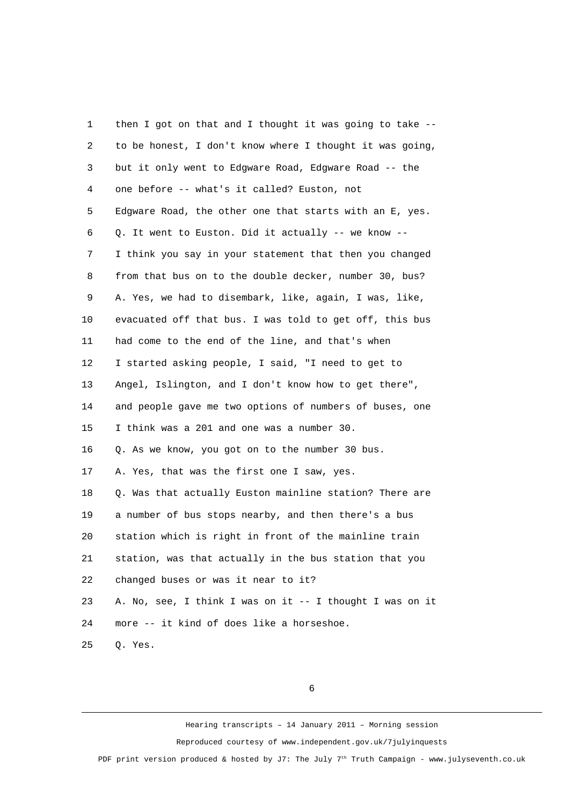1 then I got on that and I thought it was going to take -- 2 to be honest, I don't know where I thought it was going, 3 but it only went to Edgware Road, Edgware Road -- the 4 one before -- what's it called? Euston, not 5 Edgware Road, the other one that starts with an E, yes. 6 Q. It went to Euston. Did it actually -- we know -- 7 I think you say in your statement that then you changed 8 from that bus on to the double decker, number 30, bus? 9 A. Yes, we had to disembark, like, again, I was, like, 10 evacuated off that bus. I was told to get off, this bus 11 had come to the end of the line, and that's when 12 I started asking people, I said, "I need to get to 13 Angel, Islington, and I don't know how to get there", 14 and people gave me two options of numbers of buses, one 15 I think was a 201 and one was a number 30. 16 Q. As we know, you got on to the number 30 bus. 17 A. Yes, that was the first one I saw, yes. 18 Q. Was that actually Euston mainline station? There are 19 a number of bus stops nearby, and then there's a bus 20 station which is right in front of the mainline train 21 station, was that actually in the bus station that you 22 changed buses or was it near to it? 23 A. No, see, I think I was on it -- I thought I was on it 24 more -- it kind of does like a horseshoe. 25 Q. Yes.

6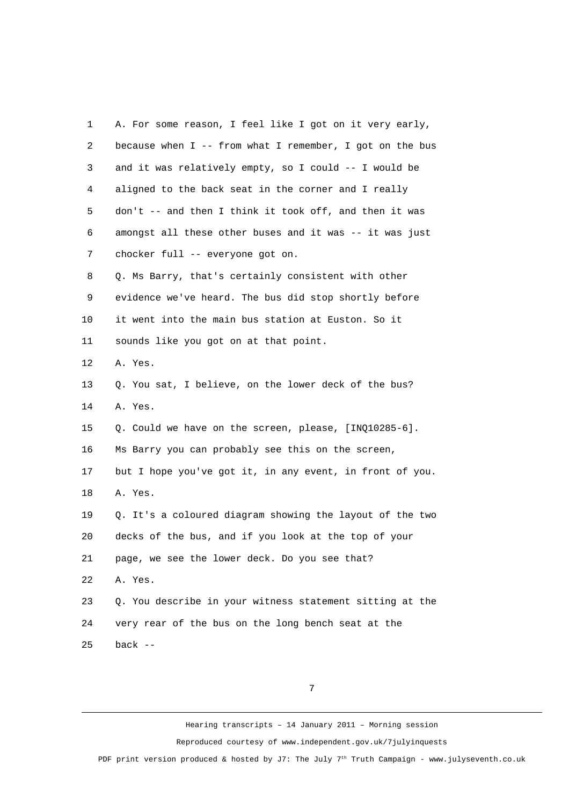| 1              | A. For some reason, I feel like I got on it very early,  |
|----------------|----------------------------------------------------------|
| $\overline{2}$ | because when I -- from what I remember, I got on the bus |
| 3              | and it was relatively empty, so I could -- I would be    |
| 4              | aligned to the back seat in the corner and I really      |
| 5              | don't -- and then I think it took off, and then it was   |
| 6              | amongst all these other buses and it was -- it was just  |
| 7              | chocker full -- everyone got on.                         |
| 8              | Q. Ms Barry, that's certainly consistent with other      |
| 9              | evidence we've heard. The bus did stop shortly before    |
| 10             | it went into the main bus station at Euston. So it       |
| 11             | sounds like you got on at that point.                    |
| 12             | A. Yes.                                                  |
| 13             | Q. You sat, I believe, on the lower deck of the bus?     |
| 14             | A. Yes.                                                  |
| 15             | Q. Could we have on the screen, please, [INQ10285-6].    |
| 16             | Ms Barry you can probably see this on the screen,        |
| 17             | but I hope you've got it, in any event, in front of you. |
| 18             | A. Yes.                                                  |
| 19             | Q. It's a coloured diagram showing the layout of the two |
| 20             | decks of the bus, and if you look at the top of your     |
| 21             | page, we see the lower deck. Do you see that?            |
| 22             | A. Yes.                                                  |
| 23             | Q. You describe in your witness statement sitting at the |
| 24             | very rear of the bus on the long bench seat at the       |
| 25             | back $-$                                                 |

7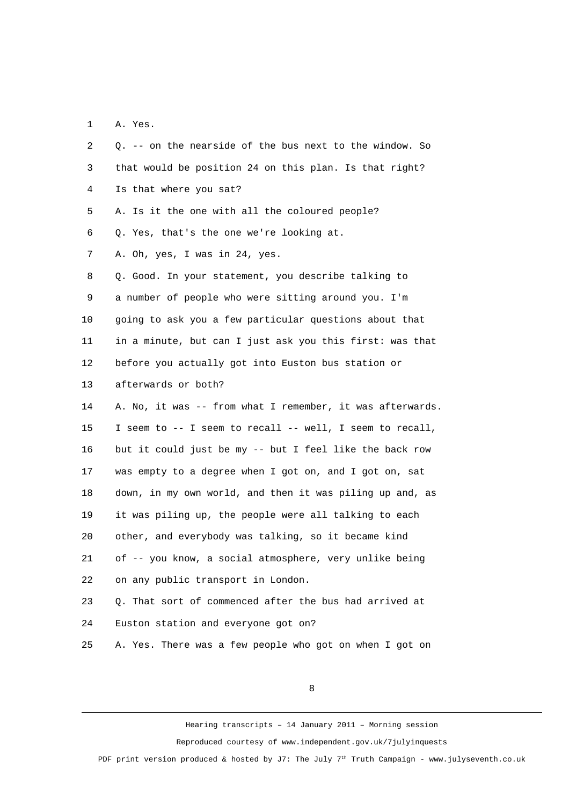1 A. Yes.

| 2              | Q. -- on the nearside of the bus next to the window. So   |
|----------------|-----------------------------------------------------------|
| 3              | that would be position 24 on this plan. Is that right?    |
| 4              | Is that where you sat?                                    |
| 5              | A. Is it the one with all the coloured people?            |
| 6              | Q. Yes, that's the one we're looking at.                  |
| $\overline{7}$ | A. Oh, yes, I was in 24, yes.                             |
| 8              | Q. Good. In your statement, you describe talking to       |
| 9              | a number of people who were sitting around you. I'm       |
| 10             | going to ask you a few particular questions about that    |
| 11             | in a minute, but can I just ask you this first: was that  |
| 12             | before you actually got into Euston bus station or        |
| 13             | afterwards or both?                                       |
| 14             | A. No, it was -- from what I remember, it was afterwards. |
| 15             | I seem to -- I seem to recall -- well, I seem to recall,  |
| 16             | but it could just be my -- but I feel like the back row   |
| 17             | was empty to a degree when I got on, and I got on, sat    |
| 18             | down, in my own world, and then it was piling up and, as  |
| 19             | it was piling up, the people were all talking to each     |
| 20             | other, and everybody was talking, so it became kind       |
| 21             | of -- you know, a social atmosphere, very unlike being    |
| 22             | on any public transport in London.                        |
| 23             | Q. That sort of commenced after the bus had arrived at    |
| 24             | Euston station and everyone got on?                       |
| 25             | A. Yes. There was a few people who got on when I got on   |
|                |                                                           |

8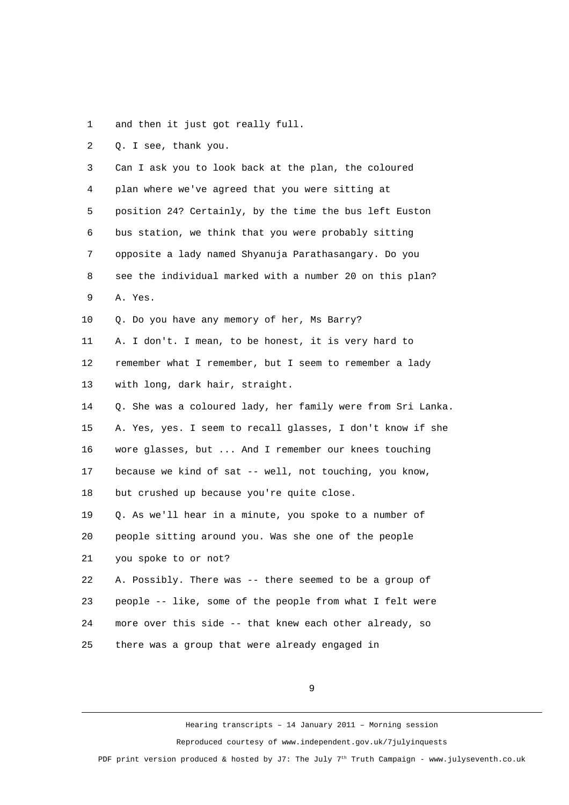1 and then it just got really full.

2 Q. I see, thank you.

 3 Can I ask you to look back at the plan, the coloured 4 plan where we've agreed that you were sitting at 5 position 24? Certainly, by the time the bus left Euston 6 bus station, we think that you were probably sitting 7 opposite a lady named Shyanuja Parathasangary. Do you 8 see the individual marked with a number 20 on this plan? 9 A. Yes. 10 Q. Do you have any memory of her, Ms Barry? 11 A. I don't. I mean, to be honest, it is very hard to 12 remember what I remember, but I seem to remember a lady 13 with long, dark hair, straight. 14 Q. She was a coloured lady, her family were from Sri Lanka. 15 A. Yes, yes. I seem to recall glasses, I don't know if she 16 wore glasses, but ... And I remember our knees touching 17 because we kind of sat -- well, not touching, you know, 18 but crushed up because you're quite close. 19 Q. As we'll hear in a minute, you spoke to a number of 20 people sitting around you. Was she one of the people 21 you spoke to or not? 22 A. Possibly. There was -- there seemed to be a group of 23 people -- like, some of the people from what I felt were 24 more over this side -- that knew each other already, so 25 there was a group that were already engaged in

9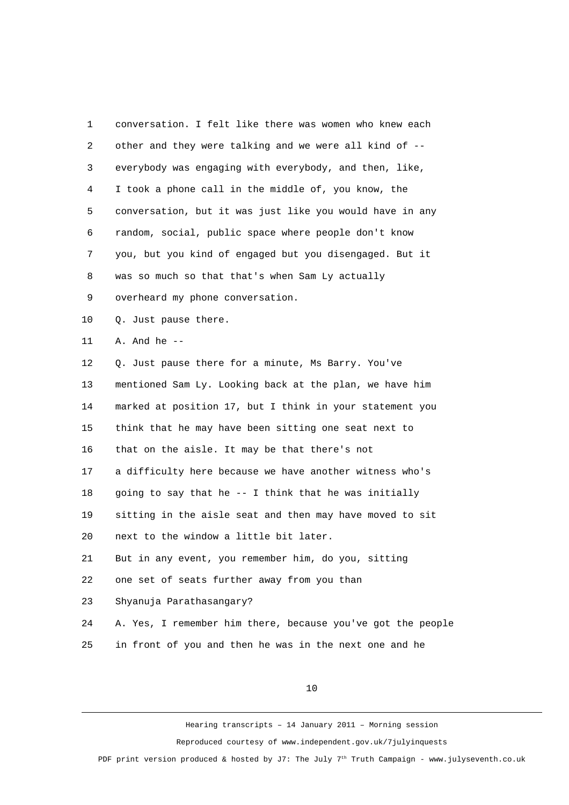1 conversation. I felt like there was women who knew each 2 other and they were talking and we were all kind of -- 3 everybody was engaging with everybody, and then, like, 4 I took a phone call in the middle of, you know, the 5 conversation, but it was just like you would have in any 6 random, social, public space where people don't know 7 you, but you kind of engaged but you disengaged. But it 8 was so much so that that's when Sam Ly actually 9 overheard my phone conversation. 10 Q. Just pause there. 11 A. And he -- 12 Q. Just pause there for a minute, Ms Barry. You've 13 mentioned Sam Ly. Looking back at the plan, we have him 14 marked at position 17, but I think in your statement you 15 think that he may have been sitting one seat next to 16 that on the aisle. It may be that there's not 17 a difficulty here because we have another witness who's 18 going to say that he -- I think that he was initially 19 sitting in the aisle seat and then may have moved to sit 20 next to the window a little bit later. 21 But in any event, you remember him, do you, sitting 22 one set of seats further away from you than 23 Shyanuja Parathasangary? 24 A. Yes, I remember him there, because you've got the people 25 in front of you and then he was in the next one and he

10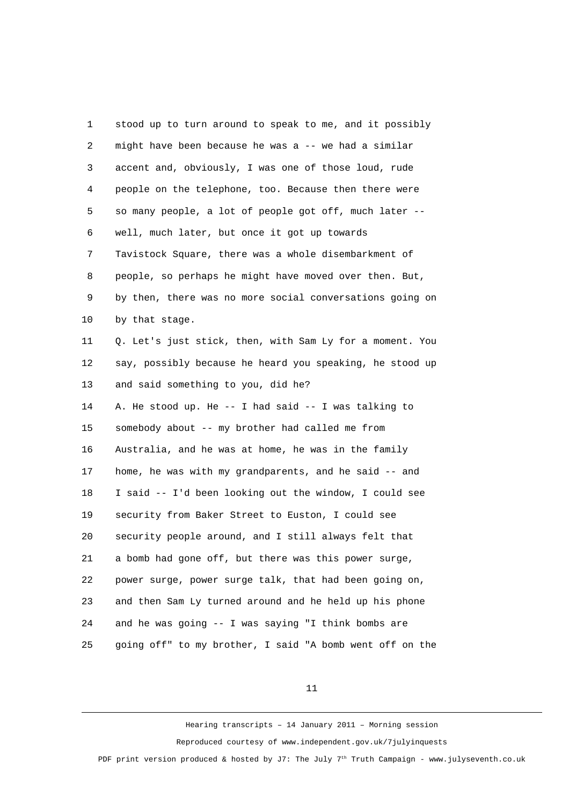1 stood up to turn around to speak to me, and it possibly 2 might have been because he was a -- we had a similar 3 accent and, obviously, I was one of those loud, rude 4 people on the telephone, too. Because then there were 5 so many people, a lot of people got off, much later -- 6 well, much later, but once it got up towards 7 Tavistock Square, there was a whole disembarkment of 8 people, so perhaps he might have moved over then. But, 9 by then, there was no more social conversations going on 10 by that stage. 11 0. Let's just stick, then, with Sam Ly for a moment. You 12 say, possibly because he heard you speaking, he stood up 13 and said something to you, did he? 14 A. He stood up. He -- I had said -- I was talking to 15 somebody about -- my brother had called me from 16 Australia, and he was at home, he was in the family 17 home, he was with my grandparents, and he said -- and 18 I said -- I'd been looking out the window, I could see 19 security from Baker Street to Euston, I could see 20 security people around, and I still always felt that 21 a bomb had gone off, but there was this power surge, 22 power surge, power surge talk, that had been going on, 23 and then Sam Ly turned around and he held up his phone 24 and he was going -- I was saying "I think bombs are 25 going off" to my brother, I said "A bomb went off on the

11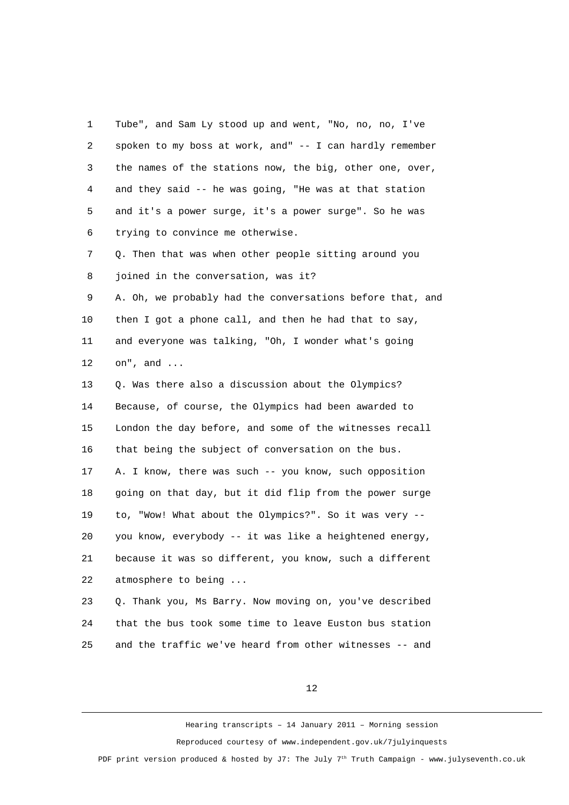1 Tube", and Sam Ly stood up and went, "No, no, no, I've 2 spoken to my boss at work, and" -- I can hardly remember 3 the names of the stations now, the big, other one, over, 4 and they said -- he was going, "He was at that station 5 and it's a power surge, it's a power surge". So he was 6 trying to convince me otherwise. 7 Q. Then that was when other people sitting around you 8 joined in the conversation, was it? 9 A. Oh, we probably had the conversations before that, and 10 then I got a phone call, and then he had that to say, 11 and everyone was talking, "Oh, I wonder what's going 12 on", and ... 13 0. Was there also a discussion about the Olympics? 14 Because, of course, the Olympics had been awarded to 15 London the day before, and some of the witnesses recall 16 that being the subject of conversation on the bus. 17 A. I know, there was such -- you know, such opposition 18 going on that day, but it did flip from the power surge 19 to, "Wow! What about the Olympics?". So it was very -- 20 you know, everybody -- it was like a heightened energy, 21 because it was so different, you know, such a different 22 atmosphere to being ... 23 Q. Thank you, Ms Barry. Now moving on, you've described

24 that the bus took some time to leave Euston bus station 25 and the traffic we've heard from other witnesses -- and

12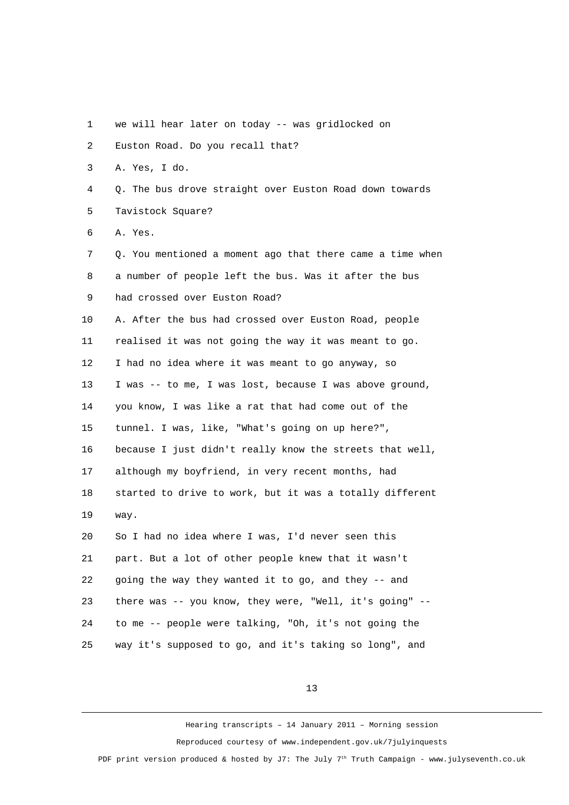- 1 we will hear later on today -- was gridlocked on
- 2 Euston Road. Do you recall that?
- 3 A. Yes, I do.
- 4 Q. The bus drove straight over Euston Road down towards 5 Tavistock Square?
- 6 A. Yes.

 7 Q. You mentioned a moment ago that there came a time when 8 a number of people left the bus. Was it after the bus 9 had crossed over Euston Road? 10 A. After the bus had crossed over Euston Road, people 11 realised it was not going the way it was meant to go. 12 I had no idea where it was meant to go anyway, so 13 I was -- to me, I was lost, because I was above ground, 14 you know, I was like a rat that had come out of the 15 tunnel. I was, like, "What's going on up here?", 16 because I just didn't really know the streets that well, 17 although my boyfriend, in very recent months, had 18 started to drive to work, but it was a totally different 19 way. 20 So I had no idea where I was, I'd never seen this 21 part. But a lot of other people knew that it wasn't 22 going the way they wanted it to go, and they -- and 23 there was -- you know, they were, "Well, it's going" -- 24 to me -- people were talking, "Oh, it's not going the 25 way it's supposed to go, and it's taking so long", and

13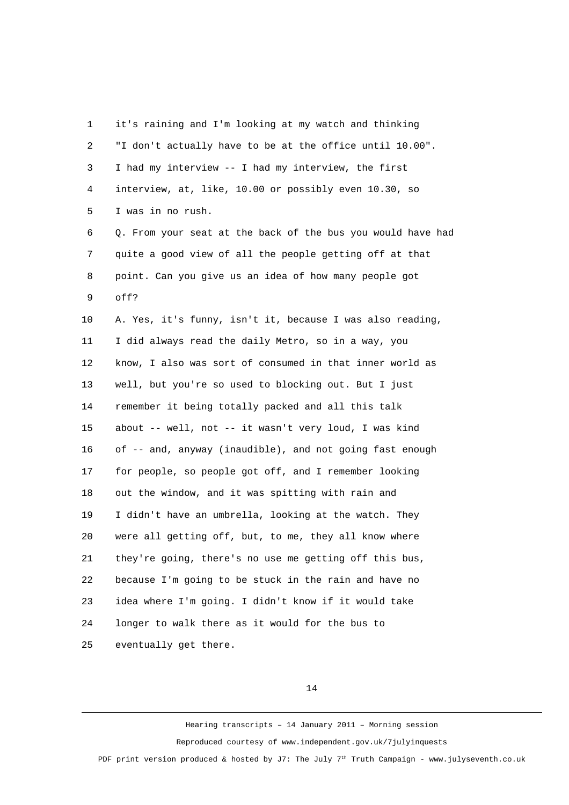1 it's raining and I'm looking at my watch and thinking 2 "I don't actually have to be at the office until 10.00". 3 I had my interview -- I had my interview, the first 4 interview, at, like, 10.00 or possibly even 10.30, so 5 I was in no rush. 6 Q. From your seat at the back of the bus you would have had 7 quite a good view of all the people getting off at that 8 point. Can you give us an idea of how many people got 9 off? 10 A. Yes, it's funny, isn't it, because I was also reading, 11 I did always read the daily Metro, so in a way, you 12 know, I also was sort of consumed in that inner world as 13 well, but you're so used to blocking out. But I just 14 remember it being totally packed and all this talk 15 about -- well, not -- it wasn't very loud, I was kind 16 of -- and, anyway (inaudible), and not going fast enough 17 for people, so people got off, and I remember looking 18 out the window, and it was spitting with rain and 19 I didn't have an umbrella, looking at the watch. They 20 were all getting off, but, to me, they all know where 21 they're going, there's no use me getting off this bus, 22 because I'm going to be stuck in the rain and have no 23 idea where I'm going. I didn't know if it would take 24 longer to walk there as it would for the bus to 25 eventually get there.

14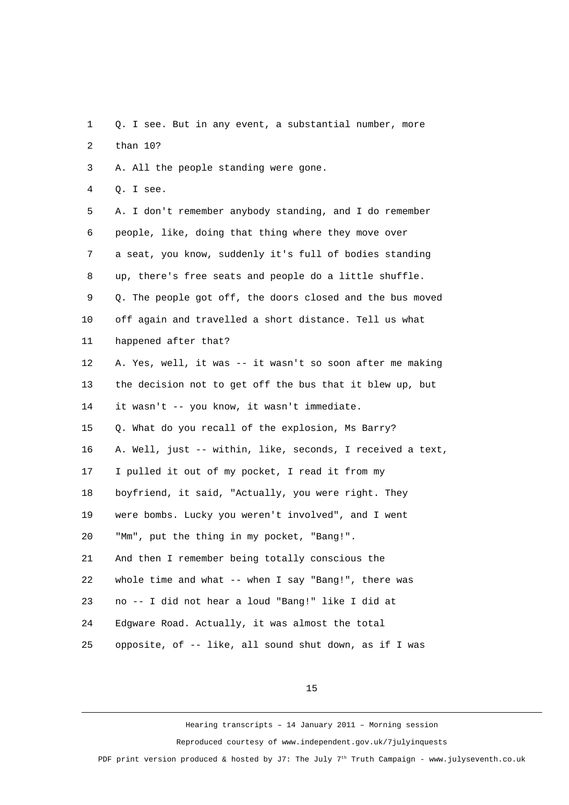1 Q. I see. But in any event, a substantial number, more 2 than 10?

3 A. All the people standing were gone.

4 Q. I see.

 5 A. I don't remember anybody standing, and I do remember 6 people, like, doing that thing where they move over 7 a seat, you know, suddenly it's full of bodies standing 8 up, there's free seats and people do a little shuffle. 9 Q. The people got off, the doors closed and the bus moved 10 off again and travelled a short distance. Tell us what 11 happened after that? 12 A. Yes, well, it was -- it wasn't so soon after me making 13 the decision not to get off the bus that it blew up, but 14 it wasn't -- you know, it wasn't immediate. 15 Q. What do you recall of the explosion, Ms Barry? 16 A. Well, just -- within, like, seconds, I received a text, 17 I pulled it out of my pocket, I read it from my 18 boyfriend, it said, "Actually, you were right. They 19 were bombs. Lucky you weren't involved", and I went 20 "Mm", put the thing in my pocket, "Bang!". 21 And then I remember being totally conscious the 22 whole time and what -- when I say "Bang!", there was 23 no -- I did not hear a loud "Bang!" like I did at 24 Edgware Road. Actually, it was almost the total 25 opposite, of -- like, all sound shut down, as if I was

15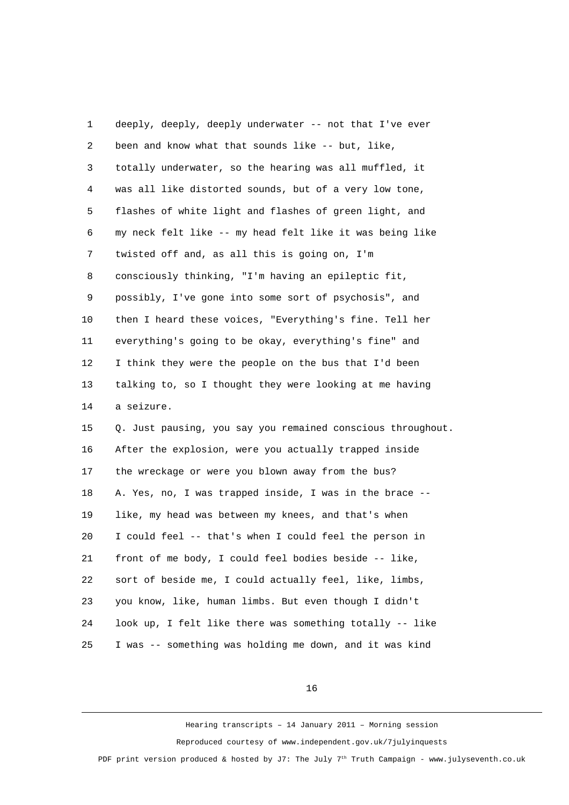1 deeply, deeply, deeply underwater -- not that I've ever 2 been and know what that sounds like -- but, like, 3 totally underwater, so the hearing was all muffled, it 4 was all like distorted sounds, but of a very low tone, 5 flashes of white light and flashes of green light, and 6 my neck felt like -- my head felt like it was being like 7 twisted off and, as all this is going on, I'm 8 consciously thinking, "I'm having an epileptic fit, 9 possibly, I've gone into some sort of psychosis", and 10 then I heard these voices, "Everything's fine. Tell her 11 everything's going to be okay, everything's fine" and 12 I think they were the people on the bus that I'd been 13 talking to, so I thought they were looking at me having 14 a seizure. 15 Q. Just pausing, you say you remained conscious throughout. 16 After the explosion, were you actually trapped inside 17 the wreckage or were you blown away from the bus? 18 A. Yes, no, I was trapped inside, I was in the brace -- 19 like, my head was between my knees, and that's when 20 I could feel -- that's when I could feel the person in 21 front of me body, I could feel bodies beside -- like, 22 sort of beside me, I could actually feel, like, limbs, 23 you know, like, human limbs. But even though I didn't 24 look up, I felt like there was something totally -- like 25 I was -- something was holding me down, and it was kind

16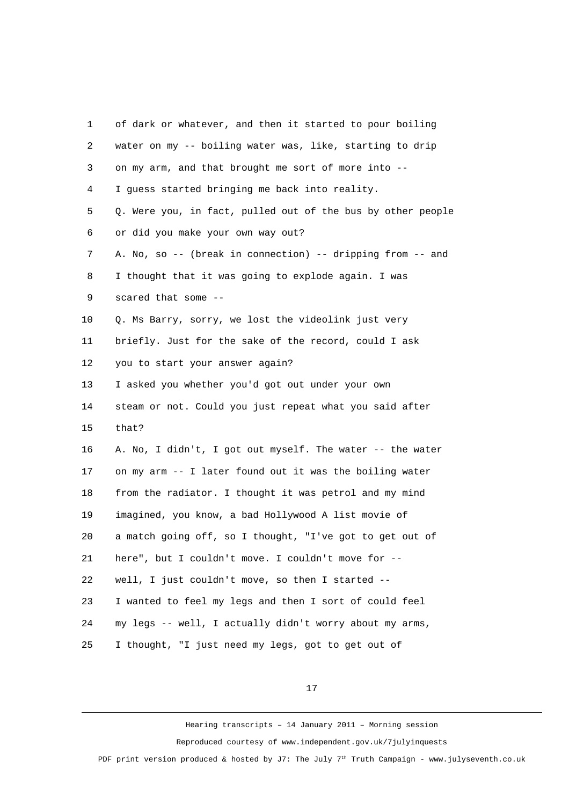| 1              | of dark or whatever, and then it started to pour boiling    |
|----------------|-------------------------------------------------------------|
| $\overline{c}$ | water on my -- boiling water was, like, starting to drip    |
| 3              | on my arm, and that brought me sort of more into --         |
| 4              | I guess started bringing me back into reality.              |
| 5              | Q. Were you, in fact, pulled out of the bus by other people |
| 6              | or did you make your own way out?                           |
| 7              | A. No, so -- (break in connection) -- dripping from -- and  |
| 8              | I thought that it was going to explode again. I was         |
| 9              | scared that some --                                         |
| 10             | Q. Ms Barry, sorry, we lost the videolink just very         |
| 11             | briefly. Just for the sake of the record, could I ask       |
| 12             | you to start your answer again?                             |
| 13             | I asked you whether you'd got out under your own            |
| 14             | steam or not. Could you just repeat what you said after     |
| 15             | that?                                                       |
| 16             | A. No, I didn't, I got out myself. The water -- the water   |
| 17             | on my arm -- I later found out it was the boiling water     |
| 18             | from the radiator. I thought it was petrol and my mind      |
| 19             | imagined, you know, a bad Hollywood A list movie of         |
| 20             | a match going off, so I thought, "I've got to get out of    |
| 21             | here", but I couldn't move. I couldn't move for --          |
| 22             | well, I just couldn't move, so then I started --            |
| 23             | I wanted to feel my legs and then I sort of could feel      |
| 24             | my legs -- well, I actually didn't worry about my arms,     |
| 25             | I thought, "I just need my legs, got to get out of          |

17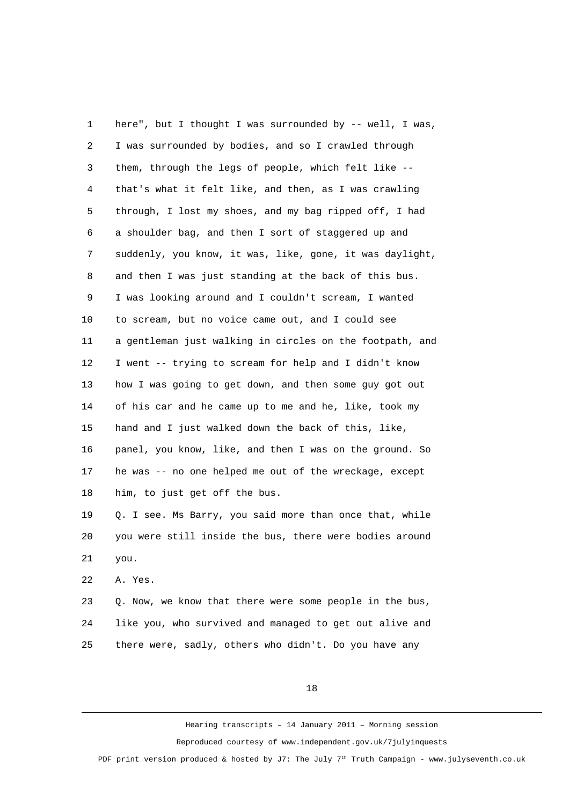1 here", but I thought I was surrounded by -- well, I was, 2 I was surrounded by bodies, and so I crawled through 3 them, through the legs of people, which felt like -- 4 that's what it felt like, and then, as I was crawling 5 through, I lost my shoes, and my bag ripped off, I had 6 a shoulder bag, and then I sort of staggered up and 7 suddenly, you know, it was, like, gone, it was daylight, 8 and then I was just standing at the back of this bus. 9 I was looking around and I couldn't scream, I wanted 10 to scream, but no voice came out, and I could see 11 a gentleman just walking in circles on the footpath, and 12 I went -- trying to scream for help and I didn't know 13 how I was going to get down, and then some guy got out 14 of his car and he came up to me and he, like, took my 15 hand and I just walked down the back of this, like, 16 panel, you know, like, and then I was on the ground. So 17 he was -- no one helped me out of the wreckage, except 18 him, to just get off the bus. 19 Q. I see. Ms Barry, you said more than once that, while 20 you were still inside the bus, there were bodies around 21 you.

22 A. Yes.

23 Q. Now, we know that there were some people in the bus, 24 like you, who survived and managed to get out alive and 25 there were, sadly, others who didn't. Do you have any

18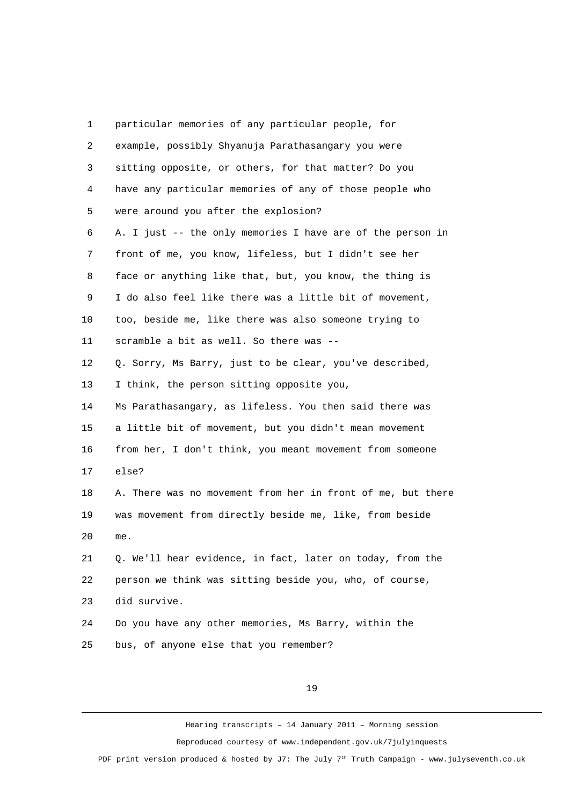1 particular memories of any particular people, for 2 example, possibly Shyanuja Parathasangary you were 3 sitting opposite, or others, for that matter? Do you 4 have any particular memories of any of those people who 5 were around you after the explosion? 6 A. I just -- the only memories I have are of the person in 7 front of me, you know, lifeless, but I didn't see her 8 face or anything like that, but, you know, the thing is 9 I do also feel like there was a little bit of movement, 10 too, beside me, like there was also someone trying to 11 scramble a bit as well. So there was -- 12 Q. Sorry, Ms Barry, just to be clear, you've described, 13 I think, the person sitting opposite you, 14 Ms Parathasangary, as lifeless. You then said there was 15 a little bit of movement, but you didn't mean movement 16 from her, I don't think, you meant movement from someone 17 else? 18 A. There was no movement from her in front of me, but there 19 was movement from directly beside me, like, from beside 20 me. 21 Q. We'll hear evidence, in fact, later on today, from the 22 person we think was sitting beside you, who, of course, 23 did survive. 24 Do you have any other memories, Ms Barry, within the 25 bus, of anyone else that you remember?

19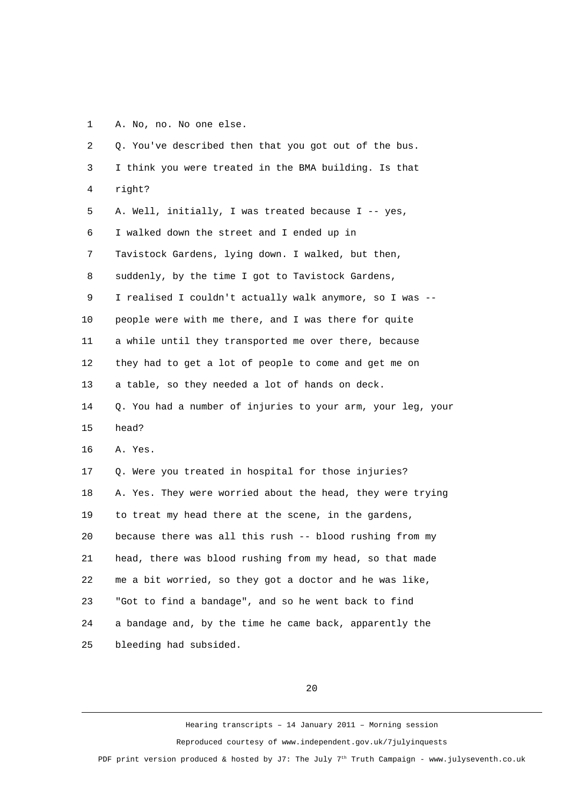1 A. No, no. No one else.

 2 Q. You've described then that you got out of the bus. 3 I think you were treated in the BMA building. Is that 4 right? 5 A. Well, initially, I was treated because I -- yes, 6 I walked down the street and I ended up in 7 Tavistock Gardens, lying down. I walked, but then, 8 suddenly, by the time I got to Tavistock Gardens, 9 I realised I couldn't actually walk anymore, so I was -- 10 people were with me there, and I was there for quite 11 a while until they transported me over there, because 12 they had to get a lot of people to come and get me on 13 a table, so they needed a lot of hands on deck. 14 Q. You had a number of injuries to your arm, your leg, your 15 head? 16 A. Yes. 17 Q. Were you treated in hospital for those injuries? 18 A. Yes. They were worried about the head, they were trying 19 to treat my head there at the scene, in the gardens, 20 because there was all this rush -- blood rushing from my 21 head, there was blood rushing from my head, so that made 22 me a bit worried, so they got a doctor and he was like, 23 "Got to find a bandage", and so he went back to find 24 a bandage and, by the time he came back, apparently the 25 bleeding had subsided.

20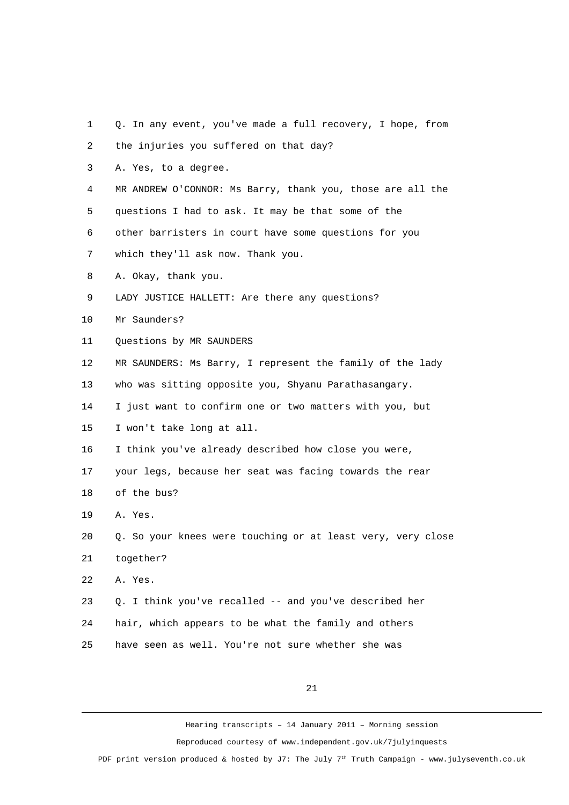1 Q. In any event, you've made a full recovery, I hope, from

 2 the injuries you suffered on that day? 3 A. Yes, to a degree. 4 MR ANDREW O'CONNOR: Ms Barry, thank you, those are all the 5 questions I had to ask. It may be that some of the 6 other barristers in court have some questions for you 7 which they'll ask now. Thank you. 8 A. Okay, thank you. 9 LADY JUSTICE HALLETT: Are there any questions? 10 Mr Saunders? 11 Ouestions by MR SAUNDERS 12 MR SAUNDERS: Ms Barry, I represent the family of the lady 13 who was sitting opposite you, Shyanu Parathasangary. 14 I just want to confirm one or two matters with you, but 15 I won't take long at all. 16 I think you've already described how close you were, 17 your legs, because her seat was facing towards the rear 18 of the bus? 19 A. Yes. 20 Q. So your knees were touching or at least very, very close 21 together? 22 A. Yes. 23 Q. I think you've recalled -- and you've described her 24 hair, which appears to be what the family and others 25 have seen as well. You're not sure whether she was

21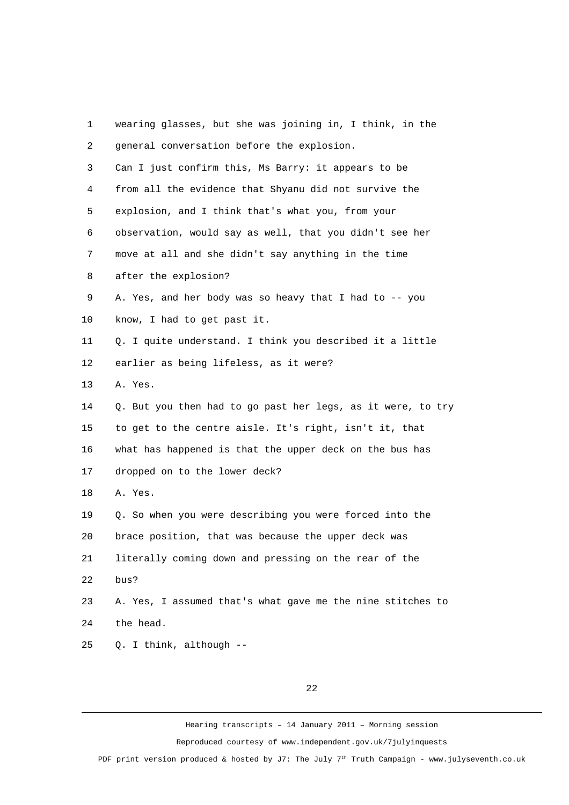| 1              | wearing glasses, but she was joining in, I think, in the    |
|----------------|-------------------------------------------------------------|
| $\overline{2}$ | general conversation before the explosion.                  |
| 3              | Can I just confirm this, Ms Barry: it appears to be         |
| 4              | from all the evidence that Shyanu did not survive the       |
| 5              | explosion, and I think that's what you, from your           |
| 6              | observation, would say as well, that you didn't see her     |
| $\overline{7}$ | move at all and she didn't say anything in the time         |
| 8              | after the explosion?                                        |
| 9              | A. Yes, and her body was so heavy that I had to -- you      |
| 10             | know, I had to get past it.                                 |
| 11             | Q. I quite understand. I think you described it a little    |
| 12             | earlier as being lifeless, as it were?                      |
| 13             | A. Yes.                                                     |
| 14             | Q. But you then had to go past her legs, as it were, to try |
| 15             | to get to the centre aisle. It's right, isn't it, that      |
| 16             | what has happened is that the upper deck on the bus has     |
| 17             | dropped on to the lower deck?                               |
| 18             | A. Yes.                                                     |
| 19             | Q. So when you were describing you were forced into the     |
| 20             | brace position, that was because the upper deck was         |
| 21             | literally coming down and pressing on the rear of the       |
| 22             | bus?                                                        |
| 23             | A. Yes, I assumed that's what gave me the nine stitches to  |
| 24             | the head.                                                   |
| 25             | Q. I think, although --                                     |

## 22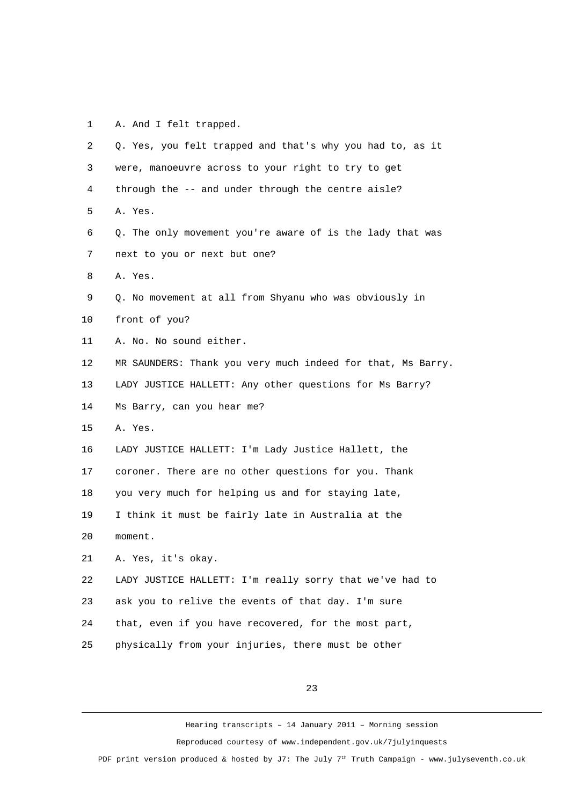1 A. And I felt trapped.

| 2  | Q. Yes, you felt trapped and that's why you had to, as it   |
|----|-------------------------------------------------------------|
| 3  | were, manoeuvre across to your right to try to get          |
| 4  | through the -- and under through the centre aisle?          |
| 5  | A. Yes.                                                     |
| 6  | Q. The only movement you're aware of is the lady that was   |
| 7  | next to you or next but one?                                |
| 8  | A. Yes.                                                     |
| 9  | Q. No movement at all from Shyanu who was obviously in      |
| 10 | front of you?                                               |
| 11 | A. No. No sound either.                                     |
| 12 | MR SAUNDERS: Thank you very much indeed for that, Ms Barry. |
| 13 | LADY JUSTICE HALLETT: Any other questions for Ms Barry?     |
| 14 | Ms Barry, can you hear me?                                  |
| 15 | A. Yes.                                                     |
| 16 | LADY JUSTICE HALLETT: I'm Lady Justice Hallett, the         |
| 17 | coroner. There are no other questions for you. Thank        |
| 18 | you very much for helping us and for staying late,          |
| 19 | I think it must be fairly late in Australia at the          |
| 20 | moment.                                                     |
| 21 | A. Yes, it's okay.                                          |
| 22 | LADY JUSTICE HALLETT: I'm really sorry that we've had to    |
| 23 | ask you to relive the events of that day. I'm sure          |
| 24 | that, even if you have recovered, for the most part,        |
| 25 | physically from your injuries, there must be other          |

23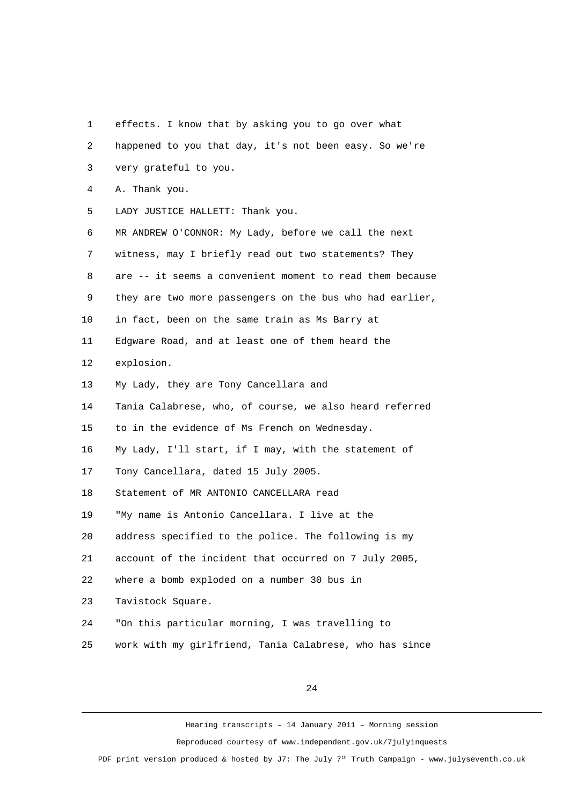1 effects. I know that by asking you to go over what 2 happened to you that day, it's not been easy. So we're 3 very grateful to you. 4 A. Thank you. 5 LADY JUSTICE HALLETT: Thank you. 6 MR ANDREW O'CONNOR: My Lady, before we call the next 7 witness, may I briefly read out two statements? They 8 are -- it seems a convenient moment to read them because 9 they are two more passengers on the bus who had earlier, 10 in fact, been on the same train as Ms Barry at 11 Edgware Road, and at least one of them heard the 12 explosion. 13 My Lady, they are Tony Cancellara and 14 Tania Calabrese, who, of course, we also heard referred 15 to in the evidence of Ms French on Wednesday. 16 My Lady, I'll start, if I may, with the statement of 17 Tony Cancellara, dated 15 July 2005. 18 Statement of MR ANTONIO CANCELLARA read 19 "My name is Antonio Cancellara. I live at the 20 address specified to the police. The following is my 21 account of the incident that occurred on 7 July 2005, 22 where a bomb exploded on a number 30 bus in 23 Tavistock Square. 24 "On this particular morning, I was travelling to 25 work with my girlfriend, Tania Calabrese, who has since

24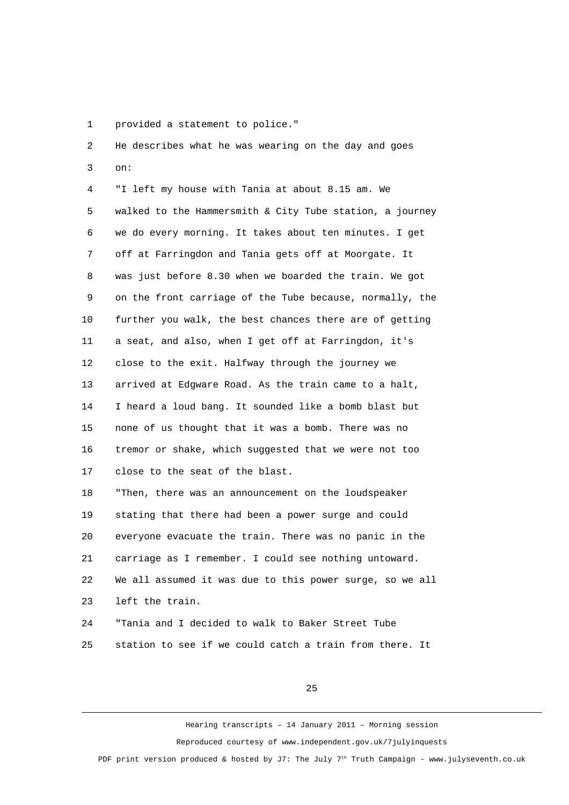1 provided a statement to police."

 2 He describes what he was wearing on the day and goes 3 on: 4 "I left my house with Tania at about 8.15 am. We 5 walked to the Hammersmith & City Tube station, a journey 6 we do every morning. It takes about ten minutes. I get 7 off at Farringdon and Tania gets off at Moorgate. It 8 was just before 8.30 when we boarded the train. We got 9 on the front carriage of the Tube because, normally, the 10 further you walk, the best chances there are of getting 11 a seat, and also, when I get off at Farringdon, it's 12 close to the exit. Halfway through the journey we 13 arrived at Edgware Road. As the train came to a halt, 14 I heard a loud bang. It sounded like a bomb blast but 15 none of us thought that it was a bomb. There was no 16 tremor or shake, which suggested that we were not too 17 close to the seat of the blast. 18 "Then, there was an announcement on the loudspeaker 19 stating that there had been a power surge and could 20 everyone evacuate the train. There was no panic in the

21 carriage as I remember. I could see nothing untoward. 22 We all assumed it was due to this power surge, so we all

23 left the train.

24 "Tania and I decided to walk to Baker Street Tube 25 station to see if we could catch a train from there. It

25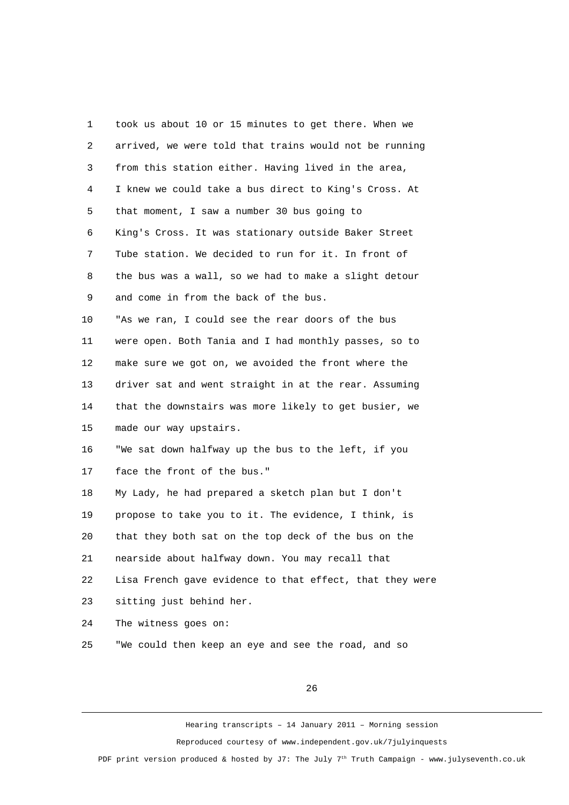1 took us about 10 or 15 minutes to get there. When we 2 arrived, we were told that trains would not be running 3 from this station either. Having lived in the area, 4 I knew we could take a bus direct to King's Cross. At 5 that moment, I saw a number 30 bus going to 6 King's Cross. It was stationary outside Baker Street 7 Tube station. We decided to run for it. In front of 8 the bus was a wall, so we had to make a slight detour 9 and come in from the back of the bus. 10 "As we ran, I could see the rear doors of the bus 11 were open. Both Tania and I had monthly passes, so to 12 make sure we got on, we avoided the front where the 13 driver sat and went straight in at the rear. Assuming 14 that the downstairs was more likely to get busier, we 15 made our way upstairs. 16 "We sat down halfway up the bus to the left, if you 17 face the front of the bus." 18 My Lady, he had prepared a sketch plan but I don't 19 propose to take you to it. The evidence, I think, is 20 that they both sat on the top deck of the bus on the 21 nearside about halfway down. You may recall that 22 Lisa French gave evidence to that effect, that they were 23 sitting just behind her. 24 The witness goes on: 25 "We could then keep an eye and see the road, and so

26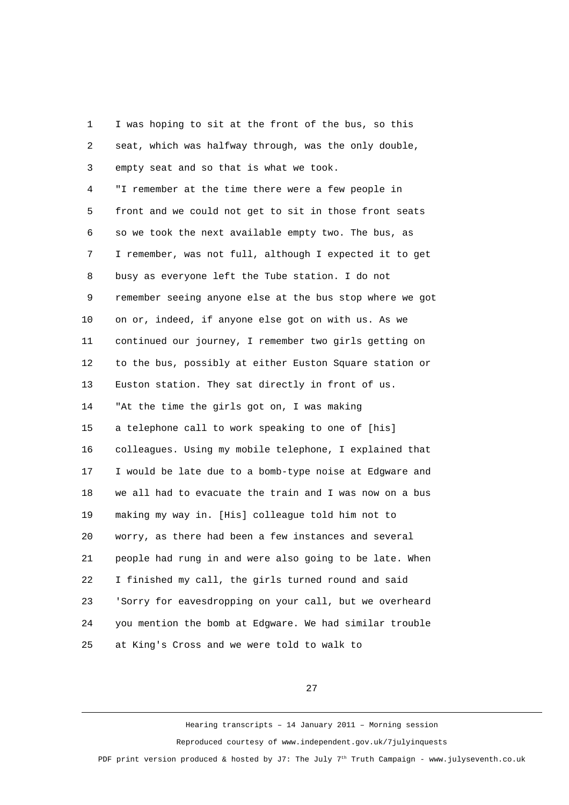1 I was hoping to sit at the front of the bus, so this 2 seat, which was halfway through, was the only double, 3 empty seat and so that is what we took. 4 "I remember at the time there were a few people in 5 front and we could not get to sit in those front seats 6 so we took the next available empty two. The bus, as 7 I remember, was not full, although I expected it to get 8 busy as everyone left the Tube station. I do not 9 remember seeing anyone else at the bus stop where we got 10 on or, indeed, if anyone else got on with us. As we 11 continued our journey, I remember two girls getting on 12 to the bus, possibly at either Euston Square station or 13 Euston station. They sat directly in front of us. 14 "At the time the girls got on, I was making 15 a telephone call to work speaking to one of [his] 16 colleagues. Using my mobile telephone, I explained that 17 I would be late due to a bomb-type noise at Edgware and 18 we all had to evacuate the train and I was now on a bus 19 making my way in. [His] colleague told him not to 20 worry, as there had been a few instances and several 21 people had rung in and were also going to be late. When 22 I finished my call, the girls turned round and said 23 'Sorry for eavesdropping on your call, but we overheard 24 you mention the bomb at Edgware. We had similar trouble 25 at King's Cross and we were told to walk to

27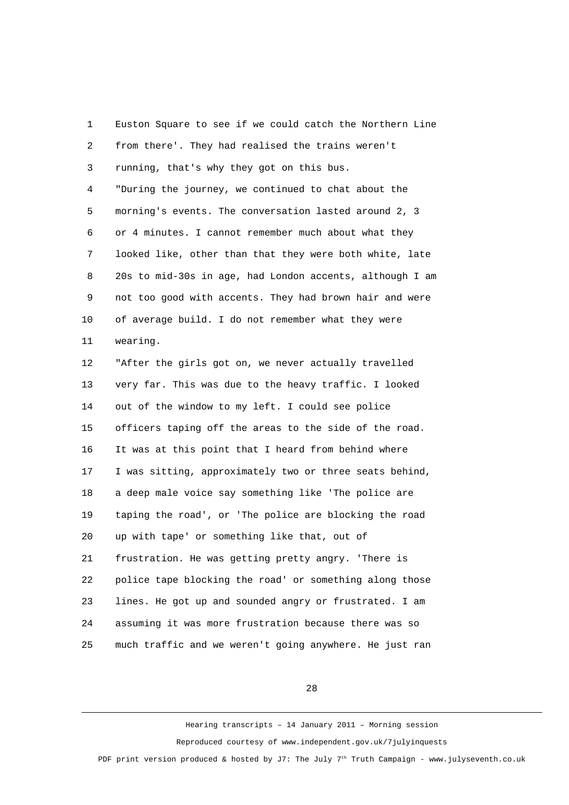1 Euston Square to see if we could catch the Northern Line 2 from there'. They had realised the trains weren't 3 running, that's why they got on this bus. 4 "During the journey, we continued to chat about the 5 morning's events. The conversation lasted around 2, 3 6 or 4 minutes. I cannot remember much about what they 7 looked like, other than that they were both white, late 8 20s to mid-30s in age, had London accents, although I am 9 not too good with accents. They had brown hair and were 10 of average build. I do not remember what they were 11 wearing. 12 "After the girls got on, we never actually travelled 13 very far. This was due to the heavy traffic. I looked 14 out of the window to my left. I could see police 15 officers taping off the areas to the side of the road. 16 It was at this point that I heard from behind where 17 I was sitting, approximately two or three seats behind, 18 a deep male voice say something like 'The police are 19 taping the road', or 'The police are blocking the road 20 up with tape' or something like that, out of 21 frustration. He was getting pretty angry. 'There is 22 police tape blocking the road' or something along those 23 lines. He got up and sounded angry or frustrated. I am 24 assuming it was more frustration because there was so 25 much traffic and we weren't going anywhere. He just ran

28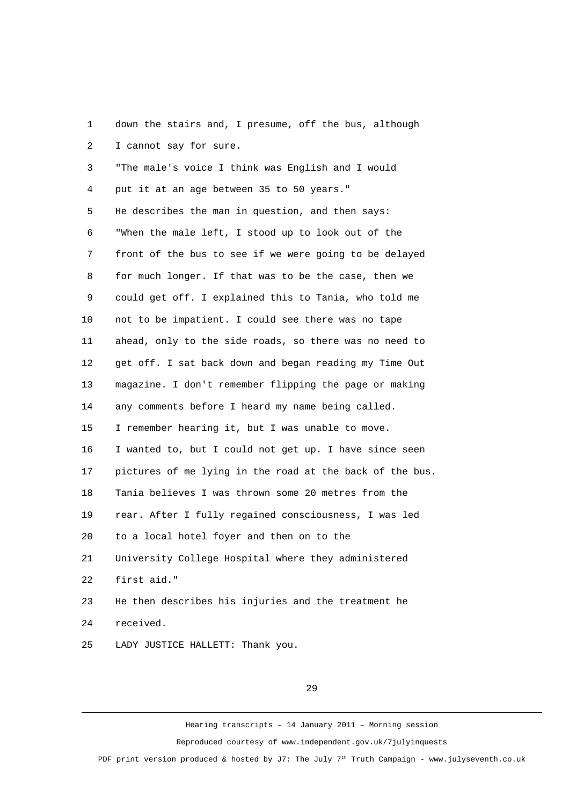1 down the stairs and, I presume, off the bus, although 2 I cannot say for sure.

 3 "The male's voice I think was English and I would 4 put it at an age between 35 to 50 years." 5 He describes the man in question, and then says: 6 "When the male left, I stood up to look out of the 7 front of the bus to see if we were going to be delayed 8 for much longer. If that was to be the case, then we 9 could get off. I explained this to Tania, who told me 10 not to be impatient. I could see there was no tape 11 ahead, only to the side roads, so there was no need to 12 get off. I sat back down and began reading my Time Out 13 magazine. I don't remember flipping the page or making 14 any comments before I heard my name being called. 15 I remember hearing it, but I was unable to move. 16 I wanted to, but I could not get up. I have since seen 17 pictures of me lying in the road at the back of the bus. 18 Tania believes I was thrown some 20 metres from the 19 rear. After I fully regained consciousness, I was led 20 to a local hotel foyer and then on to the 21 University College Hospital where they administered 22 first aid." 23 He then describes his injuries and the treatment he 24 received.

25 LADY JUSTICE HALLETT: Thank you.

29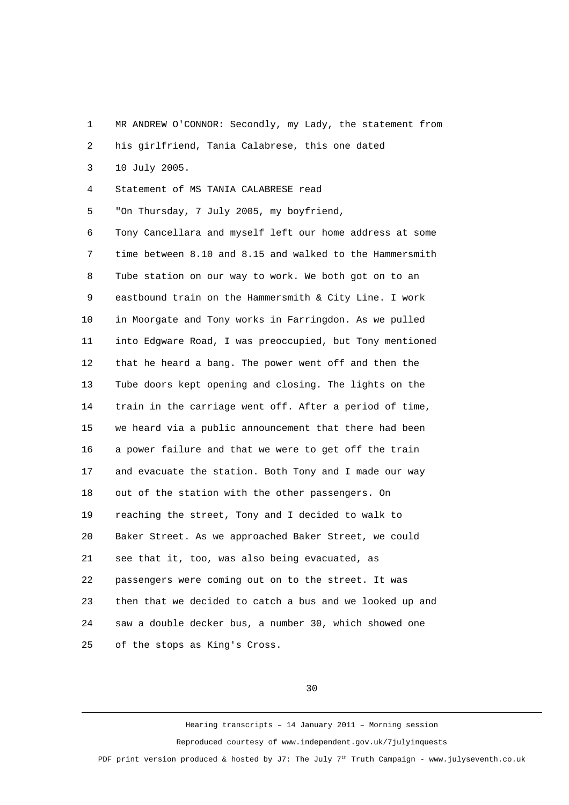1 MR ANDREW O'CONNOR: Secondly, my Lady, the statement from

2 his girlfriend, Tania Calabrese, this one dated

3 10 July 2005.

4 Statement of MS TANIA CALABRESE read

5 "On Thursday, 7 July 2005, my boyfriend,

 6 Tony Cancellara and myself left our home address at some 7 time between 8.10 and 8.15 and walked to the Hammersmith 8 Tube station on our way to work. We both got on to an 9 eastbound train on the Hammersmith & City Line. I work 10 in Moorgate and Tony works in Farringdon. As we pulled 11 into Edgware Road, I was preoccupied, but Tony mentioned 12 that he heard a bang. The power went off and then the 13 Tube doors kept opening and closing. The lights on the 14 train in the carriage went off. After a period of time, 15 we heard via a public announcement that there had been 16 a power failure and that we were to get off the train 17 and evacuate the station. Both Tony and I made our way 18 out of the station with the other passengers. On 19 reaching the street, Tony and I decided to walk to 20 Baker Street. As we approached Baker Street, we could 21 see that it, too, was also being evacuated, as 22 passengers were coming out on to the street. It was 23 then that we decided to catch a bus and we looked up and 24 saw a double decker bus, a number 30, which showed one 25 of the stops as King's Cross.

30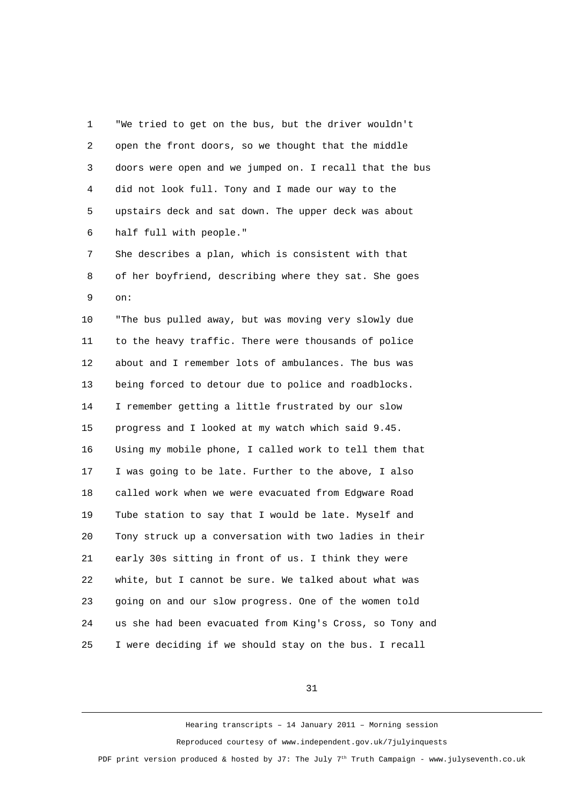1 "We tried to get on the bus, but the driver wouldn't 2 open the front doors, so we thought that the middle 3 doors were open and we jumped on. I recall that the bus 4 did not look full. Tony and I made our way to the 5 upstairs deck and sat down. The upper deck was about 6 half full with people."

 7 She describes a plan, which is consistent with that 8 of her boyfriend, describing where they sat. She goes 9 on:

10 "The bus pulled away, but was moving very slowly due 11 to the heavy traffic. There were thousands of police 12 about and I remember lots of ambulances. The bus was 13 being forced to detour due to police and roadblocks. 14 I remember getting a little frustrated by our slow 15 progress and I looked at my watch which said 9.45. 16 Using my mobile phone, I called work to tell them that 17 I was going to be late. Further to the above, I also 18 called work when we were evacuated from Edgware Road 19 Tube station to say that I would be late. Myself and 20 Tony struck up a conversation with two ladies in their 21 early 30s sitting in front of us. I think they were 22 white, but I cannot be sure. We talked about what was 23 going on and our slow progress. One of the women told 24 us she had been evacuated from King's Cross, so Tony and 25 I were deciding if we should stay on the bus. I recall

31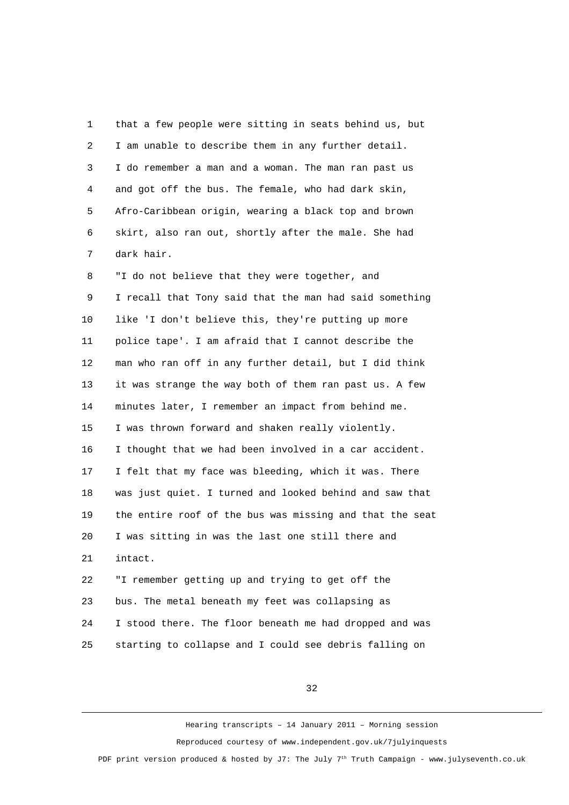| 1              | that a few people were sitting in seats behind us, but   |
|----------------|----------------------------------------------------------|
| $\overline{c}$ | I am unable to describe them in any further detail.      |
| 3              | I do remember a man and a woman. The man ran past us     |
| 4              | and got off the bus. The female, who had dark skin,      |
| 5              | Afro-Caribbean origin, wearing a black top and brown     |
| 6              | skirt, also ran out, shortly after the male. She had     |
| 7              | dark hair.                                               |
| 8              | "I do not believe that they were together, and           |
| 9              | I recall that Tony said that the man had said something  |
| 10             | like 'I don't believe this, they're putting up more      |
| 11             | police tape'. I am afraid that I cannot describe the     |
| 12             | man who ran off in any further detail, but I did think   |
| 13             | it was strange the way both of them ran past us. A few   |
| 14             | minutes later, I remember an impact from behind me.      |
| 15             | I was thrown forward and shaken really violently.        |
| 16             | I thought that we had been involved in a car accident.   |
| 17             | I felt that my face was bleeding, which it was. There    |
| 18             | was just quiet. I turned and looked behind and saw that  |
| 19             | the entire roof of the bus was missing and that the seat |
| 20             | I was sitting in was the last one still there and        |
| 21             | intact.                                                  |
| 22             | "I remember getting up and trying to get off the         |
| 23             | bus. The metal beneath my feet was collapsing as         |
| 24             | I stood there. The floor beneath me had dropped and was  |
| 25             | starting to collapse and I could see debris falling on   |

32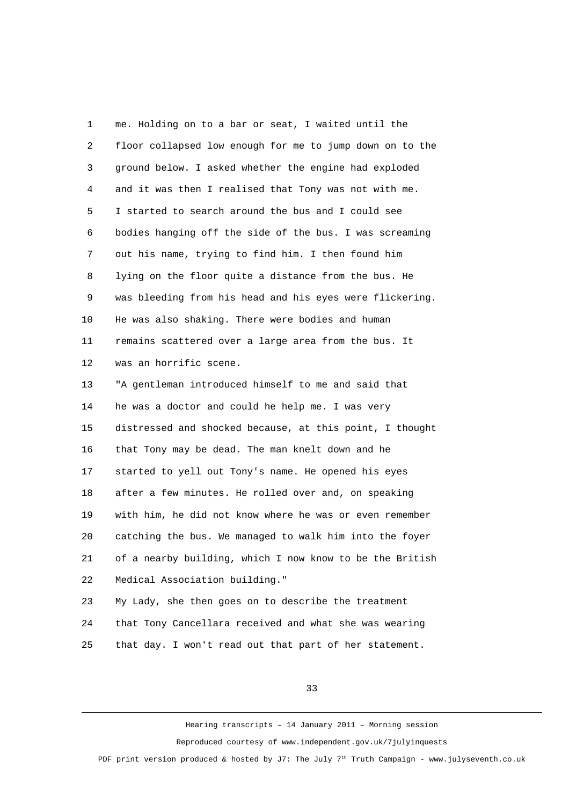1 me. Holding on to a bar or seat, I waited until the 2 floor collapsed low enough for me to jump down on to the 3 ground below. I asked whether the engine had exploded 4 and it was then I realised that Tony was not with me. 5 I started to search around the bus and I could see 6 bodies hanging off the side of the bus. I was screaming 7 out his name, trying to find him. I then found him 8 lying on the floor quite a distance from the bus. He 9 was bleeding from his head and his eyes were flickering. 10 He was also shaking. There were bodies and human 11 remains scattered over a large area from the bus. It 12 was an horrific scene. 13 "A gentleman introduced himself to me and said that 14 he was a doctor and could he help me. I was very 15 distressed and shocked because, at this point, I thought 16 that Tony may be dead. The man knelt down and he 17 started to yell out Tony's name. He opened his eyes 18 after a few minutes. He rolled over and, on speaking 19 with him, he did not know where he was or even remember 20 catching the bus. We managed to walk him into the foyer 21 of a nearby building, which I now know to be the British 22 Medical Association building." 23 My Lady, she then goes on to describe the treatment 24 that Tony Cancellara received and what she was wearing

25 that day. I won't read out that part of her statement.

33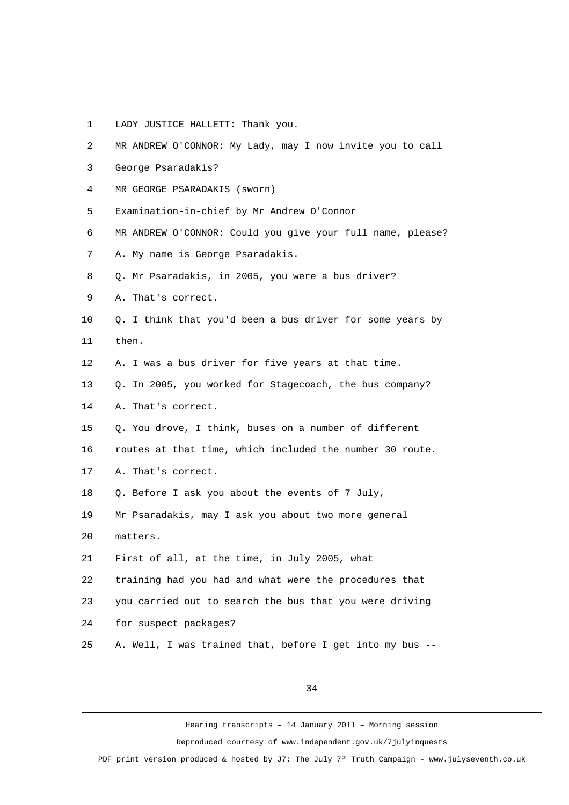- 1 LADY JUSTICE HALLETT: Thank you.
- 2 MR ANDREW O'CONNOR: My Lady, may I now invite you to call 3 George Psaradakis? 4 MR GEORGE PSARADAKIS (sworn) 5 Examination-in-chief by Mr Andrew O'Connor 6 MR ANDREW O'CONNOR: Could you give your full name, please? 7 A. My name is George Psaradakis. 8 Q. Mr Psaradakis, in 2005, you were a bus driver? 9 A. That's correct. 10 Q. I think that you'd been a bus driver for some years by 11 then. 12 A. I was a bus driver for five years at that time. 13 Q. In 2005, you worked for Stagecoach, the bus company? 14 A. That's correct. 15 Q. You drove, I think, buses on a number of different 16 routes at that time, which included the number 30 route. 17 A. That's correct. 18 Q. Before I ask you about the events of 7 July, 19 Mr Psaradakis, may I ask you about two more general 20 matters. 21 First of all, at the time, in July 2005, what 22 training had you had and what were the procedures that 23 you carried out to search the bus that you were driving 24 for suspect packages? 25 A. Well, I was trained that, before I get into my bus --

34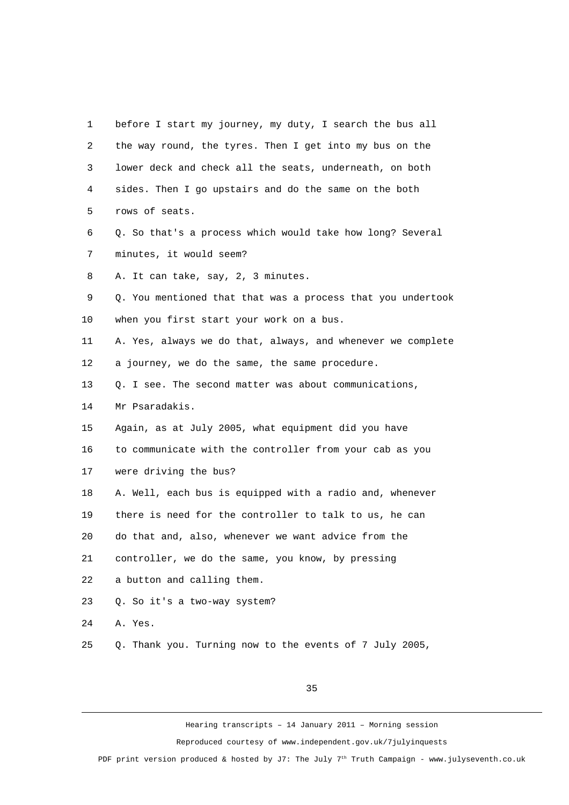1 before I start my journey, my duty, I search the bus all 2 the way round, the tyres. Then I get into my bus on the 3 lower deck and check all the seats, underneath, on both 4 sides. Then I go upstairs and do the same on the both 5 rows of seats. 6 Q. So that's a process which would take how long? Several 7 minutes, it would seem? 8 A. It can take, say, 2, 3 minutes. 9 Q. You mentioned that that was a process that you undertook 10 when you first start your work on a bus. 11 A. Yes, always we do that, always, and whenever we complete 12 a journey, we do the same, the same procedure. 13 Q. I see. The second matter was about communications, 14 Mr Psaradakis. 15 Again, as at July 2005, what equipment did you have 16 to communicate with the controller from your cab as you 17 were driving the bus? 18 A. Well, each bus is equipped with a radio and, whenever 19 there is need for the controller to talk to us, he can 20 do that and, also, whenever we want advice from the 21 controller, we do the same, you know, by pressing 22 a button and calling them. 23 Q. So it's a two-way system? 24 A. Yes. 25 Q. Thank you. Turning now to the events of 7 July 2005,

35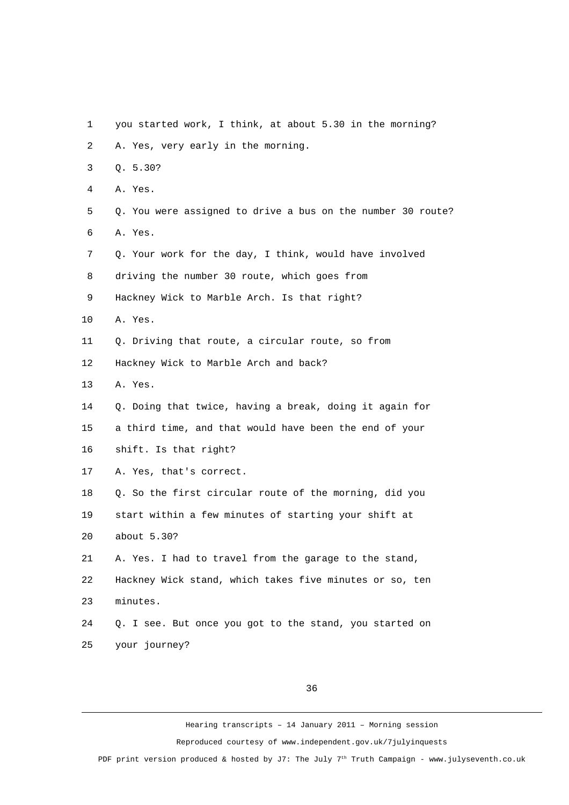- 1 you started work, I think, at about 5.30 in the morning?
- 2 A. Yes, very early in the morning.
- 3 Q. 5.30?
- 4 A. Yes.
- 5 Q. You were assigned to drive a bus on the number 30 route? 6 A. Yes.
- 7 Q. Your work for the day, I think, would have involved
- 8 driving the number 30 route, which goes from
- 9 Hackney Wick to Marble Arch. Is that right?
- 10 A. Yes.
- 11 0. Driving that route, a circular route, so from
- 12 Hackney Wick to Marble Arch and back?
- 13 A. Yes.
- 14 Q. Doing that twice, having a break, doing it again for
- 15 a third time, and that would have been the end of your
- 16 shift. Is that right?
- 17 A. Yes, that's correct.
- 18 Q. So the first circular route of the morning, did you 19 start within a few minutes of starting your shift at
- 20 about 5.30?
- 21 A. Yes. I had to travel from the garage to the stand,
- 22 Hackney Wick stand, which takes five minutes or so, ten 23 minutes.
- 24 Q. I see. But once you got to the stand, you started on 25 your journey?

36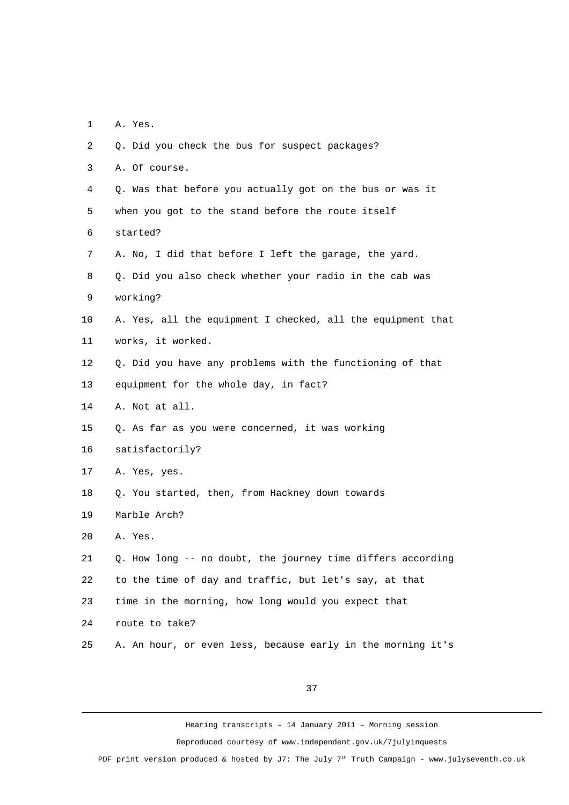1 A. Yes.

| $\overline{2}$ | Q. Did you check the bus for suspect packages?              |
|----------------|-------------------------------------------------------------|
| 3              | A. Of course.                                               |
| 4              | Q. Was that before you actually got on the bus or was it    |
| 5              | when you got to the stand before the route itself           |
| 6              | started?                                                    |
| $\overline{7}$ | A. No, I did that before I left the garage, the yard.       |
| 8              | Q. Did you also check whether your radio in the cab was     |
| 9              | working?                                                    |
| 10             | A. Yes, all the equipment I checked, all the equipment that |
| 11             | works, it worked.                                           |
| 12             | Q. Did you have any problems with the functioning of that   |
| 13             | equipment for the whole day, in fact?                       |
| 14             | A. Not at all.                                              |
| 15             | Q. As far as you were concerned, it was working             |
| 16             | satisfactorily?                                             |
| 17             | A. Yes, yes.                                                |
| 18             | Q. You started, then, from Hackney down towards             |
| 19             | Marble Arch?                                                |
| 20             | A. Yes.                                                     |
| 21             | Q. How long -- no doubt, the journey time differs according |
| 22             | to the time of day and traffic, but let's say, at that      |
| 23             | time in the morning, how long would you expect that         |
| 24             | route to take?                                              |
| 25             | A. An hour, or even less, because early in the morning it's |

37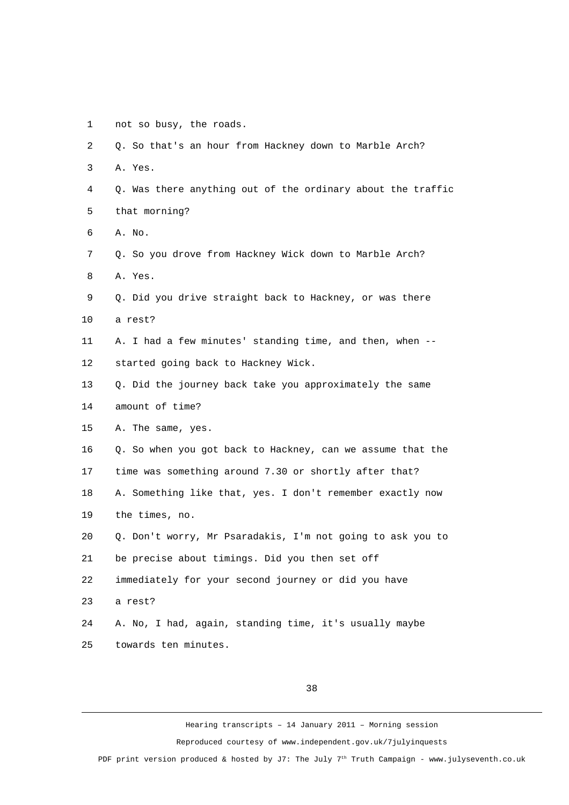1 not so busy, the roads.

| $\overline{2}$ | Q. So that's an hour from Hackney down to Marble Arch?      |
|----------------|-------------------------------------------------------------|
| 3              | A. Yes.                                                     |
| 4              | Q. Was there anything out of the ordinary about the traffic |
| 5              | that morning?                                               |
| 6              | A. No.                                                      |
| $\overline{7}$ | Q. So you drove from Hackney Wick down to Marble Arch?      |
| 8              | A. Yes.                                                     |
| 9              | Q. Did you drive straight back to Hackney, or was there     |
| 10             | a rest?                                                     |
| 11             | A. I had a few minutes' standing time, and then, when --    |
| 12             | started going back to Hackney Wick.                         |
| 13             | Q. Did the journey back take you approximately the same     |
| 14             | amount of time?                                             |
| 15             | A. The same, yes.                                           |
| 16             | Q. So when you got back to Hackney, can we assume that the  |
| 17             | time was something around 7.30 or shortly after that?       |
| 18             | A. Something like that, yes. I don't remember exactly now   |
| 19             | the times, no.                                              |
| 20             | Q. Don't worry, Mr Psaradakis, I'm not going to ask you to  |
| 21             | be precise about timings. Did you then set off              |
| 22             | immediately for your second journey or did you have         |
| 23             | a rest?                                                     |
| 24             | A. No, I had, again, standing time, it's usually maybe      |
| 25             | towards ten minutes.                                        |

38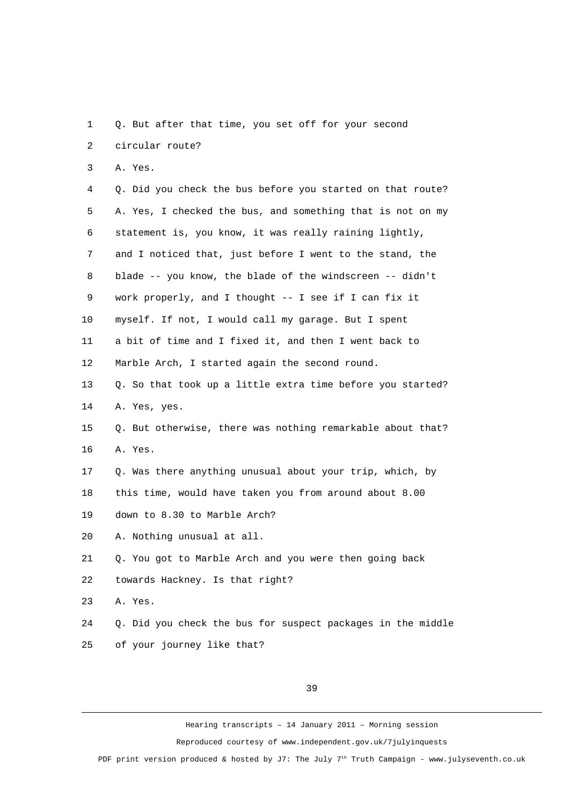1 Q. But after that time, you set off for your second 2 circular route?

3 A. Yes.

 4 Q. Did you check the bus before you started on that route? 5 A. Yes, I checked the bus, and something that is not on my 6 statement is, you know, it was really raining lightly, 7 and I noticed that, just before I went to the stand, the 8 blade -- you know, the blade of the windscreen -- didn't 9 work properly, and I thought -- I see if I can fix it 10 myself. If not, I would call my garage. But I spent 11 a bit of time and I fixed it, and then I went back to 12 Marble Arch, I started again the second round. 13 Q. So that took up a little extra time before you started? 14 A. Yes, yes. 15 Q. But otherwise, there was nothing remarkable about that? 16 A. Yes. 17 Q. Was there anything unusual about your trip, which, by 18 this time, would have taken you from around about 8.00 19 down to 8.30 to Marble Arch? 20 A. Nothing unusual at all. 21 Q. You got to Marble Arch and you were then going back 22 towards Hackney. Is that right? 23 A. Yes.

24 Q. Did you check the bus for suspect packages in the middle 25 of your journey like that?

39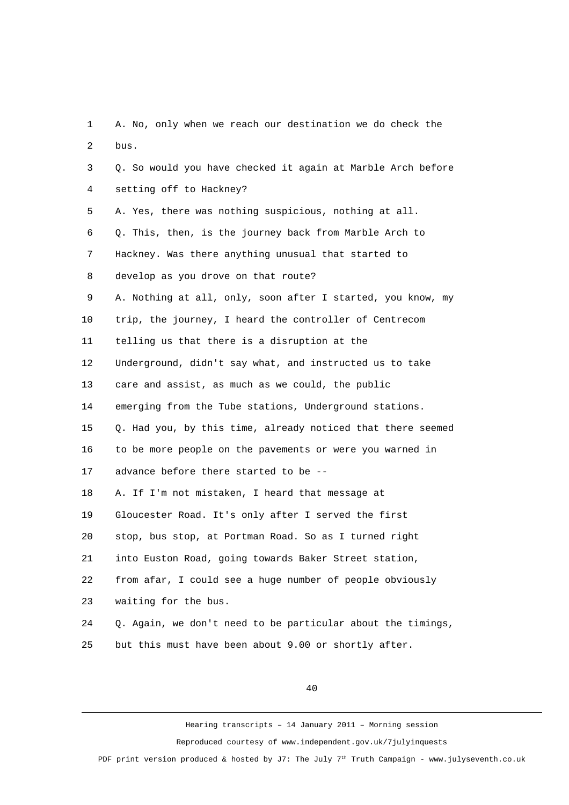1 A. No, only when we reach our destination we do check the 2 bus. 3 Q. So would you have checked it again at Marble Arch before 4 setting off to Hackney? 5 A. Yes, there was nothing suspicious, nothing at all. 6 Q. This, then, is the journey back from Marble Arch to 7 Hackney. Was there anything unusual that started to 8 develop as you drove on that route? 9 A. Nothing at all, only, soon after I started, you know, my 10 trip, the journey, I heard the controller of Centrecom 11 telling us that there is a disruption at the 12 Underground, didn't say what, and instructed us to take 13 care and assist, as much as we could, the public 14 emerging from the Tube stations, Underground stations. 15 Q. Had you, by this time, already noticed that there seemed 16 to be more people on the pavements or were you warned in 17 advance before there started to be -- 18 A. If I'm not mistaken, I heard that message at 19 Gloucester Road. It's only after I served the first 20 stop, bus stop, at Portman Road. So as I turned right 21 into Euston Road, going towards Baker Street station, 22 from afar, I could see a huge number of people obviously 23 waiting for the bus. 24 Q. Again, we don't need to be particular about the timings, 25 but this must have been about 9.00 or shortly after.

40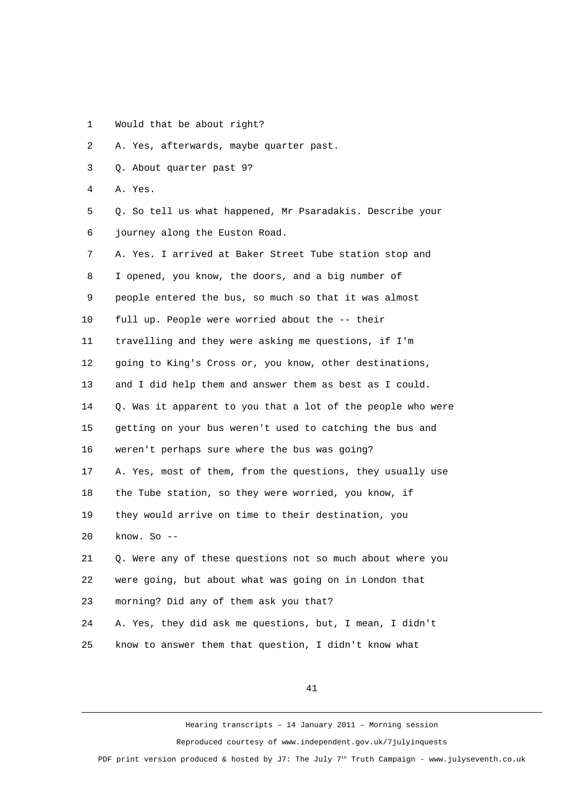1 Would that be about right?

2 A. Yes, afterwards, maybe quarter past.

- 3 Q. About quarter past 9?
- 4 A. Yes.

 5 Q. So tell us what happened, Mr Psaradakis. Describe your 6 journey along the Euston Road.

 7 A. Yes. I arrived at Baker Street Tube station stop and 8 I opened, you know, the doors, and a big number of 9 people entered the bus, so much so that it was almost 10 full up. People were worried about the -- their 11 travelling and they were asking me questions, if I'm 12 going to King's Cross or, you know, other destinations, 13 and I did help them and answer them as best as I could. 14 Q. Was it apparent to you that a lot of the people who were 15 getting on your bus weren't used to catching the bus and 16 weren't perhaps sure where the bus was going? 17 A. Yes, most of them, from the questions, they usually use 18 the Tube station, so they were worried, you know, if 19 they would arrive on time to their destination, you 20 know. So -- 21 Q. Were any of these questions not so much about where you 22 were going, but about what was going on in London that 23 morning? Did any of them ask you that?

24 A. Yes, they did ask me questions, but, I mean, I didn't 25 know to answer them that question, I didn't know what

41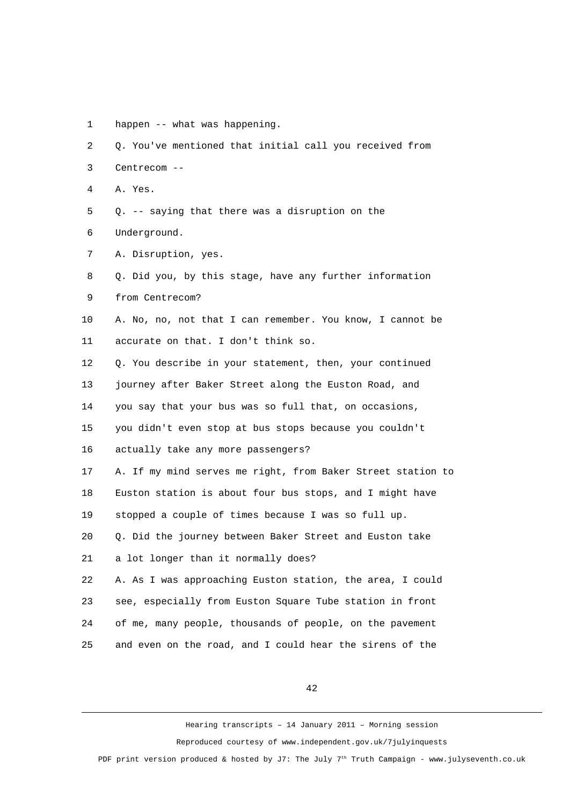1 happen -- what was happening.

2 Q. You've mentioned that initial call you received from

- 3 Centrecom --
- 4 A. Yes.
- 5 Q. -- saying that there was a disruption on the 6 Underground.
- 
- 7 A. Disruption, yes.
- 8 Q. Did you, by this stage, have any further information
- 9 from Centrecom?
- 10 A. No, no, not that I can remember. You know, I cannot be 11 accurate on that. I don't think so.
- 12 Q. You describe in your statement, then, your continued 13 journey after Baker Street along the Euston Road, and 14 you say that your bus was so full that, on occasions, 15 you didn't even stop at bus stops because you couldn't
- 16 actually take any more passengers?
- 17 A. If my mind serves me right, from Baker Street station to 18 Euston station is about four bus stops, and I might have 19 stopped a couple of times because I was so full up.
- 20 Q. Did the journey between Baker Street and Euston take
- 21 a lot longer than it normally does?
- 22 A. As I was approaching Euston station, the area, I could 23 see, especially from Euston Square Tube station in front 24 of me, many people, thousands of people, on the pavement 25 and even on the road, and I could hear the sirens of the

42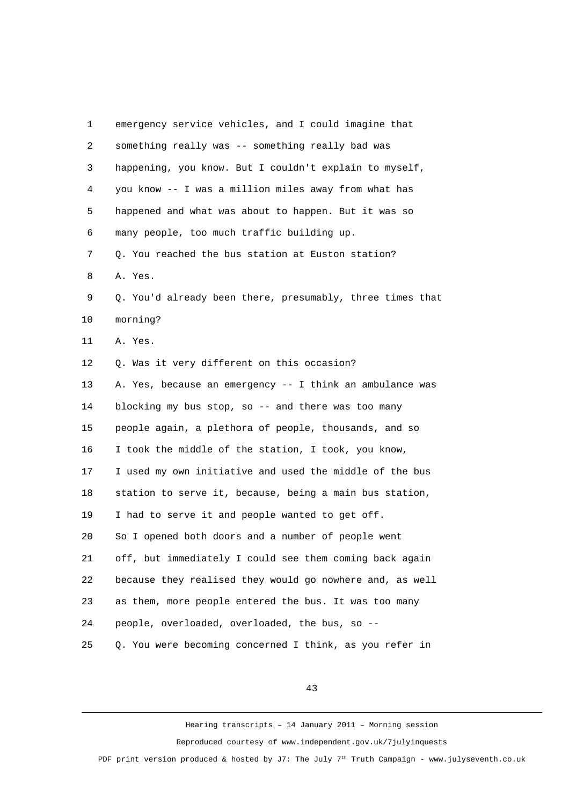| 1  | emergency service vehicles, and I could imagine that      |
|----|-----------------------------------------------------------|
| 2  | something really was -- something really bad was          |
| 3  | happening, you know. But I couldn't explain to myself,    |
| 4  | you know -- I was a million miles away from what has      |
| 5  | happened and what was about to happen. But it was so      |
| 6  | many people, too much traffic building up.                |
| 7  | Q. You reached the bus station at Euston station?         |
| 8  | A. Yes.                                                   |
| 9  | Q. You'd already been there, presumably, three times that |
| 10 | morning?                                                  |
| 11 | A. Yes.                                                   |
| 12 | Q. Was it very different on this occasion?                |
| 13 | A. Yes, because an emergency -- I think an ambulance was  |
| 14 | blocking my bus stop, so -- and there was too many        |
| 15 | people again, a plethora of people, thousands, and so     |
| 16 | I took the middle of the station, I took, you know,       |
| 17 | I used my own initiative and used the middle of the bus   |
| 18 | station to serve it, because, being a main bus station,   |
| 19 | I had to serve it and people wanted to get off.           |
| 20 | So I opened both doors and a number of people went        |
| 21 | off, but immediately I could see them coming back again   |
| 22 | because they realised they would go nowhere and, as well  |
| 23 | as them, more people entered the bus. It was too many     |
| 24 | people, overloaded, overloaded, the bus, so --            |
| 25 | Q. You were becoming concerned I think, as you refer in   |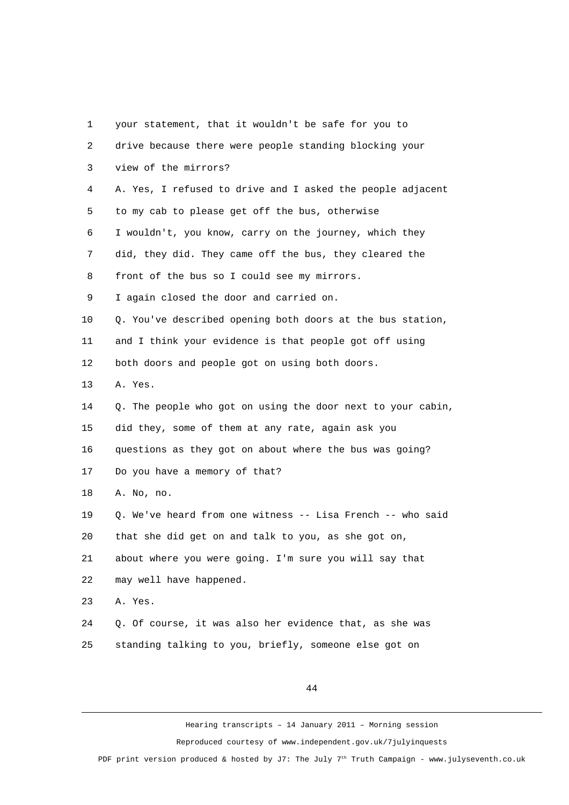| 1              | your statement, that it wouldn't be safe for you to         |
|----------------|-------------------------------------------------------------|
| $\overline{2}$ | drive because there were people standing blocking your      |
| 3              | view of the mirrors?                                        |
| 4              | A. Yes, I refused to drive and I asked the people adjacent  |
| 5              | to my cab to please get off the bus, otherwise              |
| 6              | I wouldn't, you know, carry on the journey, which they      |
| $\overline{7}$ | did, they did. They came off the bus, they cleared the      |
| 8              | front of the bus so I could see my mirrors.                 |
| 9              | I again closed the door and carried on.                     |
| 10             | Q. You've described opening both doors at the bus station,  |
| 11             | and I think your evidence is that people got off using      |
| 12             | both doors and people got on using both doors.              |
| 13             | A. Yes.                                                     |
| 14             | Q. The people who got on using the door next to your cabin, |
| 15             | did they, some of them at any rate, again ask you           |
| 16             | questions as they got on about where the bus was going?     |
| 17             | Do you have a memory of that?                               |
| 18             | A. No, no.                                                  |
| 19             | Q. We've heard from one witness -- Lisa French -- who said  |
| 20             | that she did get on and talk to you, as she got on,         |
| 21             | about where you were going. I'm sure you will say that      |
| 22             | may well have happened.                                     |
| 23             | A. Yes.                                                     |
| 24             | Q. Of course, it was also her evidence that, as she was     |
| 25             | standing talking to you, briefly, someone else got on       |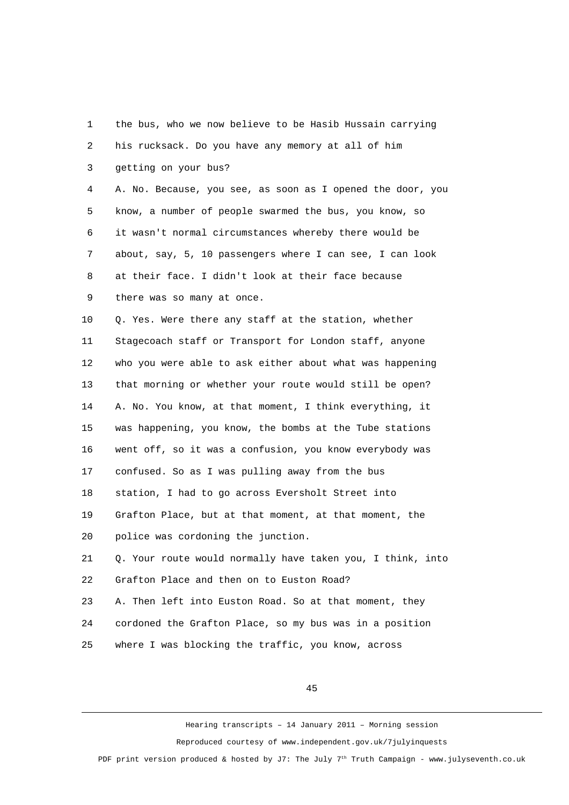| 1              | the bus, who we now believe to be Hasib Hussain carrying   |
|----------------|------------------------------------------------------------|
| $\overline{2}$ | his rucksack. Do you have any memory at all of him         |
| 3              | getting on your bus?                                       |
| 4              | A. No. Because, you see, as soon as I opened the door, you |
| 5              | know, a number of people swarmed the bus, you know, so     |
| 6              | it wasn't normal circumstances whereby there would be      |
| $\overline{7}$ | about, say, 5, 10 passengers where I can see, I can look   |
| 8              | at their face. I didn't look at their face because         |
| 9              | there was so many at once.                                 |
| 10             | Q. Yes. Were there any staff at the station, whether       |
| 11             | Stagecoach staff or Transport for London staff, anyone     |
| 12             | who you were able to ask either about what was happening   |
| 13             | that morning or whether your route would still be open?    |
| 14             | A. No. You know, at that moment, I think everything, it    |
| 15             | was happening, you know, the bombs at the Tube stations    |
| 16             | went off, so it was a confusion, you know everybody was    |
| 17             | confused. So as I was pulling away from the bus            |
| 18             | station, I had to go across Eversholt Street into          |
| 19             | Grafton Place, but at that moment, at that moment, the     |
| 20             | police was cordoning the junction.                         |
| 21             | Q. Your route would normally have taken you, I think, into |
| 22             | Grafton Place and then on to Euston Road?                  |
| 23             | A. Then left into Euston Road. So at that moment, they     |
| 24             | cordoned the Grafton Place, so my bus was in a position    |
| 25             | where I was blocking the traffic, you know, across         |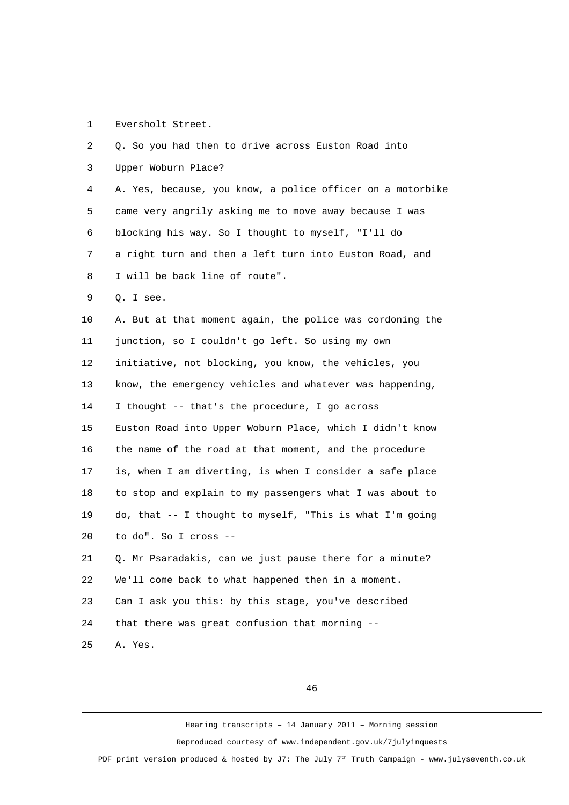## 1 Eversholt Street.

| 2  | Q. So you had then to drive across Euston Road into        |
|----|------------------------------------------------------------|
| 3  | Upper Woburn Place?                                        |
| 4  | A. Yes, because, you know, a police officer on a motorbike |
| 5  | came very angrily asking me to move away because I was     |
| 6  | blocking his way. So I thought to myself, "I'll do         |
| 7  | a right turn and then a left turn into Euston Road, and    |
| 8  | I will be back line of route".                             |
| 9  | Q. I see.                                                  |
| 10 | A. But at that moment again, the police was cordoning the  |
| 11 | junction, so I couldn't go left. So using my own           |
| 12 | initiative, not blocking, you know, the vehicles, you      |
| 13 | know, the emergency vehicles and whatever was happening,   |
| 14 | I thought -- that's the procedure, I go across             |
| 15 | Euston Road into Upper Woburn Place, which I didn't know   |
| 16 | the name of the road at that moment, and the procedure     |
| 17 | is, when I am diverting, is when I consider a safe place   |
| 18 | to stop and explain to my passengers what I was about to   |
| 19 | do, that -- I thought to myself, "This is what I'm going   |
| 20 | to do". So I cross --                                      |
| 21 | Q. Mr Psaradakis, can we just pause there for a minute?    |
| 22 | We'll come back to what happened then in a moment.         |
| 23 | Can I ask you this: by this stage, you've described        |
| 24 | that there was great confusion that morning --             |
| 25 | A. Yes.                                                    |

46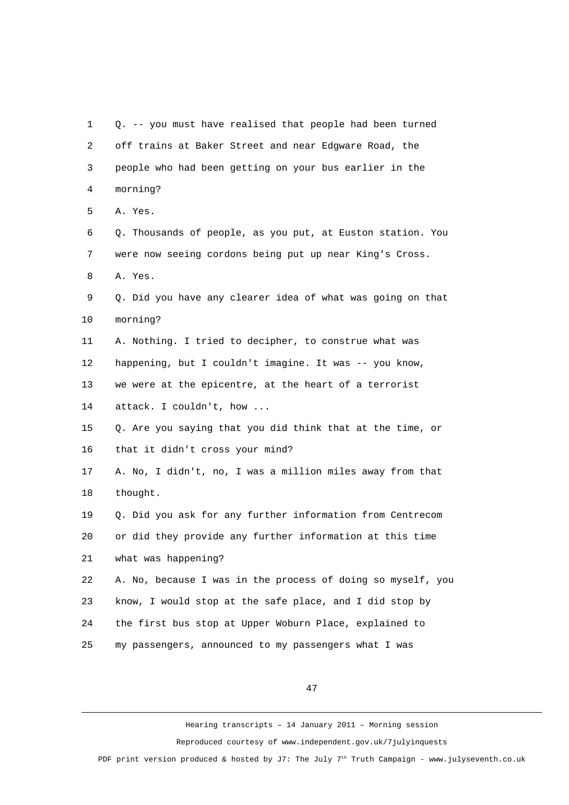1 Q. -- you must have realised that people had been turned 2 off trains at Baker Street and near Edgware Road, the 3 people who had been getting on your bus earlier in the 4 morning? 5 A. Yes. 6 Q. Thousands of people, as you put, at Euston station. You 7 were now seeing cordons being put up near King's Cross. 8 A. Yes. 9 Q. Did you have any clearer idea of what was going on that 10 morning? 11 A. Nothing. I tried to decipher, to construe what was 12 happening, but I couldn't imagine. It was -- you know, 13 we were at the epicentre, at the heart of a terrorist 14 attack. I couldn't, how ... 15 Q. Are you saying that you did think that at the time, or 16 that it didn't cross your mind? 17 A. No, I didn't, no, I was a million miles away from that 18 thought. 19 Q. Did you ask for any further information from Centrecom 20 or did they provide any further information at this time 21 what was happening? 22 A. No, because I was in the process of doing so myself, you 23 know, I would stop at the safe place, and I did stop by 24 the first bus stop at Upper Woburn Place, explained to 25 my passengers, announced to my passengers what I was

47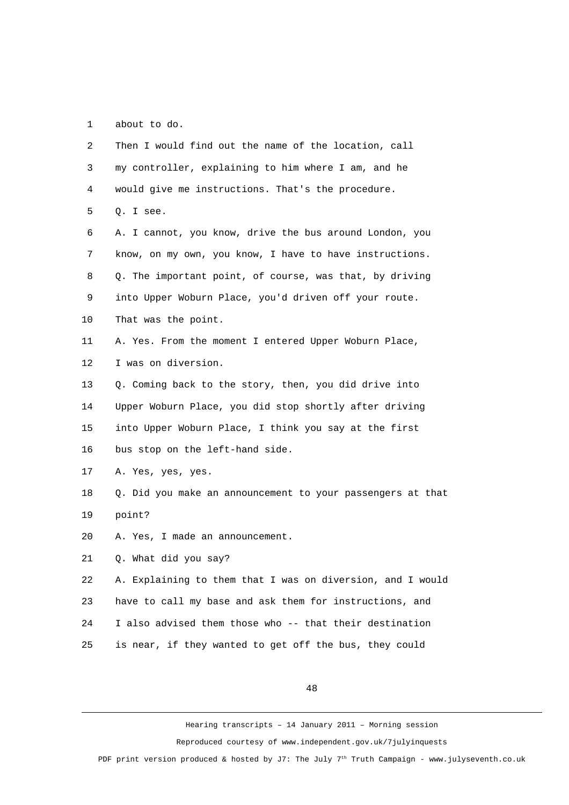1 about to do.

| $\overline{2}$ | Then I would find out the name of the location, call       |
|----------------|------------------------------------------------------------|
| 3              | my controller, explaining to him where I am, and he        |
| 4              | would give me instructions. That's the procedure.          |
| 5              | Q. I see.                                                  |
| 6              | A. I cannot, you know, drive the bus around London, you    |
| 7              | know, on my own, you know, I have to have instructions.    |
| 8              | Q. The important point, of course, was that, by driving    |
| 9              | into Upper Woburn Place, you'd driven off your route.      |
| 10             | That was the point.                                        |
| 11             | A. Yes. From the moment I entered Upper Woburn Place,      |
| 12             | I was on diversion.                                        |
| 13             | Q. Coming back to the story, then, you did drive into      |
| 14             | Upper Woburn Place, you did stop shortly after driving     |
| 15             | into Upper Woburn Place, I think you say at the first      |
| 16             | bus stop on the left-hand side.                            |
| 17             | A. Yes, yes, yes.                                          |
| 18             | Q. Did you make an announcement to your passengers at that |
| 19             | point?                                                     |
| 20             | A. Yes, I made an announcement.                            |
| 21             | Q. What did you say?                                       |
| 22             | A. Explaining to them that I was on diversion, and I would |
| 23             | have to call my base and ask them for instructions, and    |
| 24             | I also advised them those who -- that their destination    |
| 25             | is near, if they wanted to get off the bus, they could     |
|                |                                                            |

48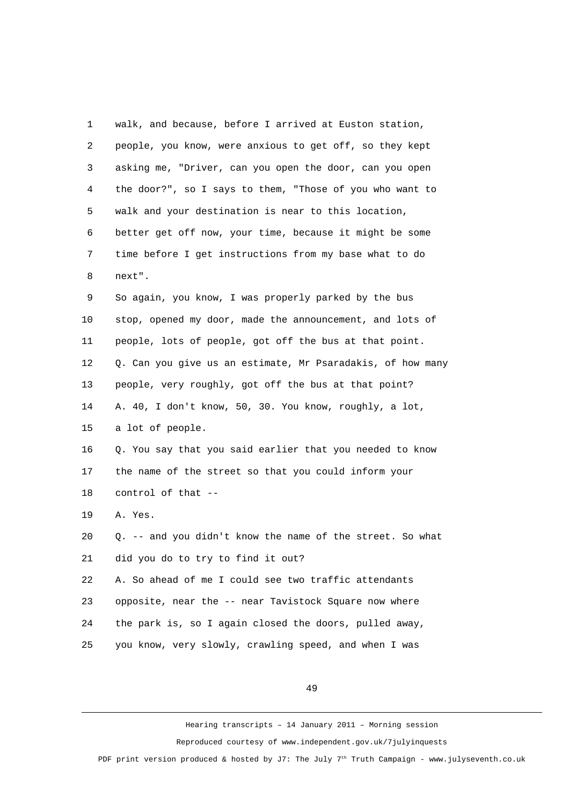| 1              | walk, and because, before I arrived at Euston station,     |
|----------------|------------------------------------------------------------|
| $\overline{c}$ | people, you know, were anxious to get off, so they kept    |
| 3              | asking me, "Driver, can you open the door, can you open    |
| 4              | the door?", so I says to them, "Those of you who want to   |
| 5              | walk and your destination is near to this location,        |
| 6              | better get off now, your time, because it might be some    |
| $\overline{7}$ | time before I get instructions from my base what to do     |
| 8              | next".                                                     |
| 9              | So again, you know, I was properly parked by the bus       |
| 10             | stop, opened my door, made the announcement, and lots of   |
| 11             | people, lots of people, got off the bus at that point.     |
| 12             | Q. Can you give us an estimate, Mr Psaradakis, of how many |
| 13             | people, very roughly, got off the bus at that point?       |
| 14             | A. 40, I don't know, 50, 30. You know, roughly, a lot,     |
| 15             | a lot of people.                                           |
| 16             | Q. You say that you said earlier that you needed to know   |
| 17             | the name of the street so that you could inform your       |
| 18             | control of that --                                         |
| 19             | A. Yes.                                                    |
| 20             | Q. -- and you didn't know the name of the street. So what  |
| 21             | did you do to try to find it out?                          |
| 22             | A. So ahead of me I could see two traffic attendants       |
| 23             | opposite, near the -- near Tavistock Square now where      |
| 24             | the park is, so I again closed the doors, pulled away,     |
| 25             | you know, very slowly, crawling speed, and when I was      |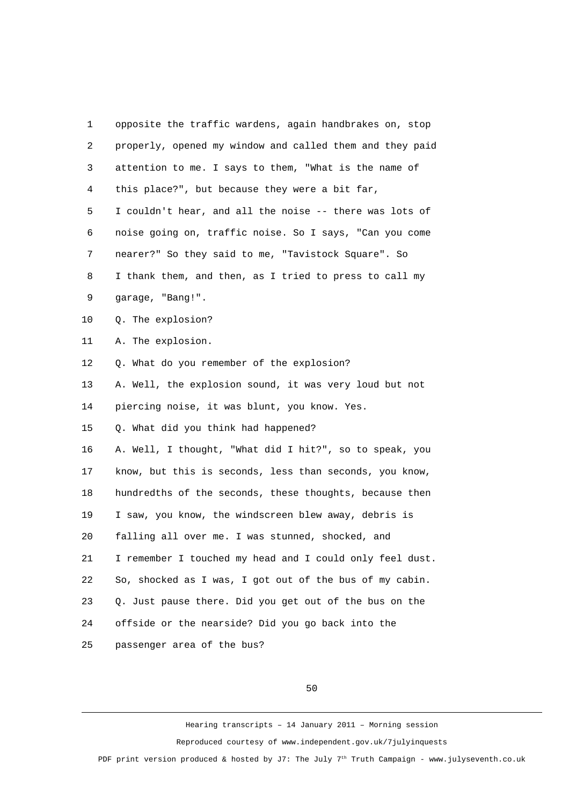| 1  | opposite the traffic wardens, again handbrakes on, stop  |
|----|----------------------------------------------------------|
| 2  | properly, opened my window and called them and they paid |
| 3  | attention to me. I says to them, "What is the name of    |
| 4  | this place?", but because they were a bit far,           |
| 5  | I couldn't hear, and all the noise -- there was lots of  |
| 6  | noise going on, traffic noise. So I says, "Can you come  |
| 7  | nearer?" So they said to me, "Tavistock Square". So      |
| 8  | I thank them, and then, as I tried to press to call my   |
| 9  | garage, "Bang!".                                         |
| 10 | Q. The explosion?                                        |
| 11 | A. The explosion.                                        |
| 12 | Q. What do you remember of the explosion?                |
| 13 | A. Well, the explosion sound, it was very loud but not   |
| 14 | piercing noise, it was blunt, you know. Yes.             |
| 15 | Q. What did you think had happened?                      |
| 16 | A. Well, I thought, "What did I hit?", so to speak, you  |
| 17 | know, but this is seconds, less than seconds, you know,  |
| 18 | hundredths of the seconds, these thoughts, because then  |
| 19 | I saw, you know, the windscreen blew away, debris is     |
| 20 | falling all over me. I was stunned, shocked, and         |
| 21 | I remember I touched my head and I could only feel dust. |
| 22 | So, shocked as I was, I got out of the bus of my cabin.  |
| 23 | Q. Just pause there. Did you get out of the bus on the   |
| 24 | offside or the nearside? Did you go back into the        |
| 25 | passenger area of the bus?                               |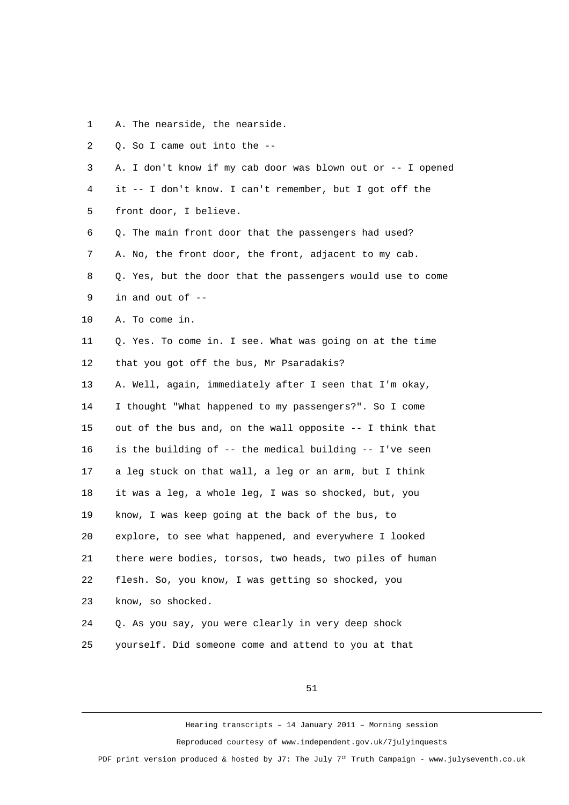1 A. The nearside, the nearside.

| $\overline{2}$ | Q. So I came out into the --                                |
|----------------|-------------------------------------------------------------|
| 3              | A. I don't know if my cab door was blown out or -- I opened |
| 4              | it -- I don't know. I can't remember, but I got off the     |
| 5              | front door, I believe.                                      |
| 6              | Q. The main front door that the passengers had used?        |
| $\overline{7}$ | A. No, the front door, the front, adjacent to my cab.       |
| 8              | Q. Yes, but the door that the passengers would use to come  |
| 9              | in and out of --                                            |
| 10             | A. To come in.                                              |
| 11             | Q. Yes. To come in. I see. What was going on at the time    |
| 12             | that you got off the bus, Mr Psaradakis?                    |
| 13             | A. Well, again, immediately after I seen that I'm okay,     |
| 14             | I thought "What happened to my passengers?". So I come      |
| 15             | out of the bus and, on the wall opposite -- I think that    |
| 16             | is the building of -- the medical building -- I've seen     |
| 17             | a leg stuck on that wall, a leg or an arm, but I think      |
| 18             | it was a leg, a whole leg, I was so shocked, but, you       |
| 19             | know, I was keep going at the back of the bus, to           |
| 20             | explore, to see what happened, and everywhere I looked      |
| 21             | there were bodies, torsos, two heads, two piles of human    |
| 22             | flesh. So, you know, I was getting so shocked, you          |
| 23             | know, so shocked.                                           |
| 24             | Q. As you say, you were clearly in very deep shock          |
| 25             | yourself. Did someone come and attend to you at that        |

51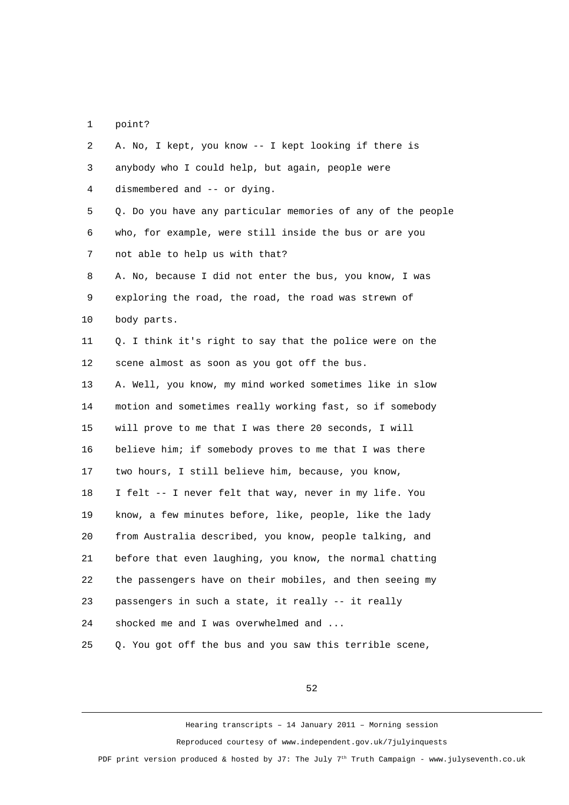1 point?

 2 A. No, I kept, you know -- I kept looking if there is 3 anybody who I could help, but again, people were 4 dismembered and -- or dying. 5 Q. Do you have any particular memories of any of the people 6 who, for example, were still inside the bus or are you 7 not able to help us with that? 8 A. No, because I did not enter the bus, you know, I was 9 exploring the road, the road, the road was strewn of 10 body parts. 11 0. I think it's right to say that the police were on the 12 scene almost as soon as you got off the bus. 13 A. Well, you know, my mind worked sometimes like in slow 14 motion and sometimes really working fast, so if somebody 15 will prove to me that I was there 20 seconds, I will 16 believe him; if somebody proves to me that I was there 17 two hours, I still believe him, because, you know, 18 I felt -- I never felt that way, never in my life. You 19 know, a few minutes before, like, people, like the lady 20 from Australia described, you know, people talking, and 21 before that even laughing, you know, the normal chatting 22 the passengers have on their mobiles, and then seeing my 23 passengers in such a state, it really -- it really 24 shocked me and I was overwhelmed and ... 25 Q. You got off the bus and you saw this terrible scene,

52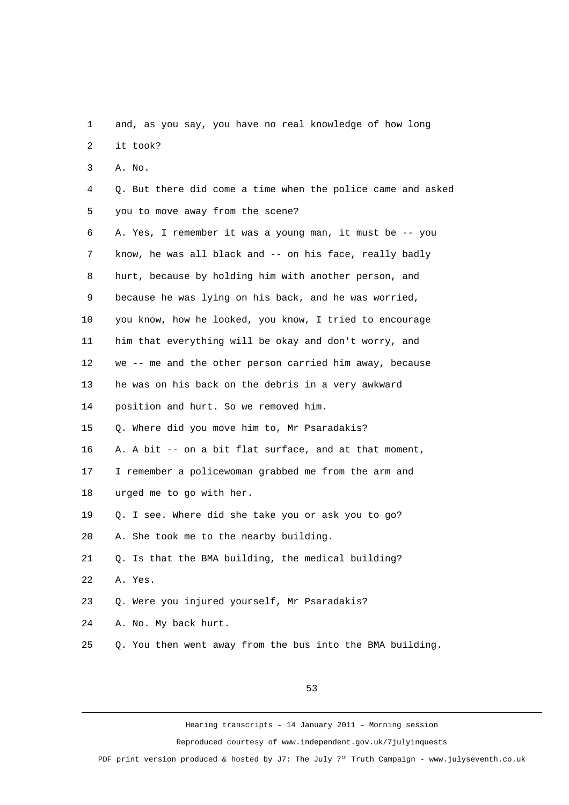1 and, as you say, you have no real knowledge of how long 2 it took? 3 A. No. 4 Q. But there did come a time when the police came and asked 5 you to move away from the scene? 6 A. Yes, I remember it was a young man, it must be -- you 7 know, he was all black and -- on his face, really badly 8 hurt, because by holding him with another person, and 9 because he was lying on his back, and he was worried, 10 you know, how he looked, you know, I tried to encourage 11 him that everything will be okay and don't worry, and 12 we -- me and the other person carried him away, because 13 he was on his back on the debris in a very awkward 14 position and hurt. So we removed him. 15 Q. Where did you move him to, Mr Psaradakis? 16 A. A bit -- on a bit flat surface, and at that moment, 17 I remember a policewoman grabbed me from the arm and 18 urged me to go with her. 19 Q. I see. Where did she take you or ask you to go? 20 A. She took me to the nearby building. 21 Q. Is that the BMA building, the medical building? 22 A. Yes. 23 Q. Were you injured yourself, Mr Psaradakis? 24 A. No. My back hurt. 25 Q. You then went away from the bus into the BMA building.

53

Hearing transcripts – 14 January 2011 – Morning session Reproduced courtesy of www.independent.gov.uk/7julyinquests

PDF print version produced & hosted by J7: The July  $7<sup>th</sup>$  Truth Campaign - www.julyseventh.co.uk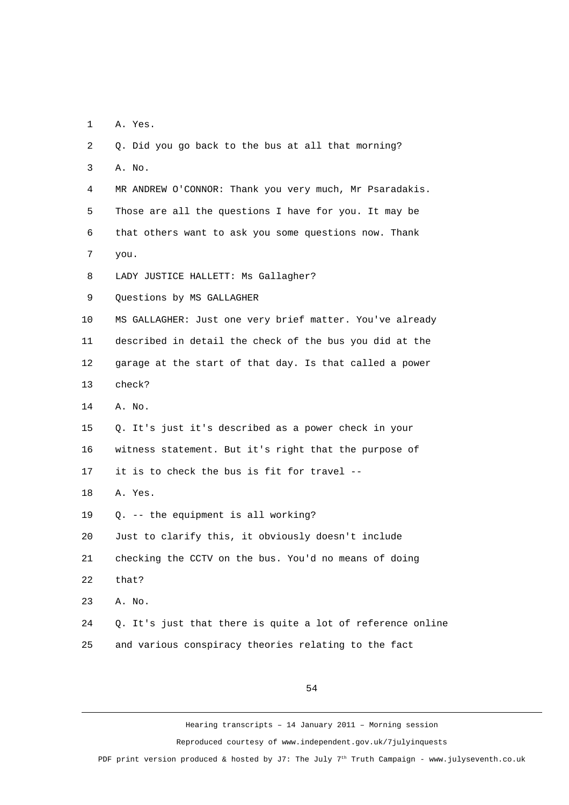1 A. Yes.

 2 Q. Did you go back to the bus at all that morning? 3 A. No. 4 MR ANDREW O'CONNOR: Thank you very much, Mr Psaradakis. 5 Those are all the questions I have for you. It may be 6 that others want to ask you some questions now. Thank 7 you. 8 LADY JUSTICE HALLETT: Ms Gallagher? 9 Questions by MS GALLAGHER 10 MS GALLAGHER: Just one very brief matter. You've already 11 described in detail the check of the bus you did at the 12 garage at the start of that day. Is that called a power 13 check? 14 A. No. 15 Q. It's just it's described as a power check in your 16 witness statement. But it's right that the purpose of 17 it is to check the bus is fit for travel -- 18 A. Yes. 19 Q. -- the equipment is all working? 20 Just to clarify this, it obviously doesn't include 21 checking the CCTV on the bus. You'd no means of doing 22 that? 23 A. No. 24 Q. It's just that there is quite a lot of reference online 25 and various conspiracy theories relating to the fact

54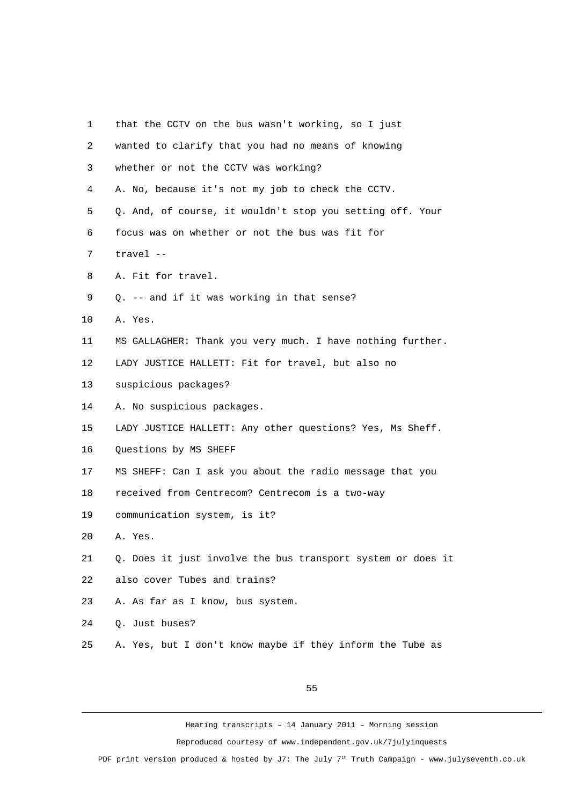| 1              | that the CCTV on the bus wasn't working, so I just          |
|----------------|-------------------------------------------------------------|
| $\overline{2}$ | wanted to clarify that you had no means of knowing          |
| 3              | whether or not the CCTV was working?                        |
| 4              | A. No, because it's not my job to check the CCTV.           |
| 5              | Q. And, of course, it wouldn't stop you setting off. Your   |
| 6              | focus was on whether or not the bus was fit for             |
| 7              | travel --                                                   |
| 8              | A. Fit for travel.                                          |
| 9              | Q. -- and if it was working in that sense?                  |
| 10             | A. Yes.                                                     |
| 11             | MS GALLAGHER: Thank you very much. I have nothing further.  |
| 12             | LADY JUSTICE HALLETT: Fit for travel, but also no           |
| 13             | suspicious packages?                                        |
| 14             | A. No suspicious packages.                                  |
| 15             | LADY JUSTICE HALLETT: Any other questions? Yes, Ms Sheff.   |
| 16             | Questions by MS SHEFF                                       |
| 17             | MS SHEFF: Can I ask you about the radio message that you    |
| 18             | received from Centrecom? Centrecom is a two-way             |
| 19             | communication system, is it?                                |
| 20             | A. Yes.                                                     |
| 21             | Q. Does it just involve the bus transport system or does it |
| 22             | also cover Tubes and trains?                                |
| 23             | A. As far as I know, bus system.                            |
| 24             | Q. Just buses?                                              |
| 25             | A. Yes, but I don't know maybe if they inform the Tube as   |
|                |                                                             |

Hearing transcripts – 14 January 2011 – Morning session Reproduced courtesy of www.independent.gov.uk/7julyinquests

PDF print version produced & hosted by J7: The July 7<sup>th</sup> Truth Campaign - www.julyseventh.co.uk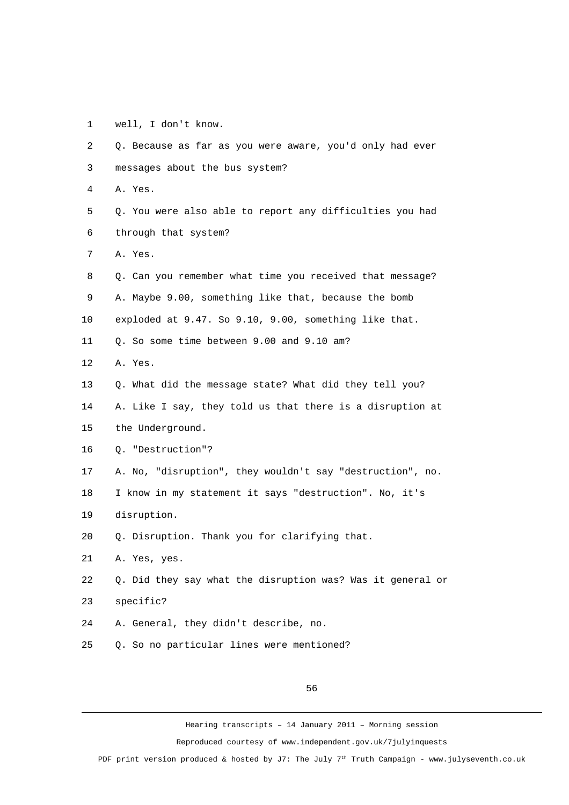1 well, I don't know.

| $\overline{2}$ | Q. Because as far as you were aware, you'd only had ever   |
|----------------|------------------------------------------------------------|
|                |                                                            |
| 3              | messages about the bus system?                             |
| 4              | A. Yes.                                                    |
| 5              | Q. You were also able to report any difficulties you had   |
| 6              | through that system?                                       |
| 7              | A. Yes.                                                    |
| 8              | Q. Can you remember what time you received that message?   |
| 9              | A. Maybe 9.00, something like that, because the bomb       |
| 10             | exploded at 9.47. So 9.10, 9.00, something like that.      |
| 11             | Q. So some time between 9.00 and 9.10 am?                  |
| 12             | A. Yes.                                                    |
| 13             | Q. What did the message state? What did they tell you?     |
| 14             | A. Like I say, they told us that there is a disruption at  |
| 15             | the Underground.                                           |
| 16             | Q. "Destruction"?                                          |
| 17             | A. No, "disruption", they wouldn't say "destruction", no.  |
| 18             | I know in my statement it says "destruction". No, it's     |
| 19             | disruption.                                                |
| 20             | Q. Disruption. Thank you for clarifying that.              |
| 21             | A. Yes, yes.                                               |
| 22             | Q. Did they say what the disruption was? Was it general or |
| 23             | specific?                                                  |
| 24             | A. General, they didn't describe, no.                      |
| 25             | Q. So no particular lines were mentioned?                  |

56

Hearing transcripts – 14 January 2011 – Morning session

Reproduced courtesy of www.independent.gov.uk/7julyinquests

PDF print version produced & hosted by J7: The July 7<sup>th</sup> Truth Campaign - www.julyseventh.co.uk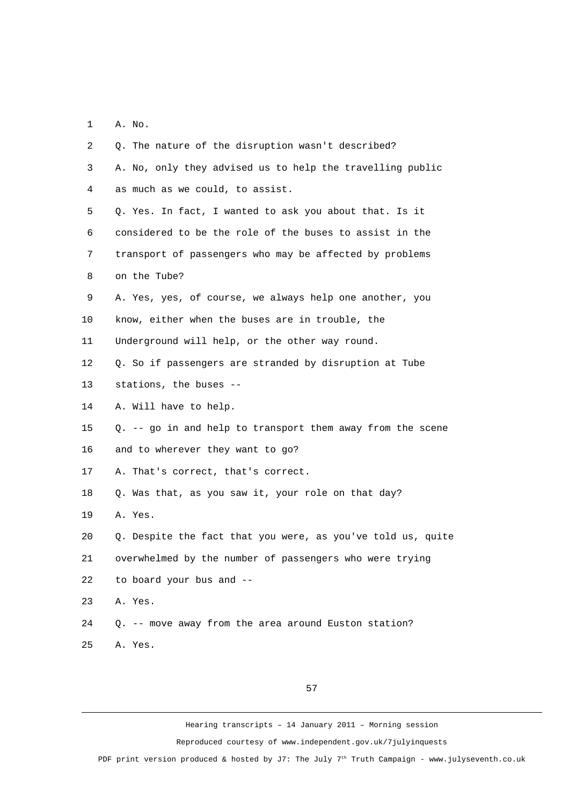1 A. No.

| $\overline{2}$ | Q. The nature of the disruption wasn't described?             |
|----------------|---------------------------------------------------------------|
| 3              | A. No, only they advised us to help the travelling public     |
| 4              | as much as we could, to assist.                               |
| 5              | Q. Yes. In fact, I wanted to ask you about that. Is it        |
| 6              | considered to be the role of the buses to assist in the       |
| 7              | transport of passengers who may be affected by problems       |
| 8              | on the Tube?                                                  |
| 9              | A. Yes, yes, of course, we always help one another, you       |
| 10             | know, either when the buses are in trouble, the               |
| 11             | Underground will help, or the other way round.                |
| 12             | Q. So if passengers are stranded by disruption at Tube        |
| 13             | stations, the buses --                                        |
| 14             | A. Will have to help.                                         |
| 15             | $Q. -$ - go in and help to transport them away from the scene |
| 16             | and to wherever they want to go?                              |
| 17             | A. That's correct, that's correct.                            |
| 18             | Q. Was that, as you saw it, your role on that day?            |
| 19             | A. Yes.                                                       |
| 20             | Q. Despite the fact that you were, as you've told us, quite   |
| 21             | overwhelmed by the number of passengers who were trying       |
| 22             | to board your bus and --                                      |
| 23             | A. Yes.                                                       |
| 24             | Q. -- move away from the area around Euston station?          |
| 25             | A. Yes.                                                       |

57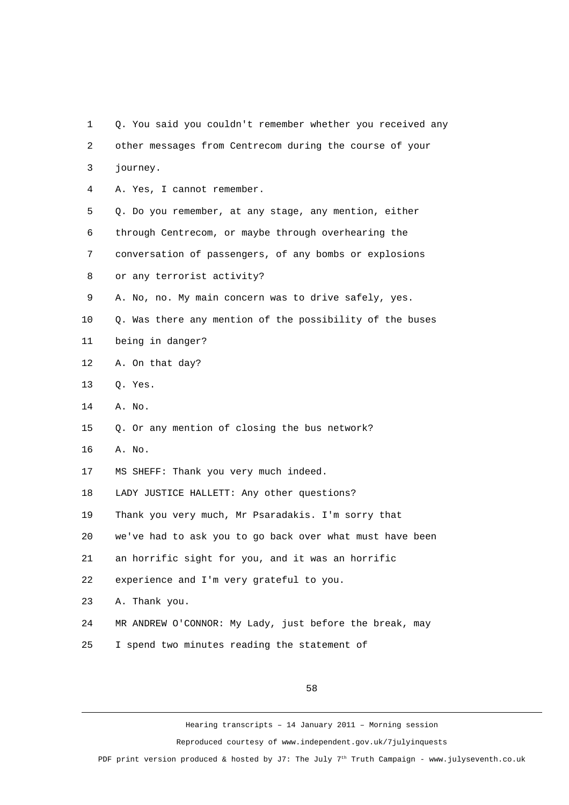1 Q. You said you couldn't remember whether you received any 2 other messages from Centrecom during the course of your 3 journey. 4 A. Yes, I cannot remember. 5 Q. Do you remember, at any stage, any mention, either 6 through Centrecom, or maybe through overhearing the 7 conversation of passengers, of any bombs or explosions 8 or any terrorist activity? 9 A. No, no. My main concern was to drive safely, yes. 10 Q. Was there any mention of the possibility of the buses 11 being in danger? 12 A. On that day? 13 Q. Yes. 14 A. No. 15 Q. Or any mention of closing the bus network? 16 A. No. 17 MS SHEFF: Thank you very much indeed. 18 LADY JUSTICE HALLETT: Any other questions? 19 Thank you very much, Mr Psaradakis. I'm sorry that 20 we've had to ask you to go back over what must have been 21 an horrific sight for you, and it was an horrific 22 experience and I'm very grateful to you. 23 A. Thank you. 24 MR ANDREW O'CONNOR: My Lady, just before the break, may 25 I spend two minutes reading the statement of

58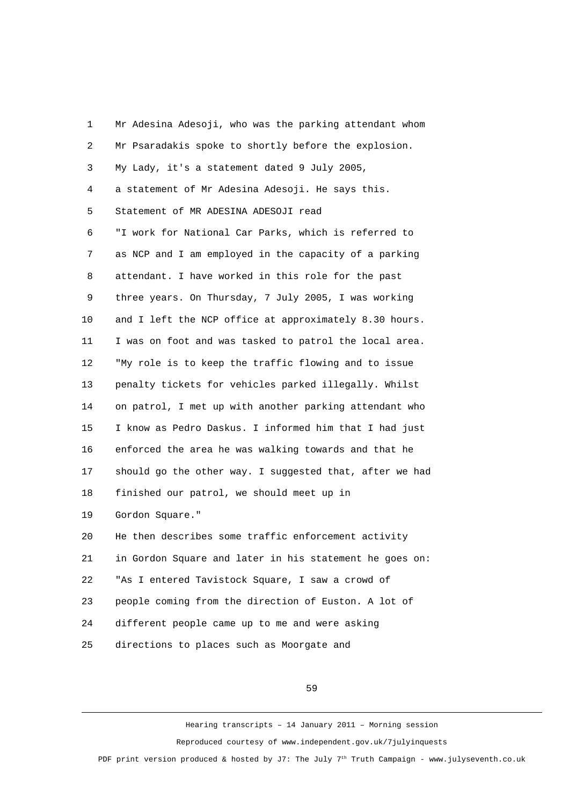1 Mr Adesina Adesoji, who was the parking attendant whom 2 Mr Psaradakis spoke to shortly before the explosion. 3 My Lady, it's a statement dated 9 July 2005, 4 a statement of Mr Adesina Adesoji. He says this. 5 Statement of MR ADESINA ADESOJI read 6 "I work for National Car Parks, which is referred to 7 as NCP and I am employed in the capacity of a parking 8 attendant. I have worked in this role for the past 9 three years. On Thursday, 7 July 2005, I was working 10 and I left the NCP office at approximately 8.30 hours. 11 I was on foot and was tasked to patrol the local area. 12 "My role is to keep the traffic flowing and to issue 13 penalty tickets for vehicles parked illegally. Whilst 14 on patrol, I met up with another parking attendant who 15 I know as Pedro Daskus. I informed him that I had just 16 enforced the area he was walking towards and that he 17 should go the other way. I suggested that, after we had 18 finished our patrol, we should meet up in 19 Gordon Square." 20 He then describes some traffic enforcement activity 21 in Gordon Square and later in his statement he goes on: 22 "As I entered Tavistock Square, I saw a crowd of 23 people coming from the direction of Euston. A lot of 24 different people came up to me and were asking 25 directions to places such as Moorgate and

59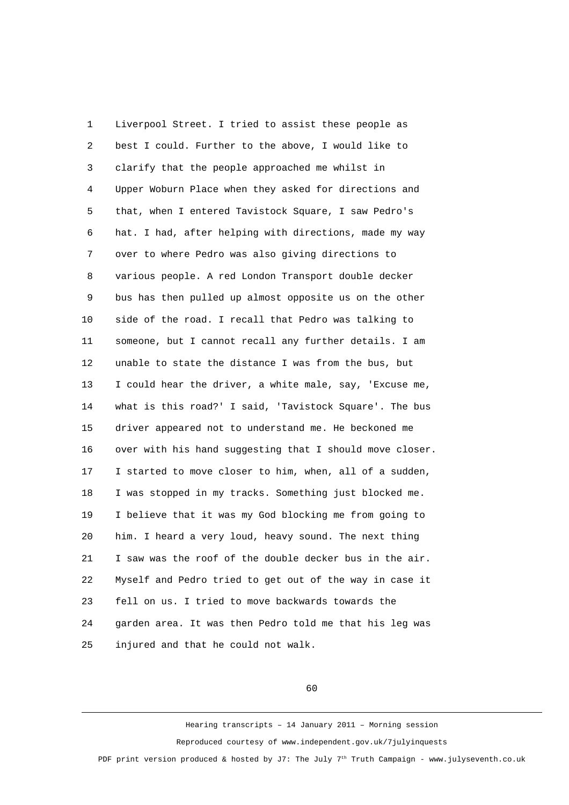1 Liverpool Street. I tried to assist these people as 2 best I could. Further to the above, I would like to 3 clarify that the people approached me whilst in 4 Upper Woburn Place when they asked for directions and 5 that, when I entered Tavistock Square, I saw Pedro's 6 hat. I had, after helping with directions, made my way 7 over to where Pedro was also giving directions to 8 various people. A red London Transport double decker 9 bus has then pulled up almost opposite us on the other 10 side of the road. I recall that Pedro was talking to 11 someone, but I cannot recall any further details. I am 12 unable to state the distance I was from the bus, but 13 I could hear the driver, a white male, say, 'Excuse me, 14 what is this road?' I said, 'Tavistock Square'. The bus 15 driver appeared not to understand me. He beckoned me 16 over with his hand suggesting that I should move closer. 17 I started to move closer to him, when, all of a sudden, 18 I was stopped in my tracks. Something just blocked me. 19 I believe that it was my God blocking me from going to 20 him. I heard a very loud, heavy sound. The next thing 21 I saw was the roof of the double decker bus in the air. 22 Myself and Pedro tried to get out of the way in case it 23 fell on us. I tried to move backwards towards the 24 garden area. It was then Pedro told me that his leg was 25 injured and that he could not walk.

60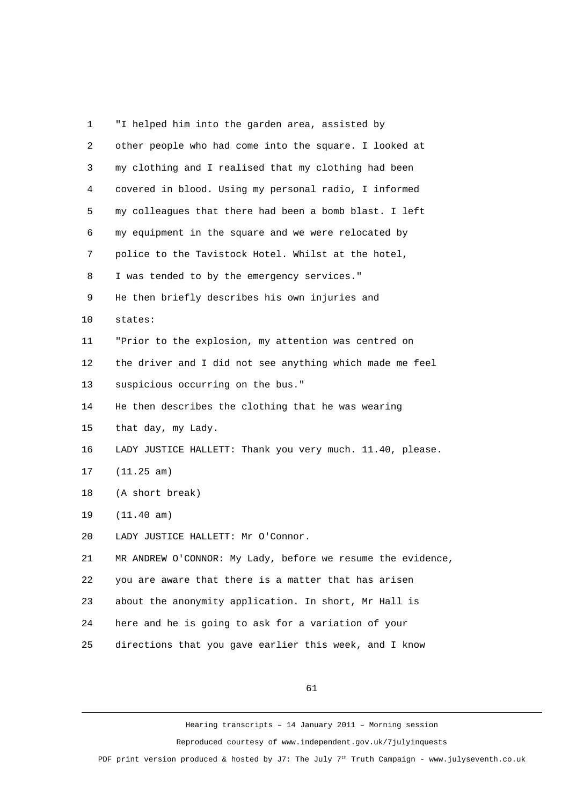| 1              | "I helped him into the garden area, assisted by             |
|----------------|-------------------------------------------------------------|
| $\overline{c}$ | other people who had come into the square. I looked at      |
| 3              | my clothing and I realised that my clothing had been        |
| 4              | covered in blood. Using my personal radio, I informed       |
| 5              | my colleagues that there had been a bomb blast. I left      |
| 6              | my equipment in the square and we were relocated by         |
| $\overline{7}$ | police to the Tavistock Hotel. Whilst at the hotel,         |
| 8              | I was tended to by the emergency services."                 |
| 9              | He then briefly describes his own injuries and              |
| 10             | states:                                                     |
| 11             | "Prior to the explosion, my attention was centred on        |
| 12             | the driver and I did not see anything which made me feel    |
| 13             | suspicious occurring on the bus."                           |
| 14             | He then describes the clothing that he was wearing          |
| 15             | that day, my Lady.                                          |
| 16             | LADY JUSTICE HALLETT: Thank you very much. 11.40, please.   |
| 17             | (11.25 am)                                                  |
| 18             | (A short break)                                             |
| 19             | $(11.40 \text{ am})$                                        |
| 20             | LADY JUSTICE HALLETT: Mr O'Connor.                          |
| 21             | MR ANDREW O'CONNOR: My Lady, before we resume the evidence, |
| 22             | you are aware that there is a matter that has arisen        |
| 23             | about the anonymity application. In short, Mr Hall is       |
| 24             | here and he is going to ask for a variation of your         |
| 25             | directions that you gave earlier this week, and I know      |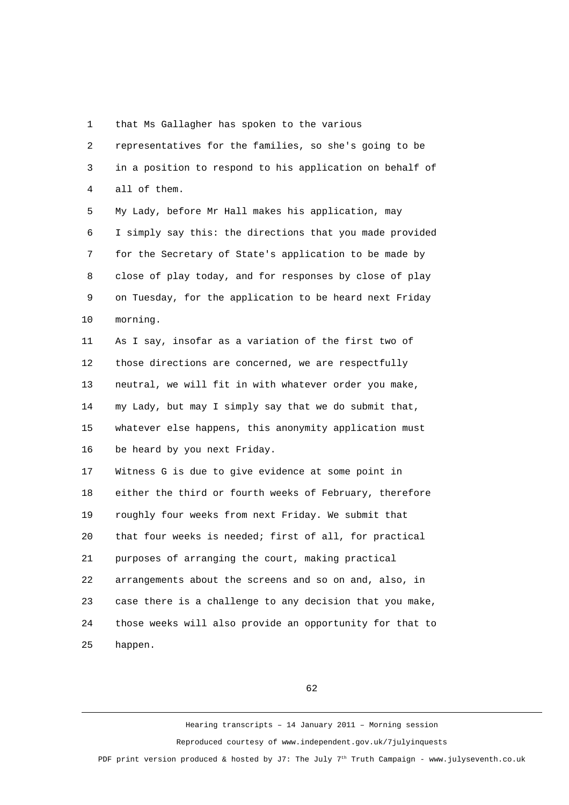1 that Ms Gallagher has spoken to the various

 2 representatives for the families, so she's going to be 3 in a position to respond to his application on behalf of 4 all of them.

 5 My Lady, before Mr Hall makes his application, may 6 I simply say this: the directions that you made provided 7 for the Secretary of State's application to be made by 8 close of play today, and for responses by close of play 9 on Tuesday, for the application to be heard next Friday 10 morning.

11 As I say, insofar as a variation of the first two of 12 those directions are concerned, we are respectfully 13 neutral, we will fit in with whatever order you make, 14 my Lady, but may I simply say that we do submit that, 15 whatever else happens, this anonymity application must 16 be heard by you next Friday.

17 Witness G is due to give evidence at some point in 18 either the third or fourth weeks of February, therefore 19 roughly four weeks from next Friday. We submit that 20 that four weeks is needed; first of all, for practical 21 purposes of arranging the court, making practical 22 arrangements about the screens and so on and, also, in 23 case there is a challenge to any decision that you make, 24 those weeks will also provide an opportunity for that to 25 happen.

62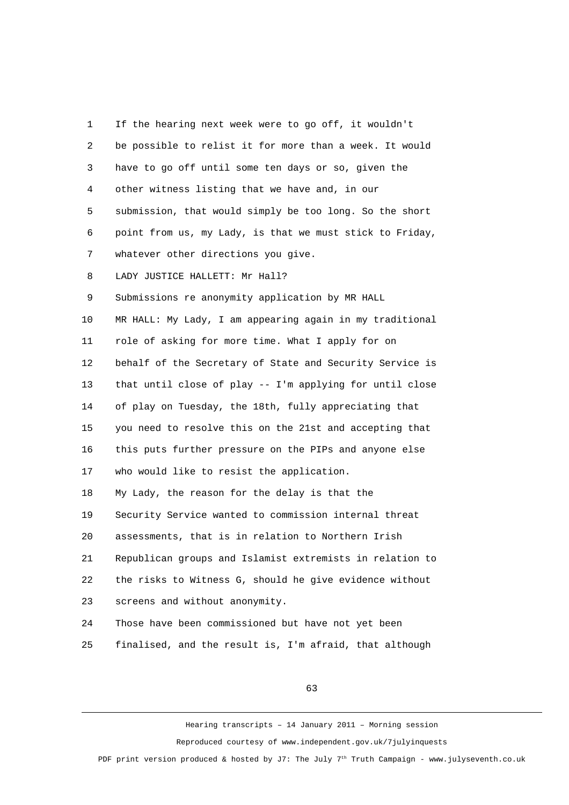| 1  | If the hearing next week were to go off, it wouldn't     |
|----|----------------------------------------------------------|
| 2  | be possible to relist it for more than a week. It would  |
| 3  | have to go off until some ten days or so, given the      |
| 4  | other witness listing that we have and, in our           |
| 5  | submission, that would simply be too long. So the short  |
| 6  | point from us, my Lady, is that we must stick to Friday, |
| 7  | whatever other directions you give.                      |
| 8  | LADY JUSTICE HALLETT: Mr Hall?                           |
| 9  | Submissions re anonymity application by MR HALL          |
| 10 | MR HALL: My Lady, I am appearing again in my traditional |
| 11 | role of asking for more time. What I apply for on        |
| 12 | behalf of the Secretary of State and Security Service is |
| 13 | that until close of play -- I'm applying for until close |
| 14 | of play on Tuesday, the 18th, fully appreciating that    |
| 15 | you need to resolve this on the 21st and accepting that  |
| 16 | this puts further pressure on the PIPs and anyone else   |
| 17 | who would like to resist the application.                |
| 18 | My Lady, the reason for the delay is that the            |
| 19 | Security Service wanted to commission internal threat    |
| 20 | assessments, that is in relation to Northern Irish       |
| 21 | Republican groups and Islamist extremists in relation to |
| 22 | the risks to Witness G, should he give evidence without  |
| 23 | screens and without anonymity.                           |
| 24 | Those have been commissioned but have not yet been       |
|    |                                                          |

25 finalised, and the result is, I'm afraid, that although

63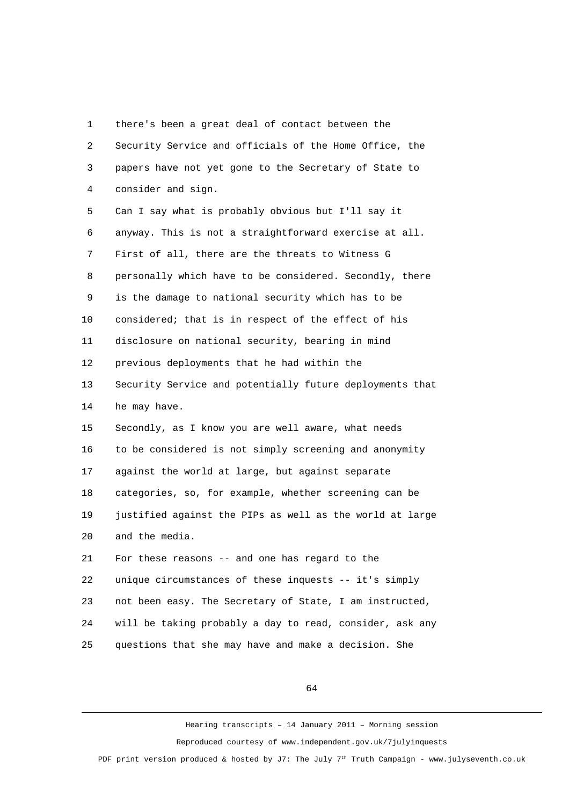1 there's been a great deal of contact between the 2 Security Service and officials of the Home Office, the 3 papers have not yet gone to the Secretary of State to 4 consider and sign. 5 Can I say what is probably obvious but I'll say it 6 anyway. This is not a straightforward exercise at all. 7 First of all, there are the threats to Witness G 8 personally which have to be considered. Secondly, there 9 is the damage to national security which has to be 10 considered; that is in respect of the effect of his 11 disclosure on national security, bearing in mind 12 previous deployments that he had within the 13 Security Service and potentially future deployments that 14 he may have. 15 Secondly, as I know you are well aware, what needs 16 to be considered is not simply screening and anonymity 17 against the world at large, but against separate 18 categories, so, for example, whether screening can be 19 justified against the PIPs as well as the world at large 20 and the media. 21 For these reasons -- and one has regard to the 22 unique circumstances of these inquests -- it's simply 23 not been easy. The Secretary of State, I am instructed, 24 will be taking probably a day to read, consider, ask any 25 questions that she may have and make a decision. She

64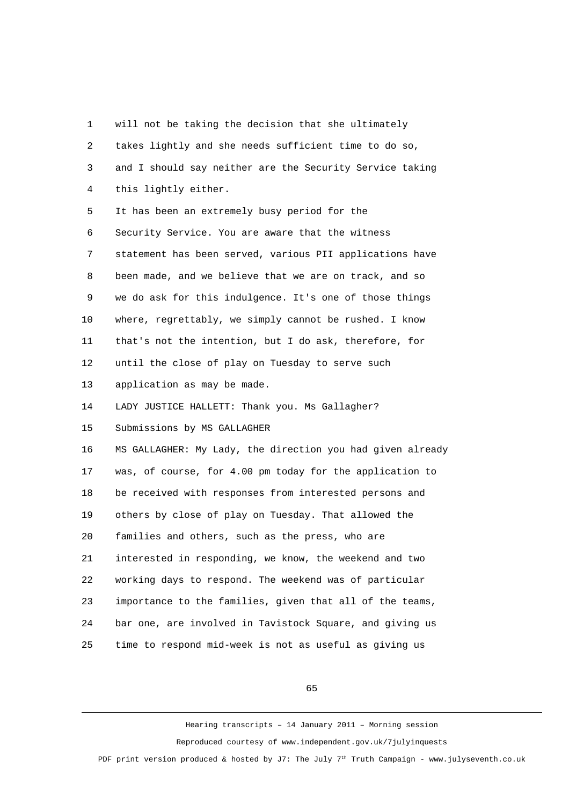1 will not be taking the decision that she ultimately 2 takes lightly and she needs sufficient time to do so, 3 and I should say neither are the Security Service taking 4 this lightly either. 5 It has been an extremely busy period for the 6 Security Service. You are aware that the witness 7 statement has been served, various PII applications have 8 been made, and we believe that we are on track, and so 9 we do ask for this indulgence. It's one of those things 10 where, regrettably, we simply cannot be rushed. I know 11 that's not the intention, but I do ask, therefore, for 12 until the close of play on Tuesday to serve such 13 application as may be made. 14 LADY JUSTICE HALLETT: Thank you. Ms Gallagher? 15 Submissions by MS GALLAGHER 16 MS GALLAGHER: My Lady, the direction you had given already 17 was, of course, for 4.00 pm today for the application to 18 be received with responses from interested persons and 19 others by close of play on Tuesday. That allowed the 20 families and others, such as the press, who are 21 interested in responding, we know, the weekend and two 22 working days to respond. The weekend was of particular 23 importance to the families, given that all of the teams, 24 bar one, are involved in Tavistock Square, and giving us 25 time to respond mid-week is not as useful as giving us

65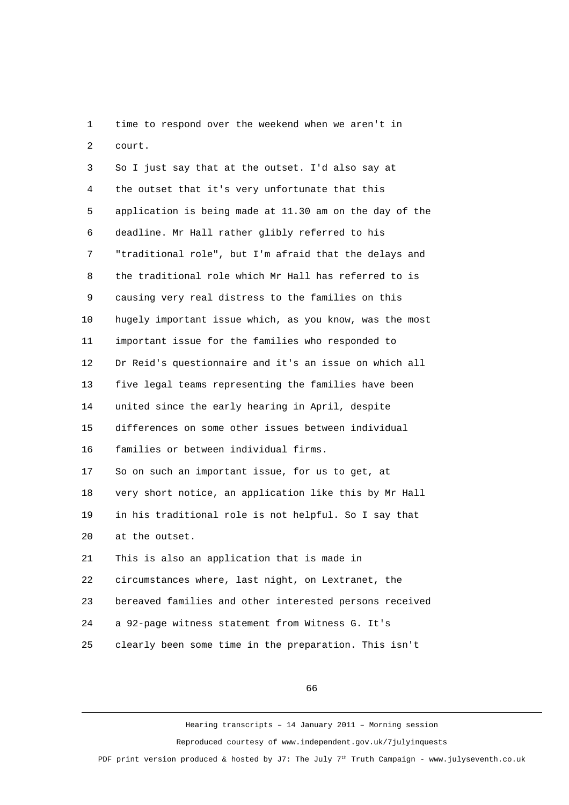1 time to respond over the weekend when we aren't in 2 court.

 3 So I just say that at the outset. I'd also say at 4 the outset that it's very unfortunate that this 5 application is being made at 11.30 am on the day of the 6 deadline. Mr Hall rather glibly referred to his 7 "traditional role", but I'm afraid that the delays and 8 the traditional role which Mr Hall has referred to is 9 causing very real distress to the families on this 10 hugely important issue which, as you know, was the most 11 important issue for the families who responded to 12 Dr Reid's questionnaire and it's an issue on which all 13 five legal teams representing the families have been 14 united since the early hearing in April, despite 15 differences on some other issues between individual 16 families or between individual firms. 17 So on such an important issue, for us to get, at 18 very short notice, an application like this by Mr Hall 19 in his traditional role is not helpful. So I say that 20 at the outset. 21 This is also an application that is made in 22 circumstances where, last night, on Lextranet, the 23 bereaved families and other interested persons received 24 a 92-page witness statement from Witness G. It's 25 clearly been some time in the preparation. This isn't

66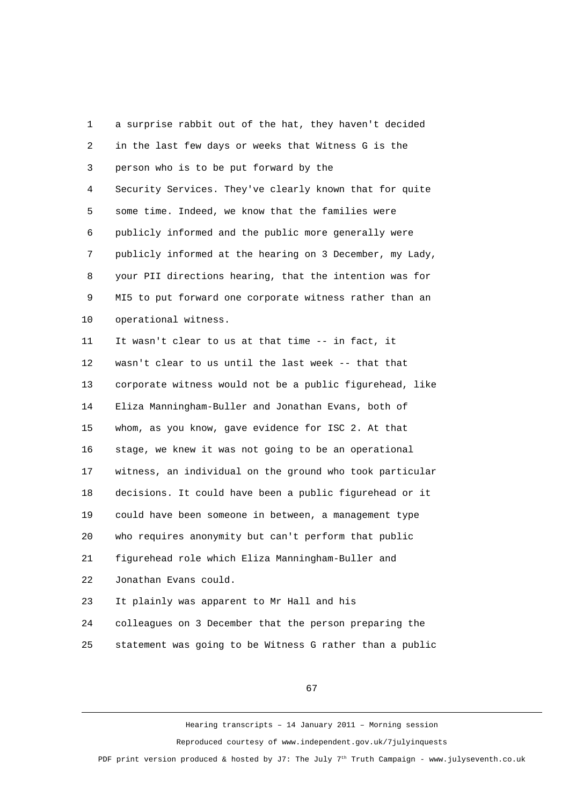1 a surprise rabbit out of the hat, they haven't decided 2 in the last few days or weeks that Witness G is the 3 person who is to be put forward by the 4 Security Services. They've clearly known that for quite 5 some time. Indeed, we know that the families were 6 publicly informed and the public more generally were 7 publicly informed at the hearing on 3 December, my Lady, 8 your PII directions hearing, that the intention was for 9 MI5 to put forward one corporate witness rather than an 10 operational witness. 11 It wasn't clear to us at that time -- in fact, it 12 wasn't clear to us until the last week -- that that 13 corporate witness would not be a public figurehead, like 14 Eliza Manningham-Buller and Jonathan Evans, both of 15 whom, as you know, gave evidence for ISC 2. At that 16 stage, we knew it was not going to be an operational 17 witness, an individual on the ground who took particular 18 decisions. It could have been a public figurehead or it 19 could have been someone in between, a management type 20 who requires anonymity but can't perform that public 21 figurehead role which Eliza Manningham-Buller and 22 Jonathan Evans could. 23 It plainly was apparent to Mr Hall and his 24 colleagues on 3 December that the person preparing the 25 statement was going to be Witness G rather than a public

67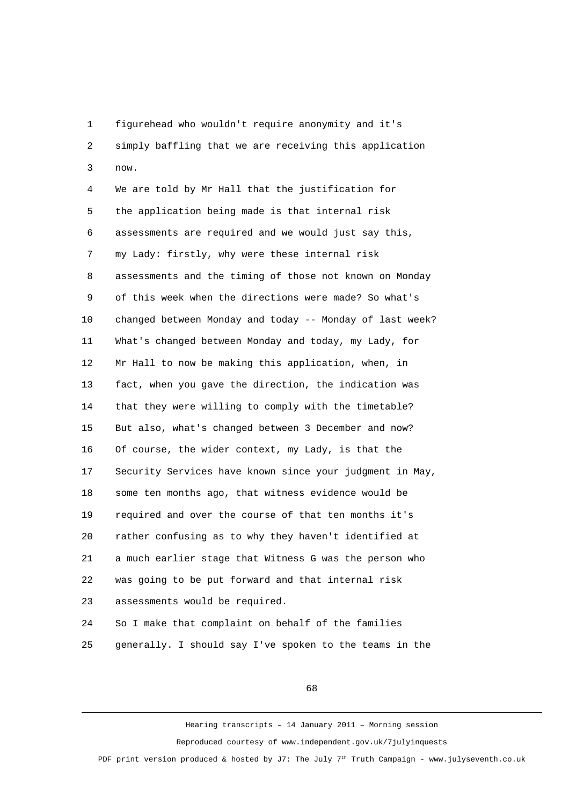1 figurehead who wouldn't require anonymity and it's 2 simply baffling that we are receiving this application 3 now.

 4 We are told by Mr Hall that the justification for 5 the application being made is that internal risk 6 assessments are required and we would just say this, 7 my Lady: firstly, why were these internal risk 8 assessments and the timing of those not known on Monday 9 of this week when the directions were made? So what's 10 changed between Monday and today -- Monday of last week? 11 What's changed between Monday and today, my Lady, for 12 Mr Hall to now be making this application, when, in 13 fact, when you gave the direction, the indication was 14 that they were willing to comply with the timetable? 15 But also, what's changed between 3 December and now? 16 Of course, the wider context, my Lady, is that the 17 Security Services have known since your judgment in May, 18 some ten months ago, that witness evidence would be 19 required and over the course of that ten months it's 20 rather confusing as to why they haven't identified at 21 a much earlier stage that Witness G was the person who 22 was going to be put forward and that internal risk 23 assessments would be required.

24 So I make that complaint on behalf of the families 25 generally. I should say I've spoken to the teams in the

68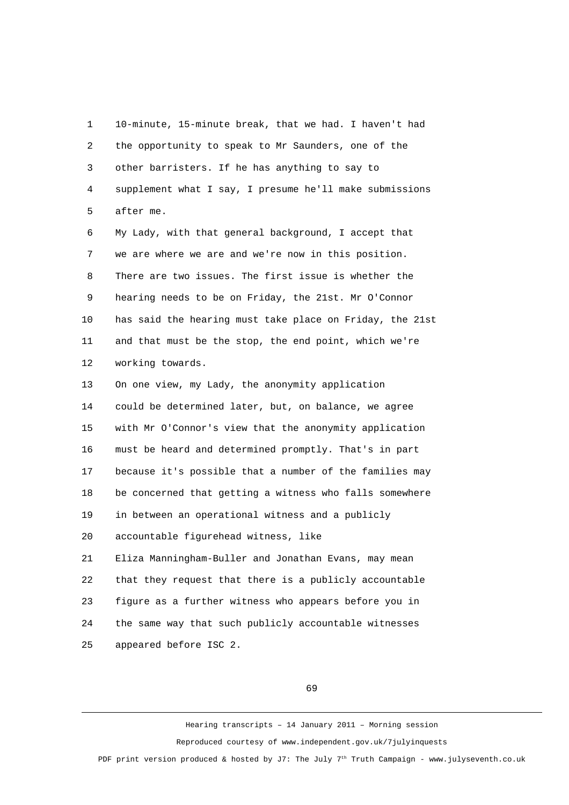1 10-minute, 15-minute break, that we had. I haven't had 2 the opportunity to speak to Mr Saunders, one of the 3 other barristers. If he has anything to say to 4 supplement what I say, I presume he'll make submissions 5 after me. 6 My Lady, with that general background, I accept that 7 we are where we are and we're now in this position. 8 There are two issues. The first issue is whether the 9 hearing needs to be on Friday, the 21st. Mr O'Connor 10 has said the hearing must take place on Friday, the 21st 11 and that must be the stop, the end point, which we're 12 working towards. 13 On one view, my Lady, the anonymity application 14 could be determined later, but, on balance, we agree 15 with Mr O'Connor's view that the anonymity application 16 must be heard and determined promptly. That's in part 17 because it's possible that a number of the families may 18 be concerned that getting a witness who falls somewhere 19 in between an operational witness and a publicly 20 accountable figurehead witness, like 21 Eliza Manningham-Buller and Jonathan Evans, may mean 22 that they request that there is a publicly accountable 23 figure as a further witness who appears before you in 24 the same way that such publicly accountable witnesses

25 appeared before ISC 2.

69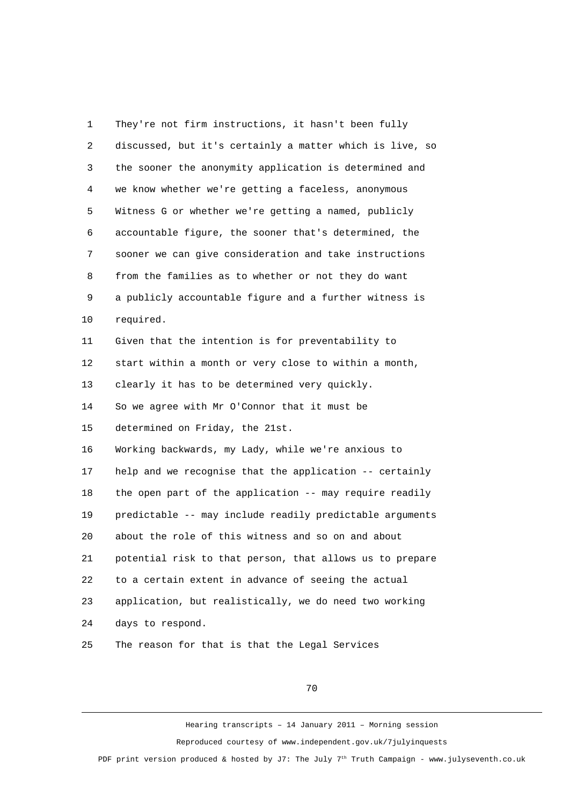1 They're not firm instructions, it hasn't been fully 2 discussed, but it's certainly a matter which is live, so 3 the sooner the anonymity application is determined and 4 we know whether we're getting a faceless, anonymous 5 Witness G or whether we're getting a named, publicly 6 accountable figure, the sooner that's determined, the 7 sooner we can give consideration and take instructions 8 from the families as to whether or not they do want 9 a publicly accountable figure and a further witness is 10 required. 11 Given that the intention is for preventability to 12 start within a month or very close to within a month, 13 clearly it has to be determined very quickly. 14 So we agree with Mr O'Connor that it must be 15 determined on Friday, the 21st. 16 Working backwards, my Lady, while we're anxious to 17 help and we recognise that the application -- certainly 18 the open part of the application -- may require readily 19 predictable -- may include readily predictable arguments 20 about the role of this witness and so on and about 21 potential risk to that person, that allows us to prepare 22 to a certain extent in advance of seeing the actual 23 application, but realistically, we do need two working 24 days to respond. 25 The reason for that is that the Legal Services

70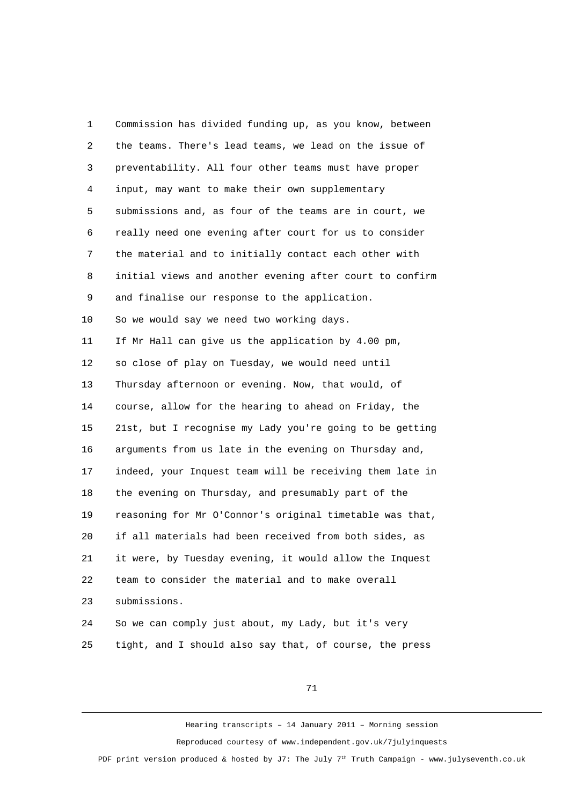1 Commission has divided funding up, as you know, between 2 the teams. There's lead teams, we lead on the issue of 3 preventability. All four other teams must have proper 4 input, may want to make their own supplementary 5 submissions and, as four of the teams are in court, we 6 really need one evening after court for us to consider 7 the material and to initially contact each other with 8 initial views and another evening after court to confirm 9 and finalise our response to the application. 10 So we would say we need two working days. 11 If Mr Hall can give us the application by 4.00 pm, 12 so close of play on Tuesday, we would need until 13 Thursday afternoon or evening. Now, that would, of 14 course, allow for the hearing to ahead on Friday, the 15 21st, but I recognise my Lady you're going to be getting 16 arguments from us late in the evening on Thursday and, 17 indeed, your Inquest team will be receiving them late in 18 the evening on Thursday, and presumably part of the 19 reasoning for Mr O'Connor's original timetable was that, 20 if all materials had been received from both sides, as 21 it were, by Tuesday evening, it would allow the Inquest 22 team to consider the material and to make overall 23 submissions. 24 So we can comply just about, my Lady, but it's very

25 tight, and I should also say that, of course, the press

71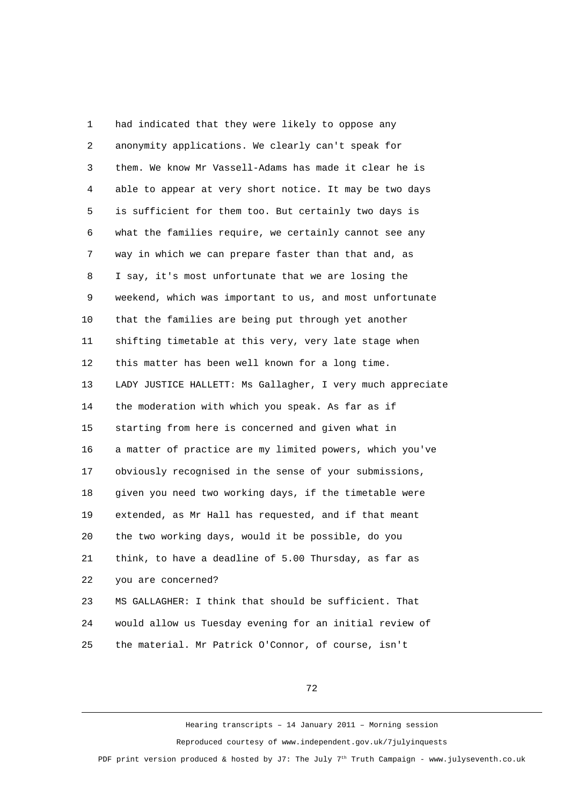1 had indicated that they were likely to oppose any 2 anonymity applications. We clearly can't speak for 3 them. We know Mr Vassell-Adams has made it clear he is 4 able to appear at very short notice. It may be two days 5 is sufficient for them too. But certainly two days is 6 what the families require, we certainly cannot see any 7 way in which we can prepare faster than that and, as 8 I say, it's most unfortunate that we are losing the 9 weekend, which was important to us, and most unfortunate 10 that the families are being put through yet another 11 shifting timetable at this very, very late stage when 12 this matter has been well known for a long time. 13 LADY JUSTICE HALLETT: Ms Gallagher, I very much appreciate 14 the moderation with which you speak. As far as if 15 starting from here is concerned and given what in 16 a matter of practice are my limited powers, which you've 17 obviously recognised in the sense of your submissions, 18 given you need two working days, if the timetable were 19 extended, as Mr Hall has requested, and if that meant 20 the two working days, would it be possible, do you 21 think, to have a deadline of 5.00 Thursday, as far as 22 you are concerned? 23 MS GALLAGHER: I think that should be sufficient. That 24 would allow us Tuesday evening for an initial review of

25 the material. Mr Patrick O'Connor, of course, isn't

72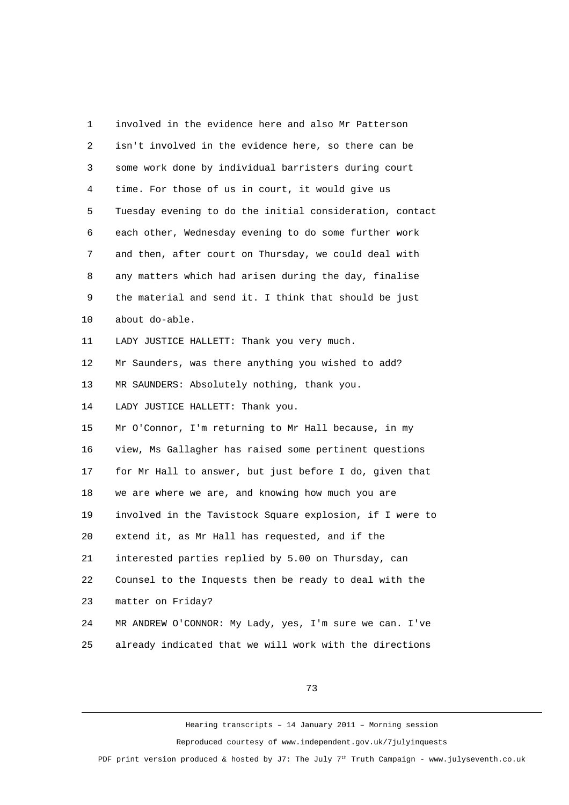1 involved in the evidence here and also Mr Patterson 2 isn't involved in the evidence here, so there can be 3 some work done by individual barristers during court 4 time. For those of us in court, it would give us 5 Tuesday evening to do the initial consideration, contact 6 each other, Wednesday evening to do some further work 7 and then, after court on Thursday, we could deal with 8 any matters which had arisen during the day, finalise 9 the material and send it. I think that should be just 10 about do-able. 11 LADY JUSTICE HALLETT: Thank you very much. 12 Mr Saunders, was there anything you wished to add? 13 MR SAUNDERS: Absolutely nothing, thank you. 14 LADY JUSTICE HALLETT: Thank you. 15 Mr O'Connor, I'm returning to Mr Hall because, in my 16 view, Ms Gallagher has raised some pertinent questions 17 for Mr Hall to answer, but just before I do, given that 18 we are where we are, and knowing how much you are 19 involved in the Tavistock Square explosion, if I were to 20 extend it, as Mr Hall has requested, and if the 21 interested parties replied by 5.00 on Thursday, can 22 Counsel to the Inquests then be ready to deal with the 23 matter on Friday? 24 MR ANDREW O'CONNOR: My Lady, yes, I'm sure we can. I've 25 already indicated that we will work with the directions

73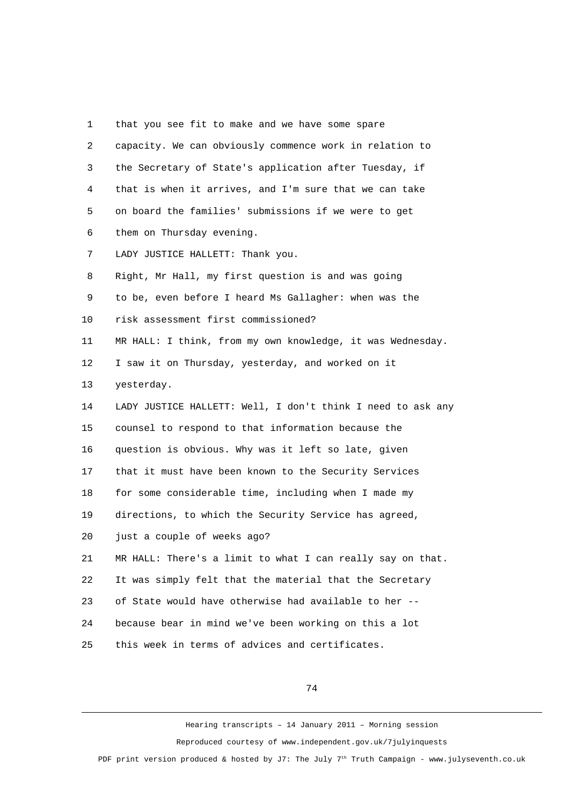1 that you see fit to make and we have some spare 2 capacity. We can obviously commence work in relation to 3 the Secretary of State's application after Tuesday, if 4 that is when it arrives, and I'm sure that we can take 5 on board the families' submissions if we were to get 6 them on Thursday evening. 7 LADY JUSTICE HALLETT: Thank you. 8 Right, Mr Hall, my first question is and was going 9 to be, even before I heard Ms Gallagher: when was the 10 risk assessment first commissioned? 11 MR HALL: I think, from my own knowledge, it was Wednesday. 12 I saw it on Thursday, yesterday, and worked on it 13 yesterday. 14 LADY JUSTICE HALLETT: Well, I don't think I need to ask any 15 counsel to respond to that information because the 16 question is obvious. Why was it left so late, given 17 that it must have been known to the Security Services 18 for some considerable time, including when I made my 19 directions, to which the Security Service has agreed, 20 just a couple of weeks ago? 21 MR HALL: There's a limit to what I can really say on that. 22 It was simply felt that the material that the Secretary 23 of State would have otherwise had available to her -- 24 because bear in mind we've been working on this a lot 25 this week in terms of advices and certificates.

74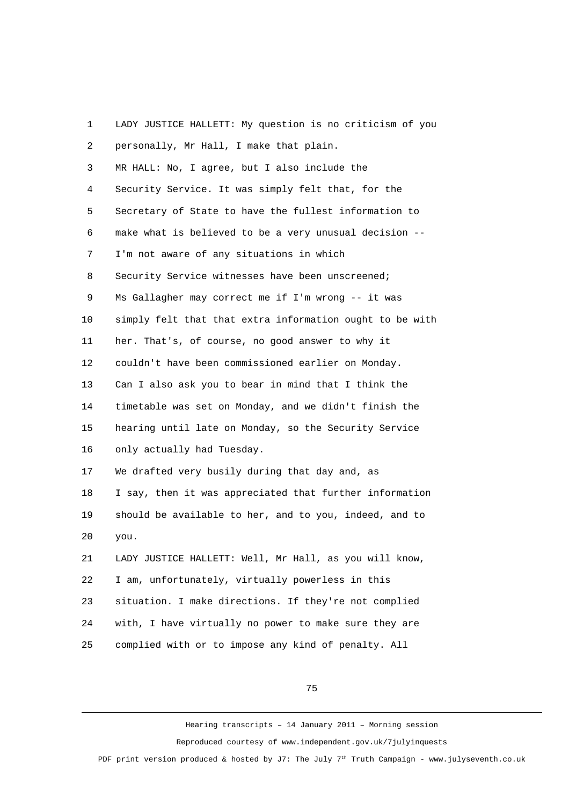1 LADY JUSTICE HALLETT: My question is no criticism of you 2 personally, Mr Hall, I make that plain. 3 MR HALL: No, I agree, but I also include the 4 Security Service. It was simply felt that, for the 5 Secretary of State to have the fullest information to 6 make what is believed to be a very unusual decision -- 7 I'm not aware of any situations in which 8 Security Service witnesses have been unscreened; 9 Ms Gallagher may correct me if I'm wrong -- it was 10 simply felt that that extra information ought to be with 11 her. That's, of course, no good answer to why it 12 couldn't have been commissioned earlier on Monday. 13 Can I also ask you to bear in mind that I think the 14 timetable was set on Monday, and we didn't finish the 15 hearing until late on Monday, so the Security Service 16 only actually had Tuesday. 17 We drafted very busily during that day and, as 18 I say, then it was appreciated that further information 19 should be available to her, and to you, indeed, and to 20 you. 21 LADY JUSTICE HALLETT: Well, Mr Hall, as you will know, 22 I am, unfortunately, virtually powerless in this 23 situation. I make directions. If they're not complied 24 with, I have virtually no power to make sure they are 25 complied with or to impose any kind of penalty. All

75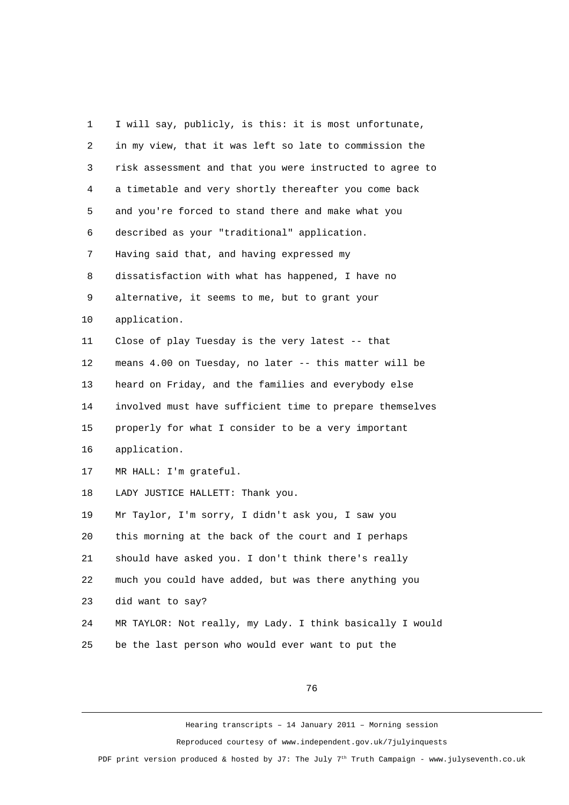1 I will say, publicly, is this: it is most unfortunate, 2 in my view, that it was left so late to commission the 3 risk assessment and that you were instructed to agree to 4 a timetable and very shortly thereafter you come back 5 and you're forced to stand there and make what you 6 described as your "traditional" application. 7 Having said that, and having expressed my 8 dissatisfaction with what has happened, I have no 9 alternative, it seems to me, but to grant your 10 application. 11 Close of play Tuesday is the very latest -- that 12 means 4.00 on Tuesday, no later -- this matter will be 13 heard on Friday, and the families and everybody else 14 involved must have sufficient time to prepare themselves 15 properly for what I consider to be a very important 16 application. 17 MR HALL: I'm grateful. 18 LADY JUSTICE HALLETT: Thank you. 19 Mr Taylor, I'm sorry, I didn't ask you, I saw you 20 this morning at the back of the court and I perhaps 21 should have asked you. I don't think there's really 22 much you could have added, but was there anything you 23 did want to say? 24 MR TAYLOR: Not really, my Lady. I think basically I would 25 be the last person who would ever want to put the

76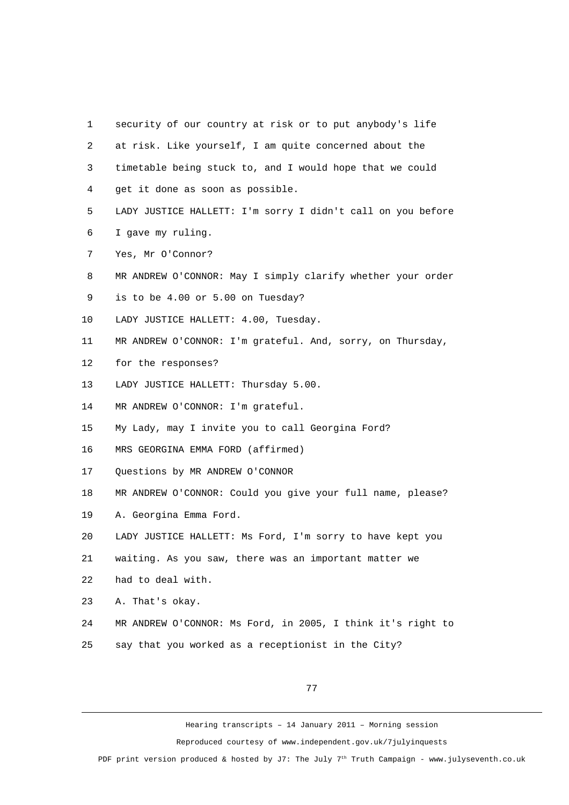| 1              | security of our country at risk or to put anybody's life    |
|----------------|-------------------------------------------------------------|
| $\overline{2}$ | at risk. Like yourself, I am quite concerned about the      |
| 3              | timetable being stuck to, and I would hope that we could    |
| 4              | get it done as soon as possible.                            |
| 5              | LADY JUSTICE HALLETT: I'm sorry I didn't call on you before |
| 6              | I gave my ruling.                                           |
| $\overline{7}$ | Yes, Mr O'Connor?                                           |
| 8              | MR ANDREW O'CONNOR: May I simply clarify whether your order |
| 9              | is to be 4.00 or 5.00 on Tuesday?                           |
| 10             | LADY JUSTICE HALLETT: 4.00, Tuesday.                        |
| 11             | MR ANDREW O'CONNOR: I'm grateful. And, sorry, on Thursday,  |
| 12             | for the responses?                                          |
| 13             | LADY JUSTICE HALLETT: Thursday 5.00.                        |
| 14             | MR ANDREW O'CONNOR: I'm grateful.                           |
| 15             | My Lady, may I invite you to call Georgina Ford?            |
| 16             | MRS GEORGINA EMMA FORD (affirmed)                           |
| 17             | Questions by MR ANDREW O'CONNOR                             |
| 18             | MR ANDREW O'CONNOR: Could you give your full name, please?  |
| 19             | A. Georgina Emma Ford.                                      |
| 20             | LADY JUSTICE HALLETT: Ms Ford, I'm sorry to have kept you   |
| 21             | waiting. As you saw, there was an important matter we       |
| 22             | had to deal with.                                           |
| 23             | A. That's okay.                                             |
| 24             | MR ANDREW O'CONNOR: Ms Ford, in 2005, I think it's right to |
| 25             | say that you worked as a receptionist in the City?          |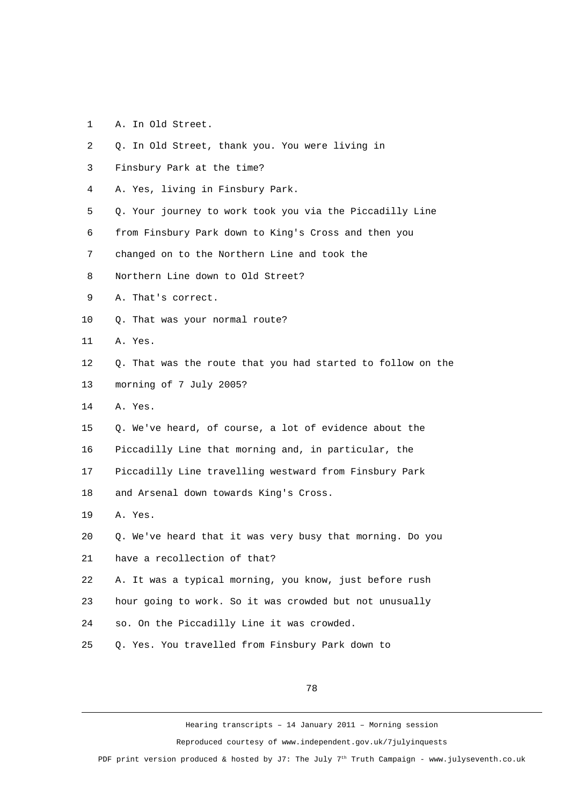- 1 A. In Old Street.
- 2 Q. In Old Street, thank you. You were living in
- 3 Finsbury Park at the time?
- 4 A. Yes, living in Finsbury Park.
- 5 Q. Your journey to work took you via the Piccadilly Line
- 6 from Finsbury Park down to King's Cross and then you
- 7 changed on to the Northern Line and took the
- 8 Northern Line down to Old Street?
- 9 A. That's correct.
- 10 Q. That was your normal route?
- 11 A. Yes.
- 12 Q. That was the route that you had started to follow on the 13 morning of 7 July 2005?
- 14 A. Yes.
- 15 Q. We've heard, of course, a lot of evidence about the
- 16 Piccadilly Line that morning and, in particular, the
- 17 Piccadilly Line travelling westward from Finsbury Park
- 18 and Arsenal down towards King's Cross.
- 19 A. Yes.
- 20 Q. We've heard that it was very busy that morning. Do you
- 21 have a recollection of that?
- 22 A. It was a typical morning, you know, just before rush
- 23 hour going to work. So it was crowded but not unusually
- 24 so. On the Piccadilly Line it was crowded.
- 25 Q. Yes. You travelled from Finsbury Park down to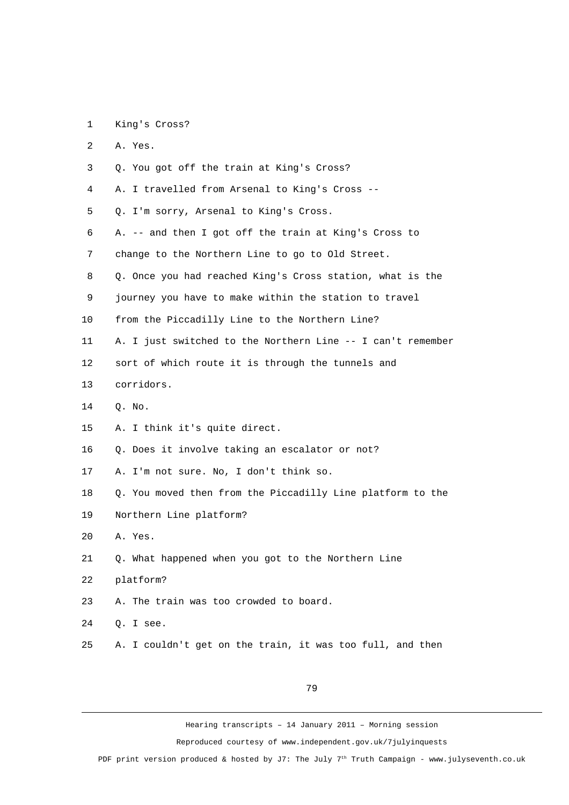1 King's Cross?

| $\overline{2}$ | A. Yes.                                                     |
|----------------|-------------------------------------------------------------|
| 3              | Q. You got off the train at King's Cross?                   |
| 4              | A. I travelled from Arsenal to King's Cross --              |
| 5              | Q. I'm sorry, Arsenal to King's Cross.                      |
| 6              | A. -- and then I got off the train at King's Cross to       |
| 7              | change to the Northern Line to go to Old Street.            |
| 8              | Q. Once you had reached King's Cross station, what is the   |
| 9              | journey you have to make within the station to travel       |
| 10             | from the Piccadilly Line to the Northern Line?              |
| 11             | A. I just switched to the Northern Line -- I can't remember |
| 12             | sort of which route it is through the tunnels and           |
| 13             | corridors.                                                  |
| 14             | Q. No.                                                      |
| 15             | A. I think it's quite direct.                               |
| 16             | Q. Does it involve taking an escalator or not?              |
| 17             | A. I'm not sure. No, I don't think so.                      |
| 18             | Q. You moved then from the Piccadilly Line platform to the  |
| 19             | Northern Line platform?                                     |
| 20             | A. Yes.                                                     |
| 21             | Q. What happened when you got to the Northern Line          |
| 22             | platform?                                                   |
| 23             | A. The train was too crowded to board.                      |
| 24             | Q. I see.                                                   |
| 25             | A. I couldn't get on the train, it was too full, and then   |
|                |                                                             |

79

Hearing transcripts – 14 January 2011 – Morning session

Reproduced courtesy of www.independent.gov.uk/7julyinquests

PDF print version produced & hosted by J7: The July 7<sup>th</sup> Truth Campaign - www.julyseventh.co.uk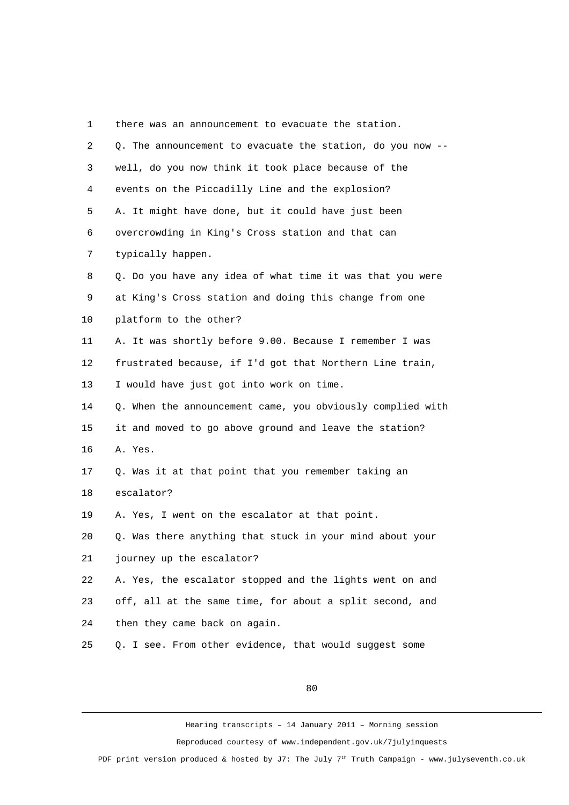| 1              | there was an announcement to evacuate the station.         |
|----------------|------------------------------------------------------------|
| $\overline{c}$ | Q. The announcement to evacuate the station, do you now -- |
| 3              | well, do you now think it took place because of the        |
| 4              | events on the Piccadilly Line and the explosion?           |
| 5              | A. It might have done, but it could have just been         |
| 6              | overcrowding in King's Cross station and that can          |
| 7              | typically happen.                                          |
| 8              | Q. Do you have any idea of what time it was that you were  |
| 9              | at King's Cross station and doing this change from one     |
| 10             | platform to the other?                                     |
| 11             | A. It was shortly before 9.00. Because I remember I was    |
| 12             | frustrated because, if I'd got that Northern Line train,   |
| 13             | I would have just got into work on time.                   |
| 14             | Q. When the announcement came, you obviously complied with |
| 15             | it and moved to go above ground and leave the station?     |
| 16             | A. Yes.                                                    |
| 17             | Q. Was it at that point that you remember taking an        |
| 18             | escalator?                                                 |
| 19             | A. Yes, I went on the escalator at that point.             |
| 20             | Q. Was there anything that stuck in your mind about your   |
| 21             | journey up the escalator?                                  |
| 22             | A. Yes, the escalator stopped and the lights went on and   |
| 23             | off, all at the same time, for about a split second, and   |
| 24             | then they came back on again.                              |
| 25             | Q. I see. From other evidence, that would suggest some     |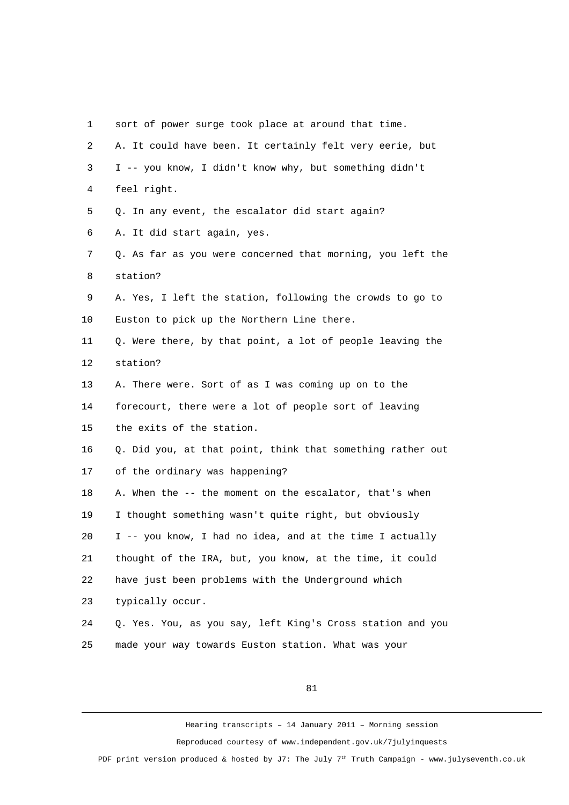| $\mathbf{1}$   | sort of power surge took place at around that time.        |
|----------------|------------------------------------------------------------|
| $\overline{2}$ | A. It could have been. It certainly felt very eerie, but   |
| 3              | I -- you know, I didn't know why, but something didn't     |
| 4              | feel right.                                                |
| 5              | Q. In any event, the escalator did start again?            |
| 6              | A. It did start again, yes.                                |
| $\overline{7}$ | Q. As far as you were concerned that morning, you left the |
| 8              | station?                                                   |
| 9              | A. Yes, I left the station, following the crowds to go to  |
| 10             | Euston to pick up the Northern Line there.                 |
| 11             | Q. Were there, by that point, a lot of people leaving the  |
| 12             | station?                                                   |
| 13             | A. There were. Sort of as I was coming up on to the        |
| 14             | forecourt, there were a lot of people sort of leaving      |
| 15             | the exits of the station.                                  |
| 16             | Q. Did you, at that point, think that something rather out |
| 17             | of the ordinary was happening?                             |
| 18             | A. When the -- the moment on the escalator, that's when    |
| 19             | I thought something wasn't quite right, but obviously      |
| 20             | I -- you know, I had no idea, and at the time I actually   |
| 21             | thought of the IRA, but, you know, at the time, it could   |
| 22             | have just been problems with the Underground which         |
| 23             | typically occur.                                           |
| 24             | Q. Yes. You, as you say, left King's Cross station and you |
| 25             | made your way towards Euston station. What was your        |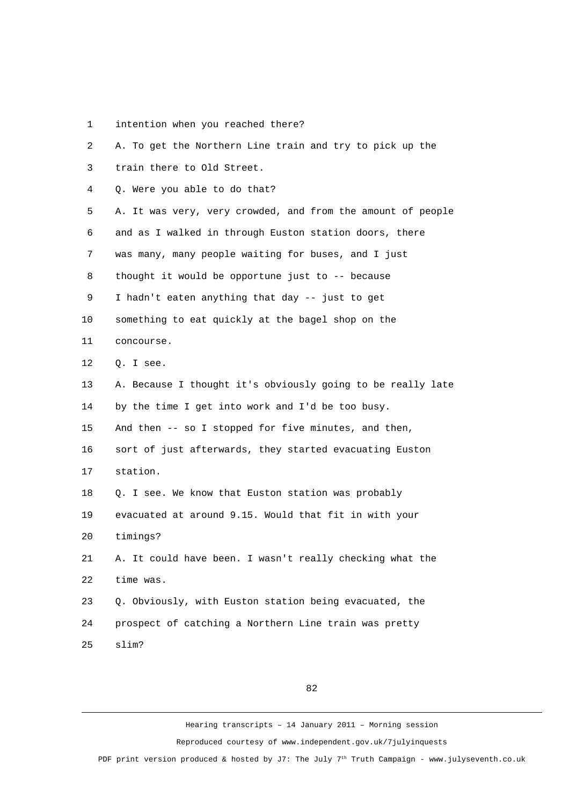1 intention when you reached there?

| $\overline{2}$ | A. To get the Northern Line train and try to pick up the    |
|----------------|-------------------------------------------------------------|
| 3              | train there to Old Street.                                  |
| 4              | Q. Were you able to do that?                                |
| 5              | A. It was very, very crowded, and from the amount of people |
| 6              | and as I walked in through Euston station doors, there      |
| $\overline{7}$ | was many, many people waiting for buses, and I just         |
| 8              | thought it would be opportune just to -- because            |
| 9              | I hadn't eaten anything that day -- just to get             |
| 10             | something to eat quickly at the bagel shop on the           |
| 11             | concourse.                                                  |
| 12             | Q. I see.                                                   |
| 13             | A. Because I thought it's obviously going to be really late |
| 14             | by the time I get into work and I'd be too busy.            |
| 15             | And then -- so I stopped for five minutes, and then,        |
| 16             | sort of just afterwards, they started evacuating Euston     |
| 17             | station.                                                    |
| 18             | Q. I see. We know that Euston station was probably          |
| 19             | evacuated at around 9.15. Would that fit in with your       |
| 20             | timings?                                                    |
| 21             | A. It could have been. I wasn't really checking what the    |
| 22             | time was.                                                   |
| 23             | Q. Obviously, with Euston station being evacuated, the      |
| 24             | prospect of catching a Northern Line train was pretty       |
| 25             | slim?                                                       |

82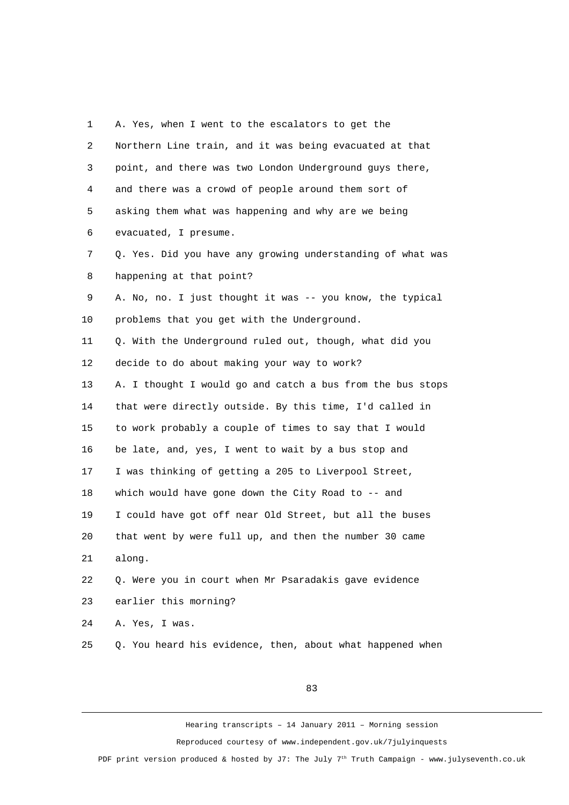| 1              | A. Yes, when I went to the escalators to get the           |
|----------------|------------------------------------------------------------|
| $\overline{c}$ | Northern Line train, and it was being evacuated at that    |
| 3              | point, and there was two London Underground guys there,    |
| 4              | and there was a crowd of people around them sort of        |
| 5              | asking them what was happening and why are we being        |
| 6              | evacuated, I presume.                                      |
| $\overline{7}$ | Q. Yes. Did you have any growing understanding of what was |
| 8              | happening at that point?                                   |
| 9              | A. No, no. I just thought it was -- you know, the typical  |
| 10             | problems that you get with the Underground.                |
| 11             | Q. With the Underground ruled out, though, what did you    |
| 12             | decide to do about making your way to work?                |
| 13             | A. I thought I would go and catch a bus from the bus stops |
| 14             | that were directly outside. By this time, I'd called in    |
| 15             | to work probably a couple of times to say that I would     |
| 16             | be late, and, yes, I went to wait by a bus stop and        |
| 17             | I was thinking of getting a 205 to Liverpool Street,       |
| 18             | which would have gone down the City Road to -- and         |
| 19             | I could have got off near Old Street, but all the buses    |
| 20             | that went by were full up, and then the number 30 came     |
| 21             | along.                                                     |
| 22             | Q. Were you in court when Mr Psaradakis gave evidence      |
| 23             | earlier this morning?                                      |
| 24             | A. Yes, I was.                                             |
| 25             | Q. You heard his evidence, then, about what happened when  |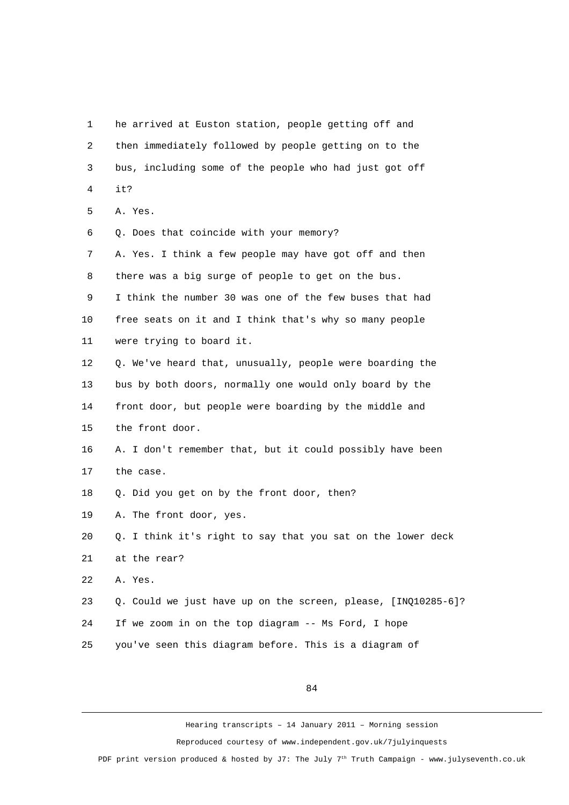1 he arrived at Euston station, people getting off and 2 then immediately followed by people getting on to the 3 bus, including some of the people who had just got off 4 it? 5 A. Yes. 6 Q. Does that coincide with your memory? 7 A. Yes. I think a few people may have got off and then 8 there was a big surge of people to get on the bus. 9 I think the number 30 was one of the few buses that had 10 free seats on it and I think that's why so many people 11 were trying to board it. 12 Q. We've heard that, unusually, people were boarding the 13 bus by both doors, normally one would only board by the 14 front door, but people were boarding by the middle and 15 the front door. 16 A. I don't remember that, but it could possibly have been 17 the case. 18 Q. Did you get on by the front door, then? 19 A. The front door, yes. 20 Q. I think it's right to say that you sat on the lower deck 21 at the rear? 22 A. Yes. 23 Q. Could we just have up on the screen, please, [INQ10285-6]? 24 If we zoom in on the top diagram -- Ms Ford, I hope 25 you've seen this diagram before. This is a diagram of

84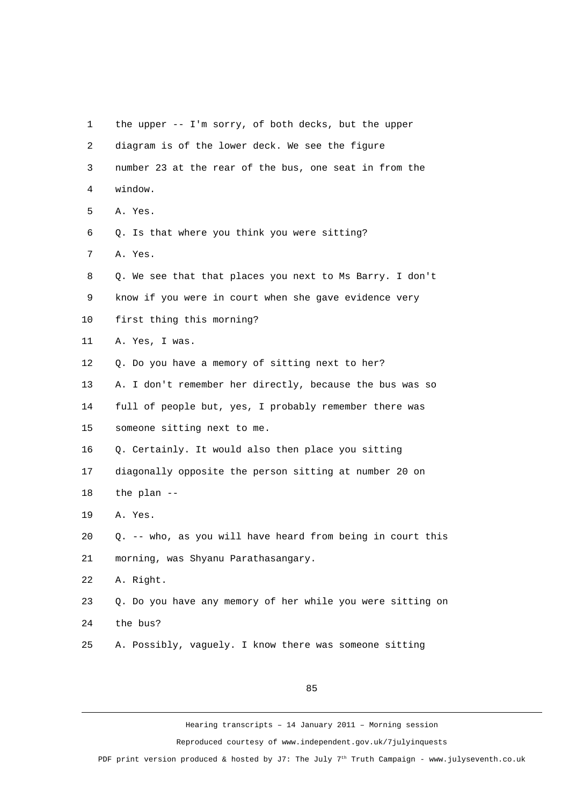1 the upper -- I'm sorry, of both decks, but the upper 2 diagram is of the lower deck. We see the figure 3 number 23 at the rear of the bus, one seat in from the 4 window. 5 A. Yes. 6 Q. Is that where you think you were sitting? 7 A. Yes. 8 Q. We see that that places you next to Ms Barry. I don't 9 know if you were in court when she gave evidence very 10 first thing this morning? 11 A. Yes, I was. 12 Q. Do you have a memory of sitting next to her? 13 A. I don't remember her directly, because the bus was so 14 full of people but, yes, I probably remember there was 15 someone sitting next to me. 16 Q. Certainly. It would also then place you sitting 17 diagonally opposite the person sitting at number 20 on 18 the plan -- 19 A. Yes. 20 Q. -- who, as you will have heard from being in court this 21 morning, was Shyanu Parathasangary. 22 A. Right. 23 Q. Do you have any memory of her while you were sitting on 24 the bus? 25 A. Possibly, vaguely. I know there was someone sitting

85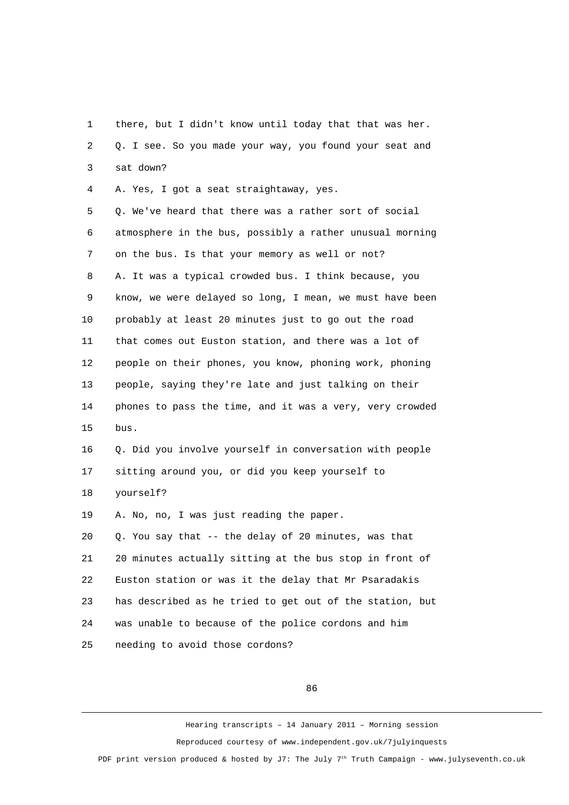1 there, but I didn't know until today that that was her. 2 Q. I see. So you made your way, you found your seat and 3 sat down?

4 A. Yes, I got a seat straightaway, yes.

 5 Q. We've heard that there was a rather sort of social 6 atmosphere in the bus, possibly a rather unusual morning 7 on the bus. Is that your memory as well or not? 8 A. It was a typical crowded bus. I think because, you 9 know, we were delayed so long, I mean, we must have been 10 probably at least 20 minutes just to go out the road 11 that comes out Euston station, and there was a lot of 12 people on their phones, you know, phoning work, phoning 13 people, saying they're late and just talking on their 14 phones to pass the time, and it was a very, very crowded 15 bus.

16 Q. Did you involve yourself in conversation with people 17 sitting around you, or did you keep yourself to 18 yourself?

19 A. No, no, I was just reading the paper.

20 Q. You say that -- the delay of 20 minutes, was that 21 20 minutes actually sitting at the bus stop in front of 22 Euston station or was it the delay that Mr Psaradakis 23 has described as he tried to get out of the station, but 24 was unable to because of the police cordons and him 25 needing to avoid those cordons?

86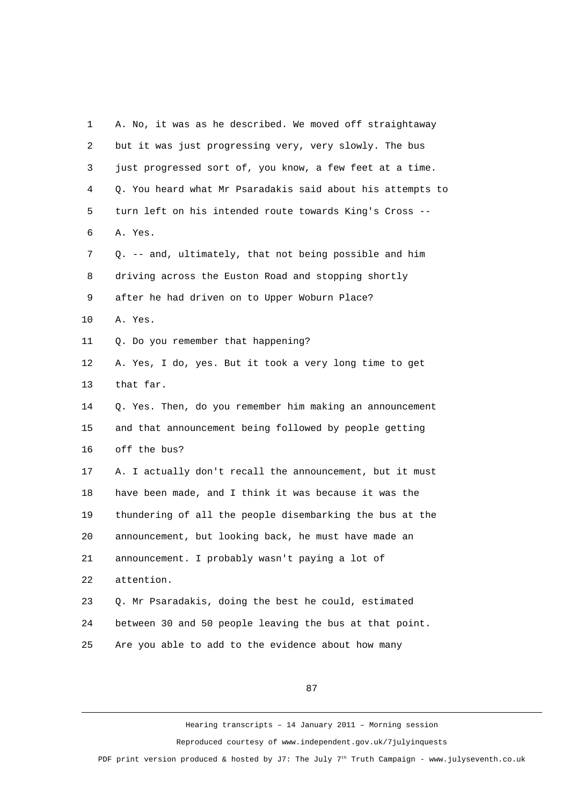| 1              | A. No, it was as he described. We moved off straightaway   |
|----------------|------------------------------------------------------------|
| $\overline{c}$ | but it was just progressing very, very slowly. The bus     |
| 3              | just progressed sort of, you know, a few feet at a time.   |
| 4              | Q. You heard what Mr Psaradakis said about his attempts to |
| 5              | turn left on his intended route towards King's Cross --    |
| 6              | A. Yes.                                                    |
| $\overline{7}$ | Q. -- and, ultimately, that not being possible and him     |
| 8              | driving across the Euston Road and stopping shortly        |
| 9              | after he had driven on to Upper Woburn Place?              |
| 10             | A. Yes.                                                    |
| 11             | Q. Do you remember that happening?                         |
| 12             | A. Yes, I do, yes. But it took a very long time to get     |
| 13             | that far.                                                  |
| 14             | Q. Yes. Then, do you remember him making an announcement   |
| 15             | and that announcement being followed by people getting     |
| 16             | off the bus?                                               |
| 17             | A. I actually don't recall the announcement, but it must   |
| 18             | have been made, and I think it was because it was the      |
| 19             | thundering of all the people disembarking the bus at the   |
| 20             | announcement, but looking back, he must have made an       |
| 21             | announcement. I probably wasn't paying a lot of            |
| 22             | attention.                                                 |
| 23             | Q. Mr Psaradakis, doing the best he could, estimated       |
| 24             | between 30 and 50 people leaving the bus at that point.    |
| 25             | Are you able to add to the evidence about how many         |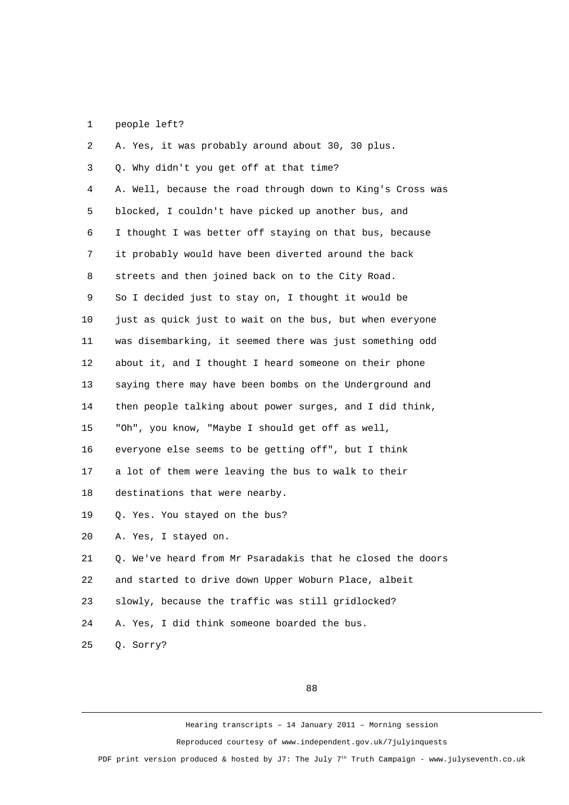## 1 people left?

| $\overline{c}$ | A. Yes, it was probably around about 30, 30 plus.          |
|----------------|------------------------------------------------------------|
| 3              | Q. Why didn't you get off at that time?                    |
| 4              | A. Well, because the road through down to King's Cross was |
| 5              | blocked, I couldn't have picked up another bus, and        |
| 6              | I thought I was better off staying on that bus, because    |
| $\overline{7}$ | it probably would have been diverted around the back       |
| 8              | streets and then joined back on to the City Road.          |
| 9              | So I decided just to stay on, I thought it would be        |
| 10             | just as quick just to wait on the bus, but when everyone   |
| 11             | was disembarking, it seemed there was just something odd   |
| 12             | about it, and I thought I heard someone on their phone     |
| 13             | saying there may have been bombs on the Underground and    |
| 14             | then people talking about power surges, and I did think,   |
| 15             | "Oh", you know, "Maybe I should get off as well,           |
| 16             | everyone else seems to be getting off", but I think        |
| 17             | a lot of them were leaving the bus to walk to their        |
| 18             | destinations that were nearby.                             |
| 19             | Q. Yes. You stayed on the bus?                             |
| 20             | A. Yes, I stayed on.                                       |
| 21             | Q. We've heard from Mr Psaradakis that he closed the doors |
| 22             | and started to drive down Upper Woburn Place, albeit       |
| 23             | slowly, because the traffic was still gridlocked?          |
| 24             | A. Yes, I did think someone boarded the bus.               |
| 25             | Q. Sorry?                                                  |

88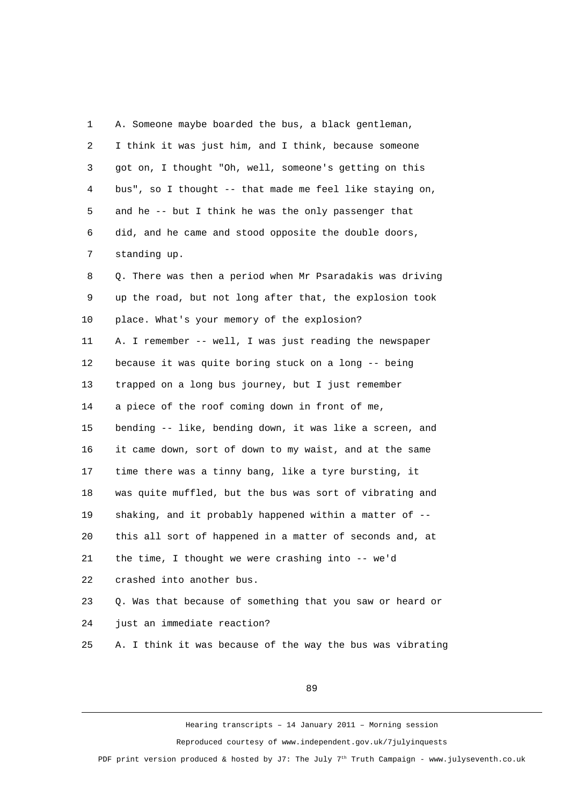1 A. Someone maybe boarded the bus, a black gentleman, 2 I think it was just him, and I think, because someone 3 got on, I thought "Oh, well, someone's getting on this 4 bus", so I thought -- that made me feel like staying on, 5 and he -- but I think he was the only passenger that 6 did, and he came and stood opposite the double doors, 7 standing up. 8 Q. There was then a period when Mr Psaradakis was driving 9 up the road, but not long after that, the explosion took 10 place. What's your memory of the explosion? 11 A. I remember -- well, I was just reading the newspaper 12 because it was quite boring stuck on a long -- being 13 trapped on a long bus journey, but I just remember 14 a piece of the roof coming down in front of me, 15 bending -- like, bending down, it was like a screen, and 16 it came down, sort of down to my waist, and at the same 17 time there was a tinny bang, like a tyre bursting, it 18 was quite muffled, but the bus was sort of vibrating and 19 shaking, and it probably happened within a matter of -- 20 this all sort of happened in a matter of seconds and, at 21 the time, I thought we were crashing into -- we'd 22 crashed into another bus. 23 Q. Was that because of something that you saw or heard or 24 just an immediate reaction? 25 A. I think it was because of the way the bus was vibrating

89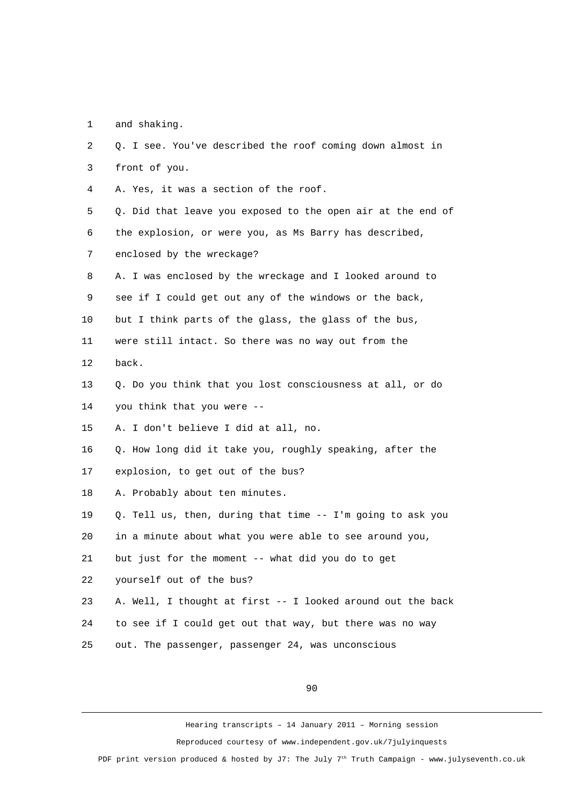1 and shaking.

| $\overline{2}$ | Q. I see. You've described the roof coming down almost in   |
|----------------|-------------------------------------------------------------|
| 3              | front of you.                                               |
| 4              | A. Yes, it was a section of the roof.                       |
| 5              | Q. Did that leave you exposed to the open air at the end of |
| 6              | the explosion, or were you, as Ms Barry has described,      |
| $\overline{7}$ | enclosed by the wreckage?                                   |
| 8              | A. I was enclosed by the wreckage and I looked around to    |
| 9              | see if I could get out any of the windows or the back,      |
| 10             | but I think parts of the glass, the glass of the bus,       |
| 11             | were still intact. So there was no way out from the         |
| 12             | back.                                                       |
| 13             | Q. Do you think that you lost consciousness at all, or do   |
| 14             | you think that you were --                                  |
| 15             | A. I don't believe I did at all, no.                        |
| 16             | Q. How long did it take you, roughly speaking, after the    |
| 17             | explosion, to get out of the bus?                           |
| 18             | A. Probably about ten minutes.                              |
| 19             | Q. Tell us, then, during that time -- I'm going to ask you  |
| 20             | in a minute about what you were able to see around you,     |
| 21             | but just for the moment -- what did you do to get           |
| 22             | yourself out of the bus?                                    |
| 23             | A. Well, I thought at first -- I looked around out the back |
| 24             | to see if I could get out that way, but there was no way    |
| 25             | out. The passenger, passenger 24, was unconscious           |

90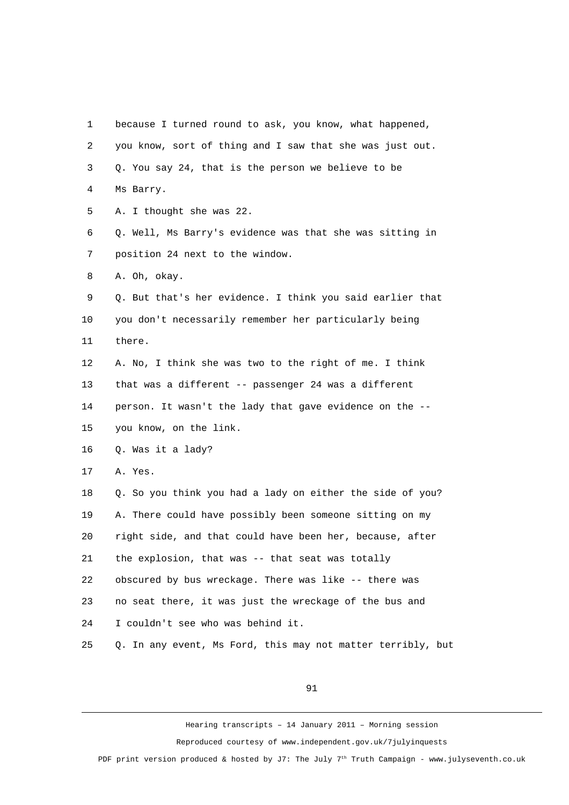1 because I turned round to ask, you know, what happened, 2 you know, sort of thing and I saw that she was just out. 3 Q. You say 24, that is the person we believe to be 4 Ms Barry. 5 A. I thought she was 22. 6 Q. Well, Ms Barry's evidence was that she was sitting in 7 position 24 next to the window. 8 A. Oh, okay. 9 Q. But that's her evidence. I think you said earlier that 10 you don't necessarily remember her particularly being 11 there. 12 A. No, I think she was two to the right of me. I think 13 that was a different -- passenger 24 was a different 14 person. It wasn't the lady that gave evidence on the -- 15 you know, on the link. 16 Q. Was it a lady? 17 A. Yes. 18 Q. So you think you had a lady on either the side of you? 19 A. There could have possibly been someone sitting on my 20 right side, and that could have been her, because, after 21 the explosion, that was -- that seat was totally 22 obscured by bus wreckage. There was like -- there was 23 no seat there, it was just the wreckage of the bus and 24 I couldn't see who was behind it. 25 Q. In any event, Ms Ford, this may not matter terribly, but

91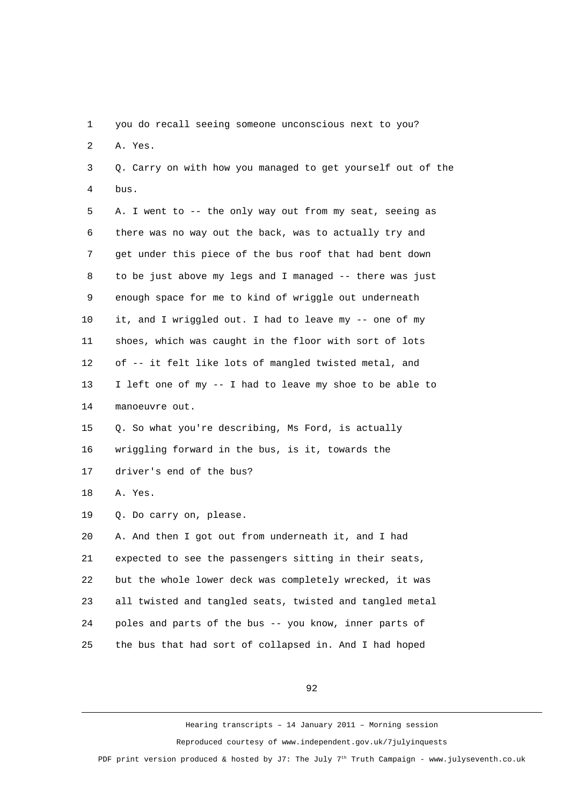1 you do recall seeing someone unconscious next to you?

2 A. Yes.

 3 Q. Carry on with how you managed to get yourself out of the 4 bus.

 5 A. I went to -- the only way out from my seat, seeing as 6 there was no way out the back, was to actually try and 7 get under this piece of the bus roof that had bent down 8 to be just above my legs and I managed -- there was just 9 enough space for me to kind of wriggle out underneath 10 it, and I wriggled out. I had to leave my -- one of my 11 shoes, which was caught in the floor with sort of lots 12 of -- it felt like lots of mangled twisted metal, and 13 I left one of my -- I had to leave my shoe to be able to 14 manoeuvre out.

15 Q. So what you're describing, Ms Ford, is actually

16 wriggling forward in the bus, is it, towards the

17 driver's end of the bus?

18 A. Yes.

19 Q. Do carry on, please.

20 A. And then I got out from underneath it, and I had 21 expected to see the passengers sitting in their seats, 22 but the whole lower deck was completely wrecked, it was 23 all twisted and tangled seats, twisted and tangled metal 24 poles and parts of the bus -- you know, inner parts of 25 the bus that had sort of collapsed in. And I had hoped

92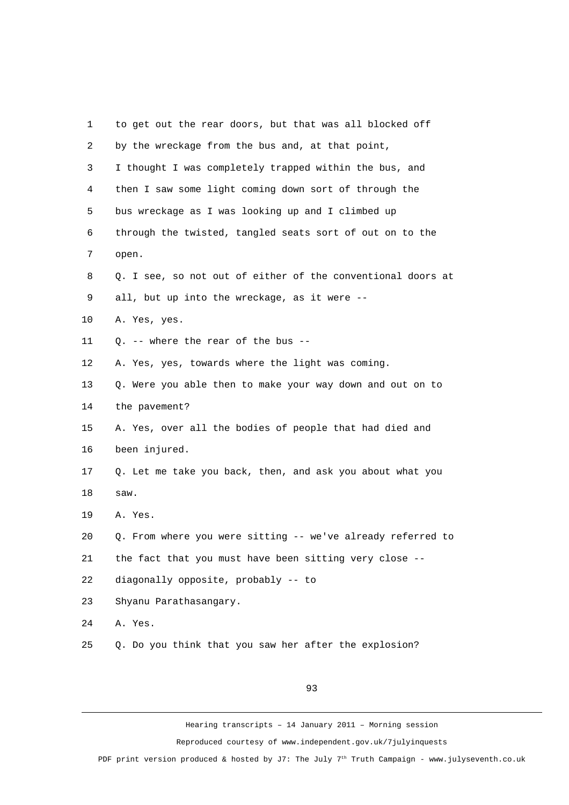| 1              | to get out the rear doors, but that was all blocked off     |
|----------------|-------------------------------------------------------------|
| $\overline{c}$ | by the wreckage from the bus and, at that point,            |
| 3              | I thought I was completely trapped within the bus, and      |
| 4              | then I saw some light coming down sort of through the       |
| 5              | bus wreckage as I was looking up and I climbed up           |
| 6              | through the twisted, tangled seats sort of out on to the    |
| 7              | open.                                                       |
| 8              | Q. I see, so not out of either of the conventional doors at |
| 9              | all, but up into the wreckage, as it were --                |
| 10             | A. Yes, yes.                                                |
| 11             | Q. -- where the rear of the bus --                          |
| 12             | A. Yes, yes, towards where the light was coming.            |
| 13             | Q. Were you able then to make your way down and out on to   |
| 14             | the pavement?                                               |
| 15             | A. Yes, over all the bodies of people that had died and     |
| 16             | been injured.                                               |
| 17             | Q. Let me take you back, then, and ask you about what you   |
| 18             | saw.                                                        |
| 19             | A. Yes.                                                     |
| 20             | Q. From where you were sitting -- we've already referred to |
| 21             | the fact that you must have been sitting very close --      |
| 22             | diagonally opposite, probably -- to                         |
| 23             | Shyanu Parathasangary.                                      |
| 24             | A. Yes.                                                     |
| 25             | Q. Do you think that you saw her after the explosion?       |
|                |                                                             |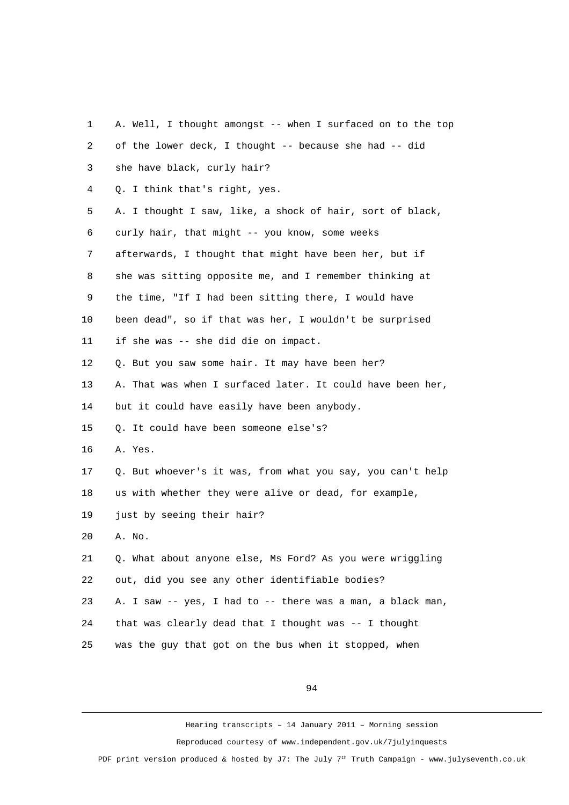| 1  | A. Well, I thought amongst -- when I surfaced on to the top |
|----|-------------------------------------------------------------|
| 2  | of the lower deck, I thought -- because she had -- did      |
| 3  | she have black, curly hair?                                 |
| 4  | Q. I think that's right, yes.                               |
| 5  | A. I thought I saw, like, a shock of hair, sort of black,   |
| 6  | curly hair, that might -- you know, some weeks              |
| 7  | afterwards, I thought that might have been her, but if      |
| 8  | she was sitting opposite me, and I remember thinking at     |
| 9  | the time, "If I had been sitting there, I would have        |
| 10 | been dead", so if that was her, I wouldn't be surprised     |
| 11 | if she was -- she did die on impact.                        |
| 12 | Q. But you saw some hair. It may have been her?             |
| 13 | A. That was when I surfaced later. It could have been her,  |
| 14 | but it could have easily have been anybody.                 |
| 15 | Q. It could have been someone else's?                       |
| 16 | A. Yes.                                                     |
| 17 | Q. But whoever's it was, from what you say, you can't help  |
| 18 | us with whether they were alive or dead, for example,       |
| 19 | just by seeing their hair?                                  |
| 20 | A. No.                                                      |
| 21 | Q. What about anyone else, Ms Ford? As you were wriggling   |
| 22 | out, did you see any other identifiable bodies?             |
| 23 | A. I saw -- yes, I had to -- there was a man, a black man,  |
| 24 | that was clearly dead that I thought was -- I thought       |
| 25 | was the guy that got on the bus when it stopped, when       |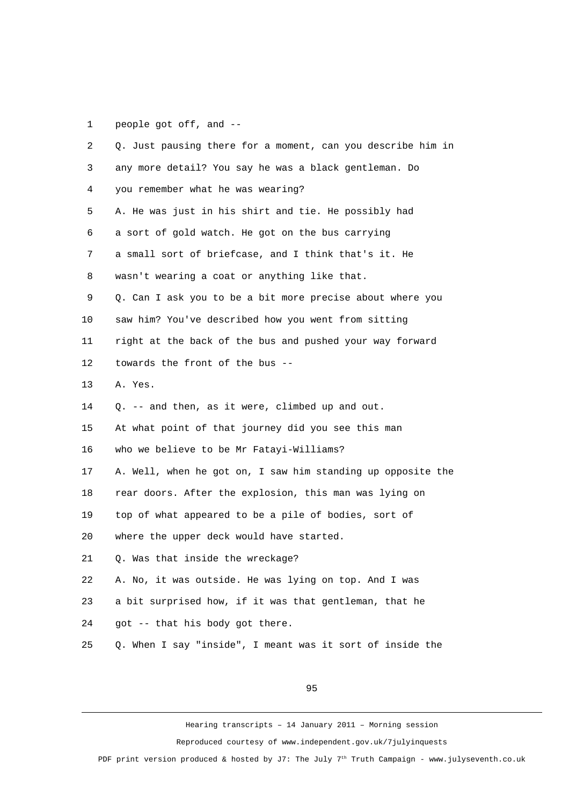1 people got off, and --

| $\overline{2}$ | Q. Just pausing there for a moment, can you describe him in |
|----------------|-------------------------------------------------------------|
| 3              | any more detail? You say he was a black gentleman. Do       |
| 4              | you remember what he was wearing?                           |
| 5              | A. He was just in his shirt and tie. He possibly had        |
| 6              | a sort of gold watch. He got on the bus carrying            |
| 7              | a small sort of briefcase, and I think that's it. He        |
| 8              | wasn't wearing a coat or anything like that.                |
| 9              | Q. Can I ask you to be a bit more precise about where you   |
| 10             | saw him? You've described how you went from sitting         |
| 11             | right at the back of the bus and pushed your way forward    |
| 12             | towards the front of the bus --                             |
| 13             | A. Yes.                                                     |
| 14             | Q. -- and then, as it were, climbed up and out.             |
| 15             | At what point of that journey did you see this man          |
| 16             | who we believe to be Mr Fatayi-Williams?                    |
| 17             | A. Well, when he got on, I saw him standing up opposite the |
| 18             | rear doors. After the explosion, this man was lying on      |
| 19             | top of what appeared to be a pile of bodies, sort of        |
| 20             | where the upper deck would have started.                    |
| 21             | Q. Was that inside the wreckage?                            |
| 22             | A. No, it was outside. He was lying on top. And I was       |
| 23             | a bit surprised how, if it was that gentleman, that he      |
| 24             | got -- that his body got there.                             |
| 25             | Q. When I say "inside", I meant was it sort of inside the   |
|                |                                                             |

95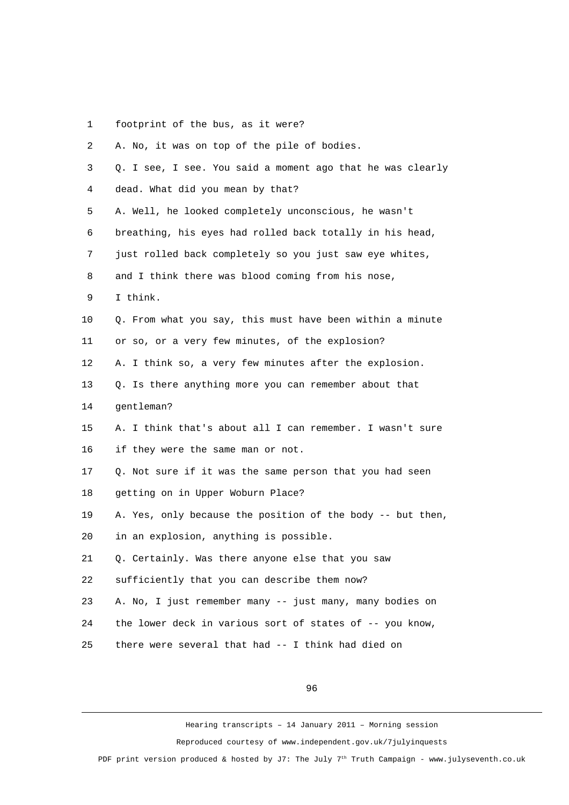1 footprint of the bus, as it were?

| 2  | A. No, it was on top of the pile of bodies.                |
|----|------------------------------------------------------------|
| 3  | Q. I see, I see. You said a moment ago that he was clearly |
| 4  | dead. What did you mean by that?                           |
| 5  | A. Well, he looked completely unconscious, he wasn't       |
| 6  | breathing, his eyes had rolled back totally in his head,   |
| 7  | just rolled back completely so you just saw eye whites,    |
| 8  | and I think there was blood coming from his nose,          |
| 9  | I think.                                                   |
| 10 | Q. From what you say, this must have been within a minute  |
| 11 | or so, or a very few minutes, of the explosion?            |
| 12 | A. I think so, a very few minutes after the explosion.     |
| 13 | Q. Is there anything more you can remember about that      |
| 14 | gentleman?                                                 |
| 15 | A. I think that's about all I can remember. I wasn't sure  |
| 16 | if they were the same man or not.                          |
| 17 | Q. Not sure if it was the same person that you had seen    |
| 18 | getting on in Upper Woburn Place?                          |
| 19 | A. Yes, only because the position of the body -- but then, |
| 20 | in an explosion, anything is possible.                     |
| 21 | Q. Certainly. Was there anyone else that you saw           |
| 22 | sufficiently that you can describe them now?               |
| 23 | A. No, I just remember many -- just many, many bodies on   |
| 24 | the lower deck in various sort of states of -- you know,   |
| 25 | there were several that had -- I think had died on         |

96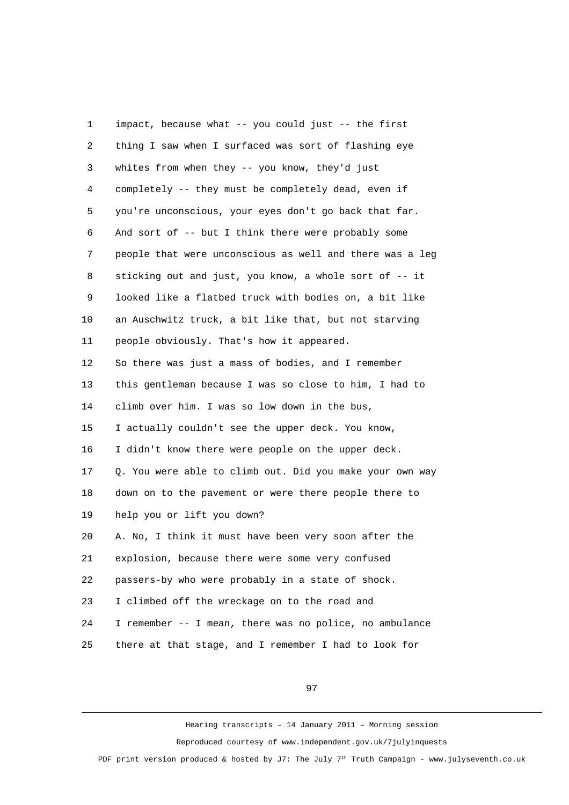1 impact, because what -- you could just -- the first 2 thing I saw when I surfaced was sort of flashing eye 3 whites from when they -- you know, they'd just 4 completely -- they must be completely dead, even if 5 you're unconscious, your eyes don't go back that far. 6 And sort of -- but I think there were probably some 7 people that were unconscious as well and there was a leg 8 sticking out and just, you know, a whole sort of -- it 9 looked like a flatbed truck with bodies on, a bit like 10 an Auschwitz truck, a bit like that, but not starving 11 people obviously. That's how it appeared. 12 So there was just a mass of bodies, and I remember 13 this gentleman because I was so close to him, I had to 14 climb over him. I was so low down in the bus, 15 I actually couldn't see the upper deck. You know, 16 I didn't know there were people on the upper deck. 17 Q. You were able to climb out. Did you make your own way 18 down on to the pavement or were there people there to 19 help you or lift you down? 20 A. No, I think it must have been very soon after the 21 explosion, because there were some very confused 22 passers-by who were probably in a state of shock. 23 I climbed off the wreckage on to the road and 24 I remember -- I mean, there was no police, no ambulance 25 there at that stage, and I remember I had to look for

97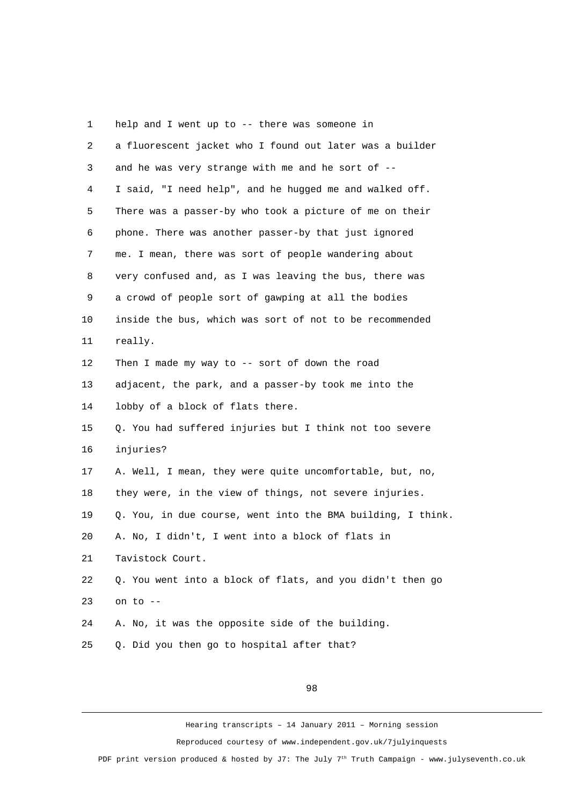1 help and I went up to -- there was someone in 2 a fluorescent jacket who I found out later was a builder 3 and he was very strange with me and he sort of -- 4 I said, "I need help", and he hugged me and walked off. 5 There was a passer-by who took a picture of me on their 6 phone. There was another passer-by that just ignored 7 me. I mean, there was sort of people wandering about 8 very confused and, as I was leaving the bus, there was 9 a crowd of people sort of gawping at all the bodies 10 inside the bus, which was sort of not to be recommended 11 really. 12 Then I made my way to -- sort of down the road 13 adjacent, the park, and a passer-by took me into the 14 lobby of a block of flats there. 15 Q. You had suffered injuries but I think not too severe 16 injuries? 17 A. Well, I mean, they were quite uncomfortable, but, no, 18 they were, in the view of things, not severe injuries. 19 Q. You, in due course, went into the BMA building, I think. 20 A. No, I didn't, I went into a block of flats in 21 Tavistock Court. 22 Q. You went into a block of flats, and you didn't then go 23 on to -- 24 A. No, it was the opposite side of the building. 25 Q. Did you then go to hospital after that?

98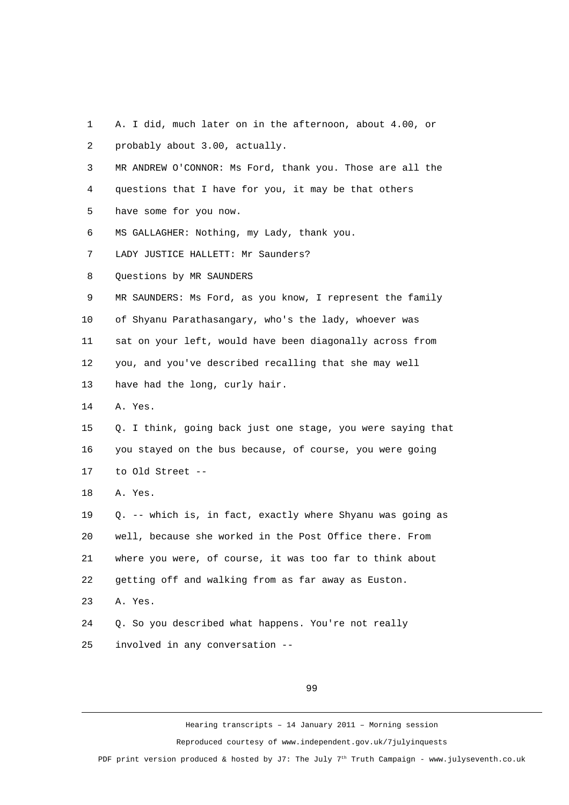- 1 A. I did, much later on in the afternoon, about 4.00, or 2 probably about 3.00, actually.
- 3 MR ANDREW O'CONNOR: Ms Ford, thank you. Those are all the
- 4 questions that I have for you, it may be that others
- 5 have some for you now.
- 6 MS GALLAGHER: Nothing, my Lady, thank you.
- 7 LADY JUSTICE HALLETT: Mr Saunders?
- 8 Questions by MR SAUNDERS
- 9 MR SAUNDERS: Ms Ford, as you know, I represent the family
- 10 of Shyanu Parathasangary, who's the lady, whoever was
- 11 sat on your left, would have been diagonally across from

12 you, and you've described recalling that she may well

- 13 have had the long, curly hair.
- 14 A. Yes.
- 15 Q. I think, going back just one stage, you were saying that 16 you stayed on the bus because, of course, you were going 17 to Old Street --
- 18 A. Yes.

19 Q. -- which is, in fact, exactly where Shyanu was going as 20 well, because she worked in the Post Office there. From 21 where you were, of course, it was too far to think about 22 getting off and walking from as far away as Euston.

23 A. Yes.

24 Q. So you described what happens. You're not really 25 involved in any conversation --

99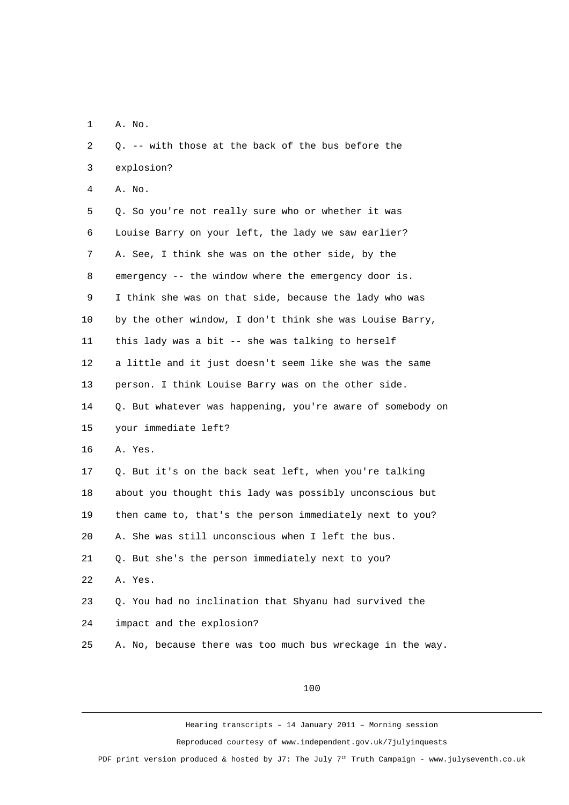1 A. No.

| 3  | explosion?                                                 |
|----|------------------------------------------------------------|
| 4  | A. No.                                                     |
| 5  | Q. So you're not really sure who or whether it was         |
| 6  | Louise Barry on your left, the lady we saw earlier?        |
| 7  | A. See, I think she was on the other side, by the          |
| 8  | emergency -- the window where the emergency door is.       |
| 9  | I think she was on that side, because the lady who was     |
| 10 | by the other window, I don't think she was Louise Barry,   |
| 11 | this lady was a bit -- she was talking to herself          |
| 12 | a little and it just doesn't seem like she was the same    |
| 13 | person. I think Louise Barry was on the other side.        |
| 14 | Q. But whatever was happening, you're aware of somebody on |
| 15 | your immediate left?                                       |
| 16 | A. Yes.                                                    |
| 17 | Q. But it's on the back seat left, when you're talking     |
| 18 | about you thought this lady was possibly unconscious but   |
| 19 | then came to, that's the person immediately next to you?   |
| 20 | A. She was still unconscious when I left the bus.          |
| 21 | Q. But she's the person immediately next to you?           |
| 22 | A. Yes.                                                    |
| 23 | Q. You had no inclination that Shyanu had survived the     |
| 24 | impact and the explosion?                                  |
| 25 | A. No, because there was too much bus wreckage in the way. |
|    |                                                            |

2 Q. -- with those at the back of the bus before the

100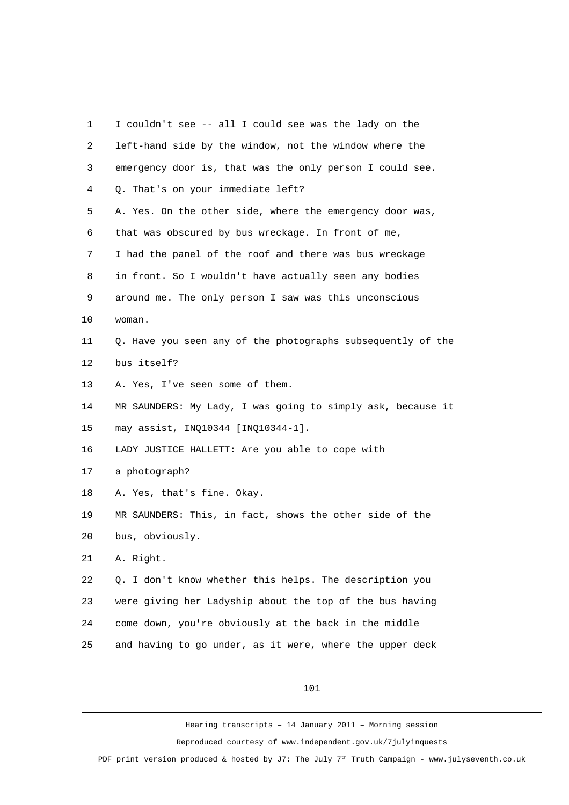| 1              | I couldn't see -- all I could see was the lady on the       |
|----------------|-------------------------------------------------------------|
| $\overline{c}$ | left-hand side by the window, not the window where the      |
| 3              | emergency door is, that was the only person I could see.    |
| 4              | Q. That's on your immediate left?                           |
| 5              | A. Yes. On the other side, where the emergency door was,    |
| 6              | that was obscured by bus wreckage. In front of me,          |
| 7              | I had the panel of the roof and there was bus wreckage      |
| 8              | in front. So I wouldn't have actually seen any bodies       |
| 9              | around me. The only person I saw was this unconscious       |
| 10             | woman.                                                      |
| 11             | Q. Have you seen any of the photographs subsequently of the |
| 12             | bus itself?                                                 |
| 13             | A. Yes, I've seen some of them.                             |
| 14             | MR SAUNDERS: My Lady, I was going to simply ask, because it |
| 15             | may assist, INQ10344 [INQ10344-1].                          |
| 16             | LADY JUSTICE HALLETT: Are you able to cope with             |
| 17             | a photograph?                                               |
| 18             | A. Yes, that's fine. Okay.                                  |
| 19             | MR SAUNDERS: This, in fact, shows the other side of the     |
| 20             | bus, obviously.                                             |
| 21             | A. Right.                                                   |
| 22             | Q. I don't know whether this helps. The description you     |
| 23             | were giving her Ladyship about the top of the bus having    |
| 24             | come down, you're obviously at the back in the middle       |
| 25             | and having to go under, as it were, where the upper deck    |
|                |                                                             |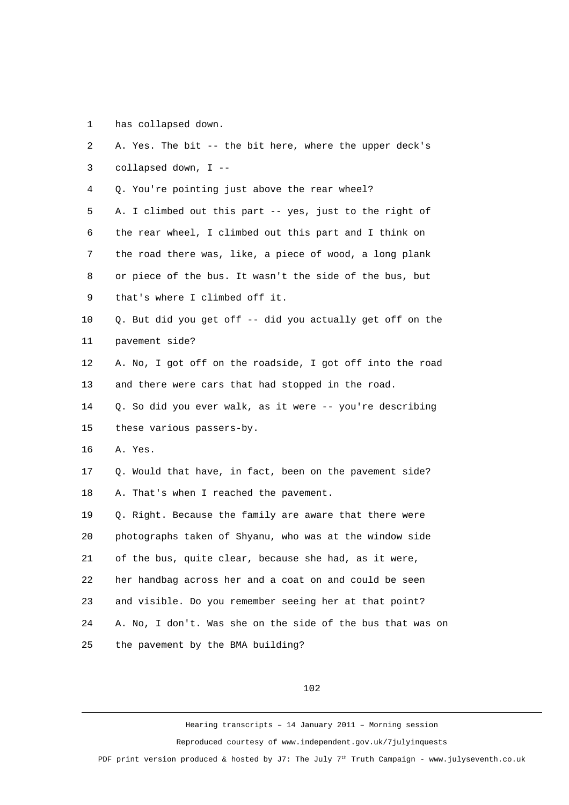1 has collapsed down.

| $\mathbf{2}$ | A. Yes. The bit -- the bit here, where the upper deck's    |
|--------------|------------------------------------------------------------|
| 3            | collapsed down, I --                                       |
| 4            | Q. You're pointing just above the rear wheel?              |
| 5            | A. I climbed out this part -- yes, just to the right of    |
| 6            | the rear wheel, I climbed out this part and I think on     |
| 7            | the road there was, like, a piece of wood, a long plank    |
| 8            | or piece of the bus. It wasn't the side of the bus, but    |
| 9            | that's where I climbed off it.                             |
| 10           | Q. But did you get off -- did you actually get off on the  |
| 11           | pavement side?                                             |
| 12           | A. No, I got off on the roadside, I got off into the road  |
| 13           | and there were cars that had stopped in the road.          |
| 14           | Q. So did you ever walk, as it were -- you're describing   |
| 15           | these various passers-by.                                  |
| 16           | A. Yes.                                                    |
| 17           | Q. Would that have, in fact, been on the pavement side?    |
| 18           | A. That's when I reached the pavement.                     |
| 19           | Q. Right. Because the family are aware that there were     |
| 20           | photographs taken of Shyanu, who was at the window side    |
| 21           | of the bus, quite clear, because she had, as it were,      |
| 22           | her handbag across her and a coat on and could be seen     |
| 23           | and visible. Do you remember seeing her at that point?     |
| 24           | A. No, I don't. Was she on the side of the bus that was on |
| 25           | the pavement by the BMA building?                          |
|              |                                                            |

102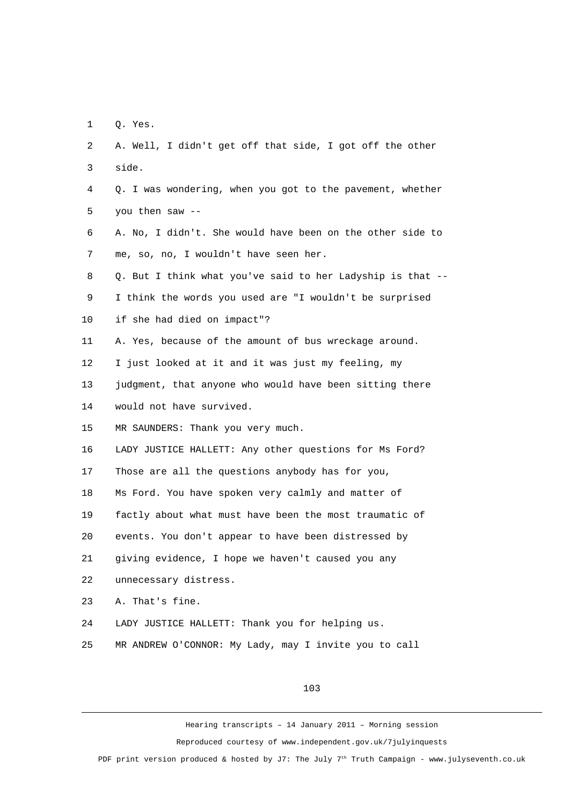1 Q. Yes.

| 2              | A. Well, I didn't get off that side, I got off the other   |
|----------------|------------------------------------------------------------|
| 3              | side.                                                      |
| 4              | Q. I was wondering, when you got to the pavement, whether  |
| 5              | you then saw --                                            |
| 6              | A. No, I didn't. She would have been on the other side to  |
| $\overline{7}$ | me, so, no, I wouldn't have seen her.                      |
| 8              | Q. But I think what you've said to her Ladyship is that -- |
| 9              | I think the words you used are "I wouldn't be surprised    |
| 10             | if she had died on impact"?                                |
| 11             | A. Yes, because of the amount of bus wreckage around.      |
| 12             | I just looked at it and it was just my feeling, my         |
| 13             | judgment, that anyone who would have been sitting there    |
| 14             | would not have survived.                                   |
| 15             | MR SAUNDERS: Thank you very much.                          |
| 16             | LADY JUSTICE HALLETT: Any other questions for Ms Ford?     |
| 17             | Those are all the questions anybody has for you,           |
| 18             | Ms Ford. You have spoken very calmly and matter of         |
| 19             | factly about what must have been the most traumatic of     |
| 20             | events. You don't appear to have been distressed by        |
| 21             | giving evidence, I hope we haven't caused you any          |
| 22             | unnecessary distress.                                      |
| 23             | A. That's fine.                                            |
| 24             | LADY JUSTICE HALLETT: Thank you for helping us.            |
| 25             | MR ANDREW O'CONNOR: My Lady, may I invite you to call      |

103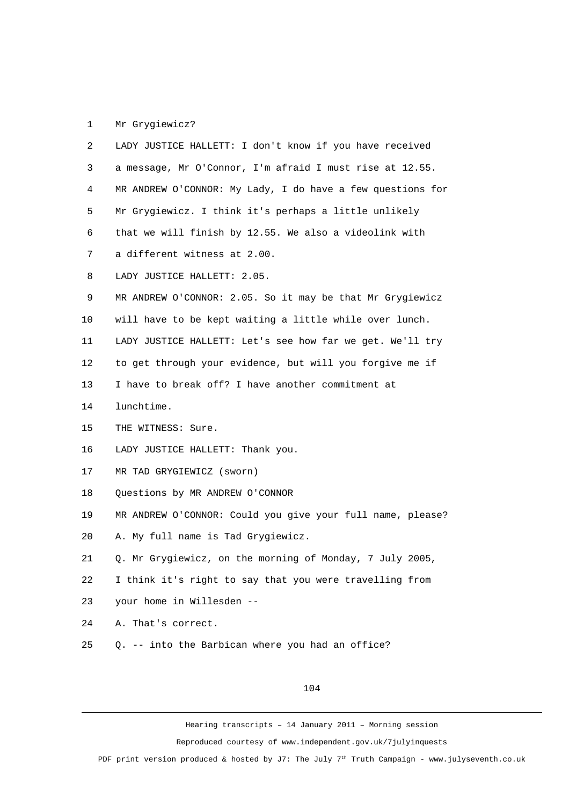## 1 Mr Grygiewicz?

| $\mathbf{2}$   | LADY JUSTICE HALLETT: I don't know if you have received    |
|----------------|------------------------------------------------------------|
| 3              | a message, Mr O'Connor, I'm afraid I must rise at 12.55.   |
| 4              | MR ANDREW O'CONNOR: My Lady, I do have a few questions for |
| 5              | Mr Grygiewicz. I think it's perhaps a little unlikely      |
| 6              | that we will finish by 12.55. We also a videolink with     |
| $\overline{7}$ | a different witness at 2.00.                               |
| 8              | LADY JUSTICE HALLETT: 2.05.                                |
| 9              | MR ANDREW O'CONNOR: 2.05. So it may be that Mr Grygiewicz  |
| 10             | will have to be kept waiting a little while over lunch.    |
| 11             | LADY JUSTICE HALLETT: Let's see how far we get. We'll try  |
| 12             | to get through your evidence, but will you forgive me if   |
| 13             | I have to break off? I have another commitment at          |
| 14             | lunchtime.                                                 |
| 15             | THE WITNESS: Sure.                                         |
| 16             | LADY JUSTICE HALLETT: Thank you.                           |
| 17             | MR TAD GRYGIEWICZ (sworn)                                  |
| 18             | Questions by MR ANDREW O'CONNOR                            |
| 19             | MR ANDREW O'CONNOR: Could you give your full name, please? |
| 20             | A. My full name is Tad Grygiewicz.                         |
| 21             | Q. Mr Grygiewicz, on the morning of Monday, 7 July 2005,   |
| 22             | I think it's right to say that you were travelling from    |
| 23             | your home in Willesden --                                  |
| 24             | A. That's correct.                                         |
| 25             | Q. -- into the Barbican where you had an office?           |
|                |                                                            |

104

Hearing transcripts – 14 January 2011 – Morning session

Reproduced courtesy of www.independent.gov.uk/7julyinquests

PDF print version produced & hosted by J7: The July 7<sup>th</sup> Truth Campaign - www.julyseventh.co.uk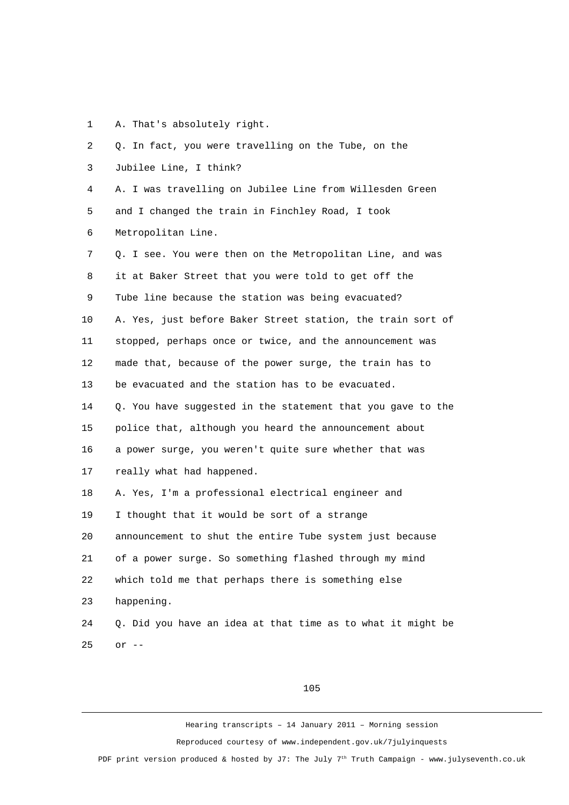1 A. That's absolutely right.

| $\overline{2}$ | Q. In fact, you were travelling on the Tube, on the         |
|----------------|-------------------------------------------------------------|
| 3              | Jubilee Line, I think?                                      |
| 4              | A. I was travelling on Jubilee Line from Willesden Green    |
| 5              | and I changed the train in Finchley Road, I took            |
| 6              | Metropolitan Line.                                          |
| 7              | Q. I see. You were then on the Metropolitan Line, and was   |
| 8              | it at Baker Street that you were told to get off the        |
| 9              | Tube line because the station was being evacuated?          |
| 10             | A. Yes, just before Baker Street station, the train sort of |
| 11             | stopped, perhaps once or twice, and the announcement was    |
| 12             | made that, because of the power surge, the train has to     |
| 13             | be evacuated and the station has to be evacuated.           |
| 14             | Q. You have suggested in the statement that you gave to the |
| 15             | police that, although you heard the announcement about      |
| 16             | a power surge, you weren't quite sure whether that was      |
| 17             | really what had happened.                                   |
| 18             | A. Yes, I'm a professional electrical engineer and          |
| 19             | I thought that it would be sort of a strange                |
| 20             | announcement to shut the entire Tube system just because    |
| 21             | of a power surge. So something flashed through my mind      |
| 22             | which told me that perhaps there is something else          |
| 23             | happening.                                                  |
| 24             | Q. Did you have an idea at that time as to what it might be |
| 25             | or $-$                                                      |

## 105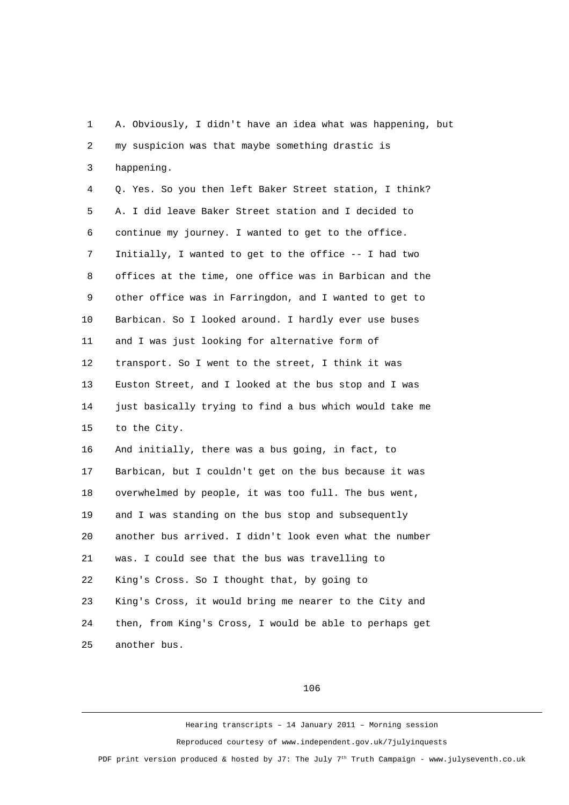1 A. Obviously, I didn't have an idea what was happening, but 2 my suspicion was that maybe something drastic is 3 happening.

 4 Q. Yes. So you then left Baker Street station, I think? 5 A. I did leave Baker Street station and I decided to 6 continue my journey. I wanted to get to the office. 7 Initially, I wanted to get to the office -- I had two 8 offices at the time, one office was in Barbican and the 9 other office was in Farringdon, and I wanted to get to 10 Barbican. So I looked around. I hardly ever use buses 11 and I was just looking for alternative form of 12 transport. So I went to the street, I think it was 13 Euston Street, and I looked at the bus stop and I was 14 just basically trying to find a bus which would take me 15 to the City. 16 And initially, there was a bus going, in fact, to 17 Barbican, but I couldn't get on the bus because it was 18 overwhelmed by people, it was too full. The bus went, 19 and I was standing on the bus stop and subsequently

20 another bus arrived. I didn't look even what the number

21 was. I could see that the bus was travelling to

22 King's Cross. So I thought that, by going to

23 King's Cross, it would bring me nearer to the City and 24 then, from King's Cross, I would be able to perhaps get 25 another bus.

106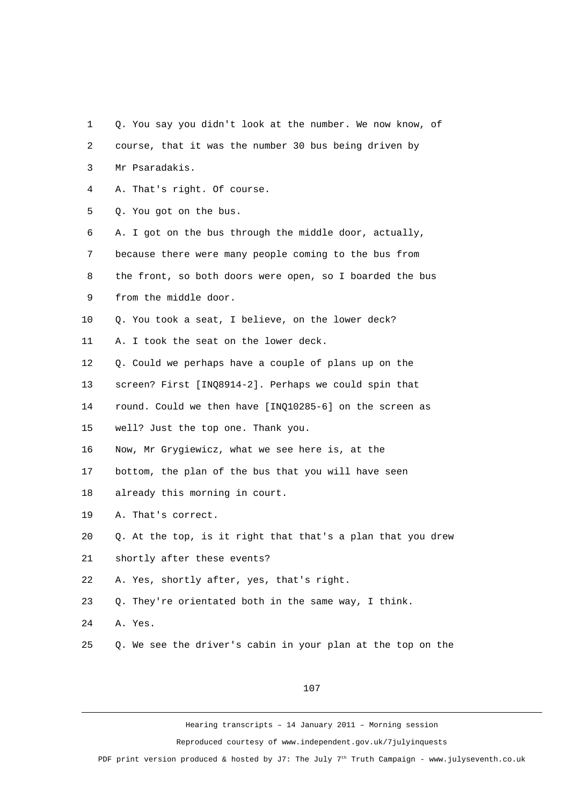- 1 Q. You say you didn't look at the number. We now know, of
- 2 course, that it was the number 30 bus being driven by
- 3 Mr Psaradakis.
- 4 A. That's right. Of course.
- 5 Q. You got on the bus.

 6 A. I got on the bus through the middle door, actually, 7 because there were many people coming to the bus from

- 8 the front, so both doors were open, so I boarded the bus
- 9 from the middle door.
- 10 Q. You took a seat, I believe, on the lower deck?
- 11 A. I took the seat on the lower deck.
- 12 Q. Could we perhaps have a couple of plans up on the
- 13 screen? First [INQ8914-2]. Perhaps we could spin that
- 14 round. Could we then have [INQ10285-6] on the screen as
- 15 well? Just the top one. Thank you.
- 16 Now, Mr Grygiewicz, what we see here is, at the
- 17 bottom, the plan of the bus that you will have seen
- 18 already this morning in court.
- 19 A. That's correct.
- 20 Q. At the top, is it right that that's a plan that you drew
- 21 shortly after these events?
- 22 A. Yes, shortly after, yes, that's right.
- 23 Q. They're orientated both in the same way, I think.
- 24 A. Yes.
- 25 Q. We see the driver's cabin in your plan at the top on the

107

Hearing transcripts – 14 January 2011 – Morning session

Reproduced courtesy of www.independent.gov.uk/7julyinquests

PDF print version produced & hosted by J7: The July  $7<sup>th</sup>$  Truth Campaign - www.julyseventh.co.uk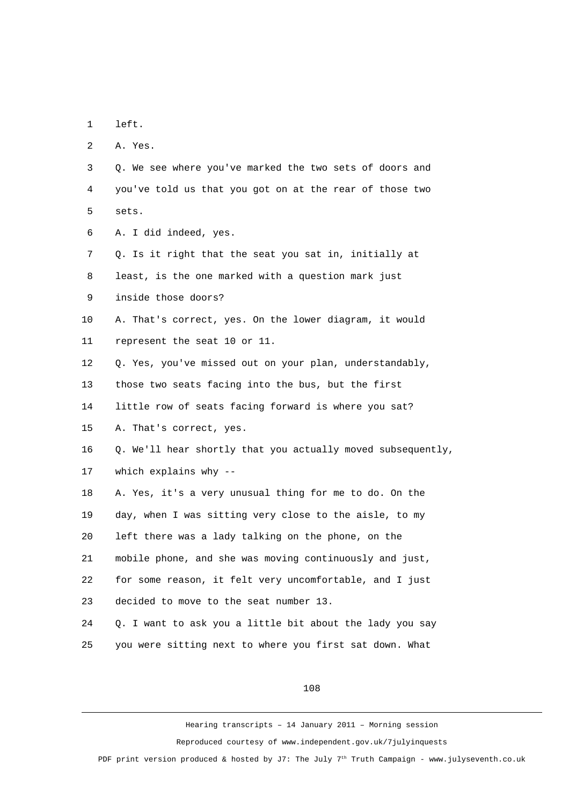1 left.

2 A. Yes.

 3 Q. We see where you've marked the two sets of doors and 4 you've told us that you got on at the rear of those two 5 sets.

6 A. I did indeed, yes.

 7 Q. Is it right that the seat you sat in, initially at 8 least, is the one marked with a question mark just 9 inside those doors?

10 A. That's correct, yes. On the lower diagram, it would 11 represent the seat 10 or 11.

12 Q. Yes, you've missed out on your plan, understandably,

13 those two seats facing into the bus, but the first

14 little row of seats facing forward is where you sat?

15 A. That's correct, yes.

16 Q. We'll hear shortly that you actually moved subsequently,

17 which explains why --

18 A. Yes, it's a very unusual thing for me to do. On the 19 day, when I was sitting very close to the aisle, to my 20 left there was a lady talking on the phone, on the 21 mobile phone, and she was moving continuously and just, 22 for some reason, it felt very uncomfortable, and I just 23 decided to move to the seat number 13.

24 Q. I want to ask you a little bit about the lady you say 25 you were sitting next to where you first sat down. What

108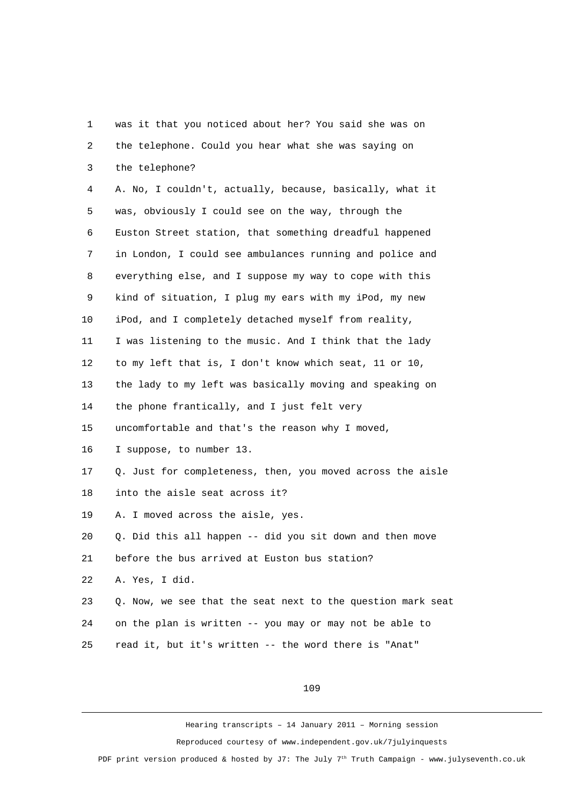1 was it that you noticed about her? You said she was on 2 the telephone. Could you hear what she was saying on 3 the telephone? 4 A. No, I couldn't, actually, because, basically, what it 5 was, obviously I could see on the way, through the 6 Euston Street station, that something dreadful happened 7 in London, I could see ambulances running and police and 8 everything else, and I suppose my way to cope with this 9 kind of situation, I plug my ears with my iPod, my new 10 iPod, and I completely detached myself from reality, 11 I was listening to the music. And I think that the lady 12 to my left that is, I don't know which seat, 11 or 10, 13 the lady to my left was basically moving and speaking on 14 the phone frantically, and I just felt very 15 uncomfortable and that's the reason why I moved, 16 I suppose, to number 13. 17 Q. Just for completeness, then, you moved across the aisle 18 into the aisle seat across it? 19 A. I moved across the aisle, yes. 20 Q. Did this all happen -- did you sit down and then move 21 before the bus arrived at Euston bus station? 22 A. Yes, I did. 23 Q. Now, we see that the seat next to the question mark seat 24 on the plan is written -- you may or may not be able to 25 read it, but it's written -- the word there is "Anat"

109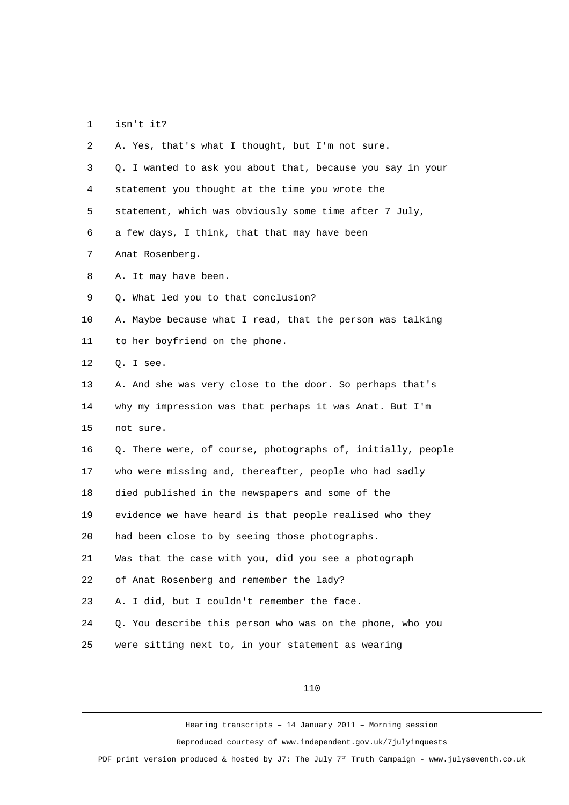1 isn't it?

| $\overline{2}$ | A. Yes, that's what I thought, but I'm not sure.            |
|----------------|-------------------------------------------------------------|
| 3              | Q. I wanted to ask you about that, because you say in your  |
| 4              | statement you thought at the time you wrote the             |
| 5              | statement, which was obviously some time after 7 July,      |
| 6              | a few days, I think, that that may have been                |
| $\overline{7}$ | Anat Rosenberg.                                             |
| 8              | A. It may have been.                                        |
| 9              | Q. What led you to that conclusion?                         |
| 10             | A. Maybe because what I read, that the person was talking   |
| 11             | to her boyfriend on the phone.                              |
| 12             | Q. I see.                                                   |
| 13             | A. And she was very close to the door. So perhaps that's    |
| 14             | why my impression was that perhaps it was Anat. But I'm     |
| 15             | not sure.                                                   |
| 16             | Q. There were, of course, photographs of, initially, people |
| 17             | who were missing and, thereafter, people who had sadly      |
| 18             | died published in the newspapers and some of the            |
| 19             | evidence we have heard is that people realised who they     |
| 20             | had been close to by seeing those photographs.              |
| 21             | Was that the case with you, did you see a photograph        |
| 22             | of Anat Rosenberg and remember the lady?                    |
| 23             | A. I did, but I couldn't remember the face.                 |
| 24             | Q. You describe this person who was on the phone, who you   |
| 25             | were sitting next to, in your statement as wearing          |

110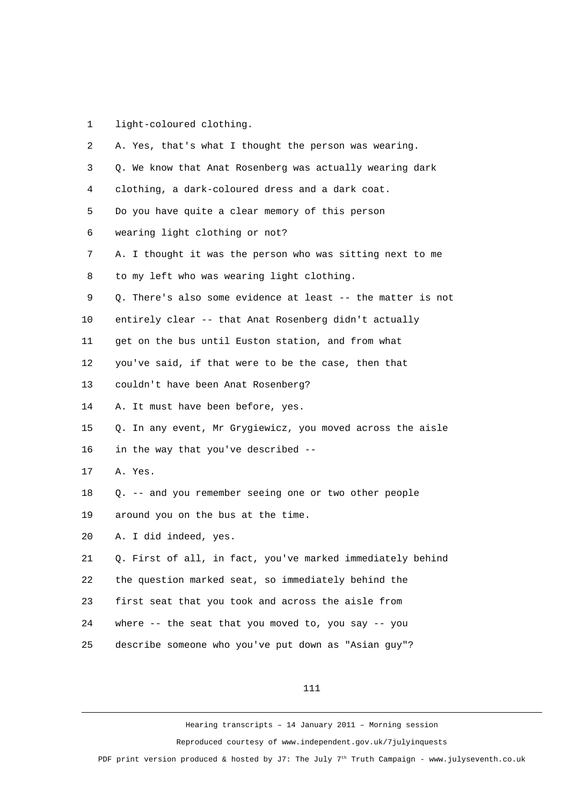1 light-coloured clothing.

| A. Yes, that's what I thought the person was wearing.       |
|-------------------------------------------------------------|
| Q. We know that Anat Rosenberg was actually wearing dark    |
| clothing, a dark-coloured dress and a dark coat.            |
| Do you have quite a clear memory of this person             |
| wearing light clothing or not?                              |
| A. I thought it was the person who was sitting next to me   |
| to my left who was wearing light clothing.                  |
| Q. There's also some evidence at least -- the matter is not |
| entirely clear -- that Anat Rosenberg didn't actually       |
| get on the bus until Euston station, and from what          |
| you've said, if that were to be the case, then that         |
| couldn't have been Anat Rosenberg?                          |
| A. It must have been before, yes.                           |
| Q. In any event, Mr Grygiewicz, you moved across the aisle  |
| in the way that you've described --                         |
| A. Yes.                                                     |
| Q. -- and you remember seeing one or two other people       |
| around you on the bus at the time.                          |
| A. I did indeed, yes.                                       |
| Q. First of all, in fact, you've marked immediately behind  |
| the question marked seat, so immediately behind the         |
| first seat that you took and across the aisle from          |
| where -- the seat that you moved to, you say -- you         |
| describe someone who you've put down as "Asian guy"?        |
|                                                             |

111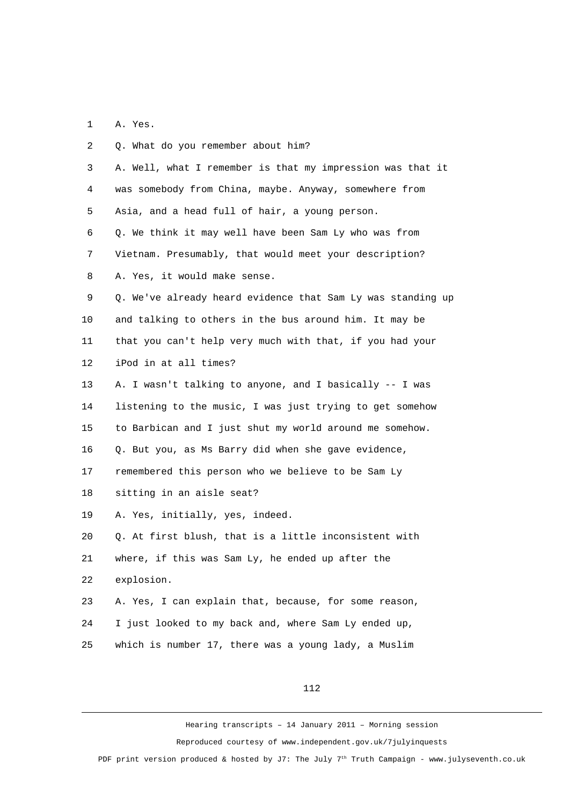1 A. Yes.

| 2              | Q. What do you remember about him?                          |
|----------------|-------------------------------------------------------------|
| 3              | A. Well, what I remember is that my impression was that it  |
| 4              | was somebody from China, maybe. Anyway, somewhere from      |
| 5              | Asia, and a head full of hair, a young person.              |
| 6              | Q. We think it may well have been Sam Ly who was from       |
| $\overline{7}$ | Vietnam. Presumably, that would meet your description?      |
| 8              | A. Yes, it would make sense.                                |
| 9              | Q. We've already heard evidence that Sam Ly was standing up |
| 10             | and talking to others in the bus around him. It may be      |
| 11             | that you can't help very much with that, if you had your    |
| 12             | iPod in at all times?                                       |
| 13             | A. I wasn't talking to anyone, and I basically -- I was     |
| 14             | listening to the music, I was just trying to get somehow    |
| 15             | to Barbican and I just shut my world around me somehow.     |
| 16             | Q. But you, as Ms Barry did when she gave evidence,         |
| 17             | remembered this person who we believe to be Sam Ly          |
| 18             | sitting in an aisle seat?                                   |
| 19             | A. Yes, initially, yes, indeed.                             |
| 20             | Q. At first blush, that is a little inconsistent with       |
| 21             | where, if this was Sam Ly, he ended up after the            |
| 22             | explosion.                                                  |
| 23             | A. Yes, I can explain that, because, for some reason,       |
| 24             | I just looked to my back and, where Sam Ly ended up,        |
| 25             | which is number 17, there was a young lady, a Muslim        |
|                |                                                             |

112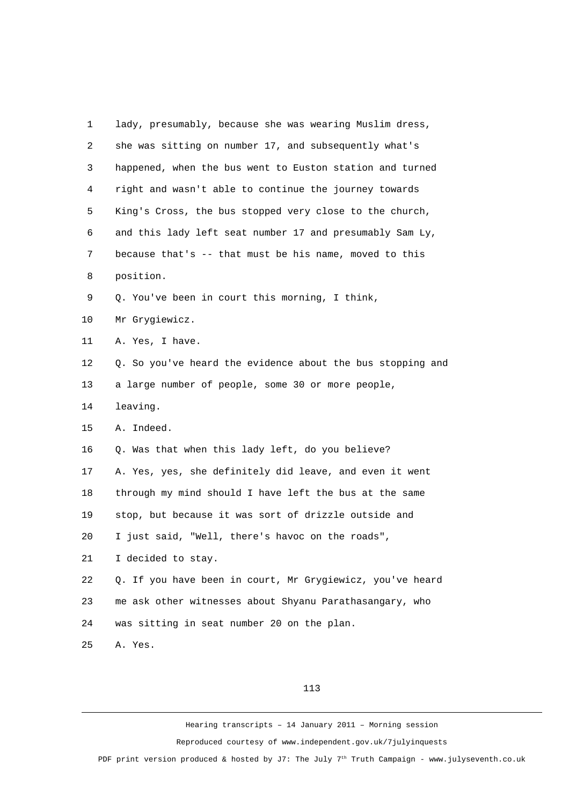1 lady, presumably, because she was wearing Muslim dress, 2 she was sitting on number 17, and subsequently what's 3 happened, when the bus went to Euston station and turned 4 right and wasn't able to continue the journey towards 5 King's Cross, the bus stopped very close to the church, 6 and this lady left seat number 17 and presumably Sam Ly, 7 because that's -- that must be his name, moved to this 8 position. 9 Q. You've been in court this morning, I think, 10 Mr Grygiewicz. 11 A. Yes, I have. 12 Q. So you've heard the evidence about the bus stopping and 13 a large number of people, some 30 or more people, 14 leaving. 15 A. Indeed. 16 Q. Was that when this lady left, do you believe? 17 A. Yes, yes, she definitely did leave, and even it went 18 through my mind should I have left the bus at the same 19 stop, but because it was sort of drizzle outside and 20 I just said, "Well, there's havoc on the roads", 21 I decided to stay. 22 Q. If you have been in court, Mr Grygiewicz, you've heard 23 me ask other witnesses about Shyanu Parathasangary, who 24 was sitting in seat number 20 on the plan. 25 A. Yes.

113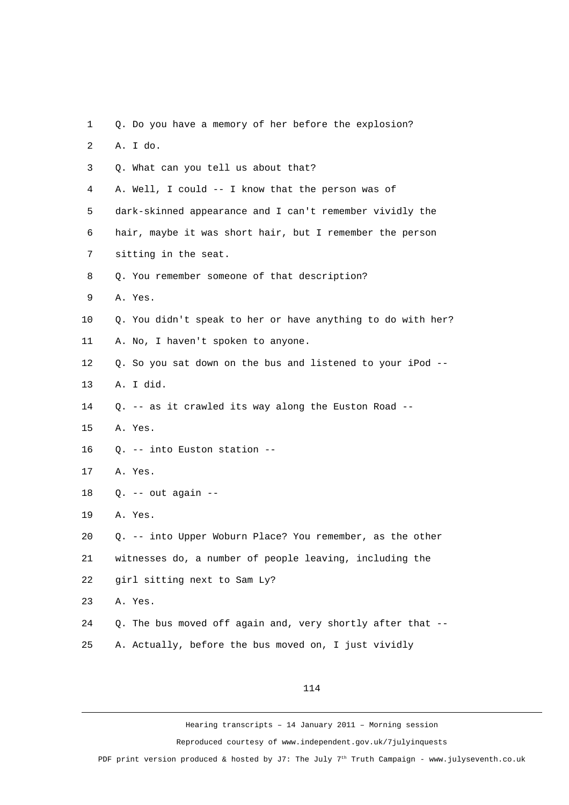1 Q. Do you have a memory of her before the explosion? 2 A. I do. 3 Q. What can you tell us about that? 4 A. Well, I could -- I know that the person was of 5 dark-skinned appearance and I can't remember vividly the 6 hair, maybe it was short hair, but I remember the person 7 sitting in the seat. 8 Q. You remember someone of that description? 9 A. Yes. 10 Q. You didn't speak to her or have anything to do with her? 11 A. No, I haven't spoken to anyone. 12 Q. So you sat down on the bus and listened to your iPod -- 13 A. I did. 14 Q. -- as it crawled its way along the Euston Road -- 15 A. Yes. 16 Q. -- into Euston station -- 17 A. Yes. 18 Q. -- out again -- 19 A. Yes. 20 Q. -- into Upper Woburn Place? You remember, as the other 21 witnesses do, a number of people leaving, including the 22 girl sitting next to Sam Ly? 23 A. Yes. 24 Q. The bus moved off again and, very shortly after that -- 25 A. Actually, before the bus moved on, I just vividly

114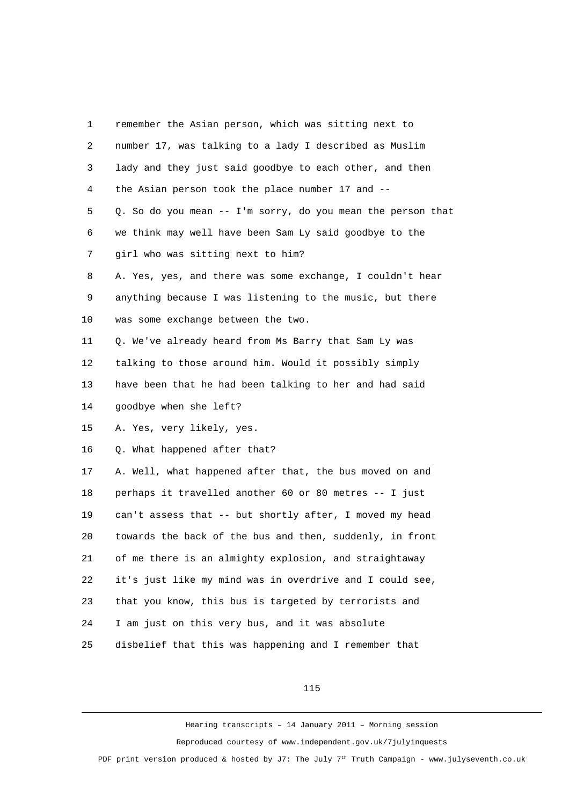| 1              | remember the Asian person, which was sitting next to        |
|----------------|-------------------------------------------------------------|
| 2              | number 17, was talking to a lady I described as Muslim      |
| 3              | lady and they just said goodbye to each other, and then     |
| 4              | the Asian person took the place number 17 and --            |
| 5              | Q. So do you mean -- I'm sorry, do you mean the person that |
| 6              | we think may well have been Sam Ly said goodbye to the      |
| $\overline{7}$ | girl who was sitting next to him?                           |
| 8              | A. Yes, yes, and there was some exchange, I couldn't hear   |
| 9              | anything because I was listening to the music, but there    |
| 10             | was some exchange between the two.                          |
| 11             | Q. We've already heard from Ms Barry that Sam Ly was        |
| 12             | talking to those around him. Would it possibly simply       |
| 13             | have been that he had been talking to her and had said      |
| 14             | goodbye when she left?                                      |
| 15             | A. Yes, very likely, yes.                                   |
| 16             | Q. What happened after that?                                |
| 17             | A. Well, what happened after that, the bus moved on and     |
| 18             | perhaps it travelled another 60 or 80 metres -- I just      |
| 19             | can't assess that -- but shortly after, I moved my head     |
| 20             | towards the back of the bus and then, suddenly, in front    |
| 21             | of me there is an almighty explosion, and straightaway      |
| 22             | it's just like my mind was in overdrive and I could see,    |
| 23             | that you know, this bus is targeted by terrorists and       |
| 24             | I am just on this very bus, and it was absolute             |
| 25             | disbelief that this was happening and I remember that       |

115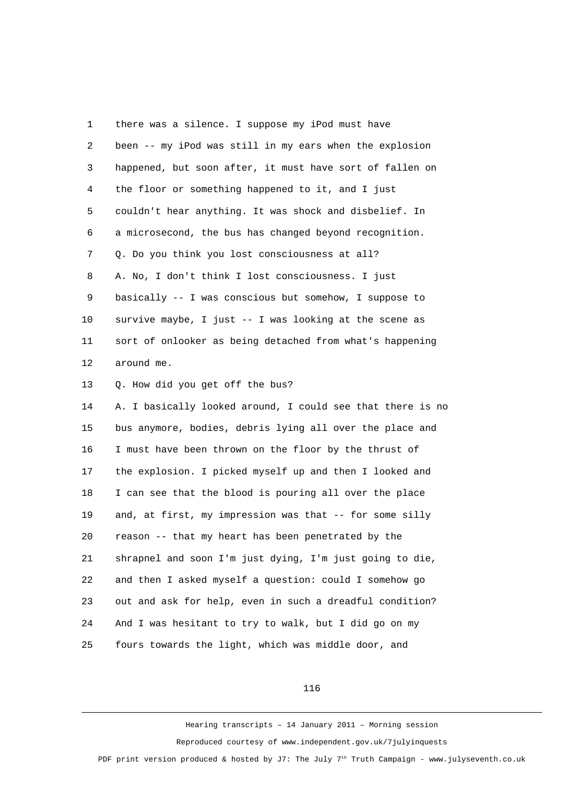1 there was a silence. I suppose my iPod must have 2 been -- my iPod was still in my ears when the explosion 3 happened, but soon after, it must have sort of fallen on 4 the floor or something happened to it, and I just 5 couldn't hear anything. It was shock and disbelief. In 6 a microsecond, the bus has changed beyond recognition. 7 Q. Do you think you lost consciousness at all? 8 A. No, I don't think I lost consciousness. I just 9 basically -- I was conscious but somehow, I suppose to 10 survive maybe, I just -- I was looking at the scene as 11 sort of onlooker as being detached from what's happening 12 around me. 13 Q. How did you get off the bus? 14 A. I basically looked around, I could see that there is no 15 bus anymore, bodies, debris lying all over the place and 16 I must have been thrown on the floor by the thrust of 17 the explosion. I picked myself up and then I looked and 18 I can see that the blood is pouring all over the place 19 and, at first, my impression was that -- for some silly 20 reason -- that my heart has been penetrated by the 21 shrapnel and soon I'm just dying, I'm just going to die, 22 and then I asked myself a question: could I somehow go 23 out and ask for help, even in such a dreadful condition? 24 And I was hesitant to try to walk, but I did go on my 25 fours towards the light, which was middle door, and

116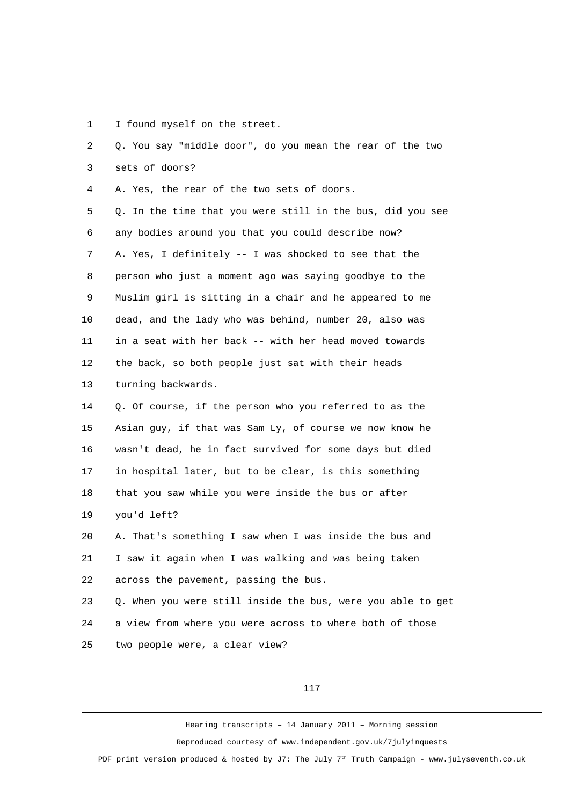1 I found myself on the street.

 2 Q. You say "middle door", do you mean the rear of the two 3 sets of doors? 4 A. Yes, the rear of the two sets of doors. 5 Q. In the time that you were still in the bus, did you see 6 any bodies around you that you could describe now? 7 A. Yes, I definitely -- I was shocked to see that the 8 person who just a moment ago was saying goodbye to the 9 Muslim girl is sitting in a chair and he appeared to me 10 dead, and the lady who was behind, number 20, also was 11 in a seat with her back -- with her head moved towards 12 the back, so both people just sat with their heads 13 turning backwards. 14 Q. Of course, if the person who you referred to as the 15 Asian guy, if that was Sam Ly, of course we now know he 16 wasn't dead, he in fact survived for some days but died 17 in hospital later, but to be clear, is this something 18 that you saw while you were inside the bus or after 19 you'd left? 20 A. That's something I saw when I was inside the bus and 21 I saw it again when I was walking and was being taken 22 across the pavement, passing the bus. 23 Q. When you were still inside the bus, were you able to get 24 a view from where you were across to where both of those 25 two people were, a clear view?

117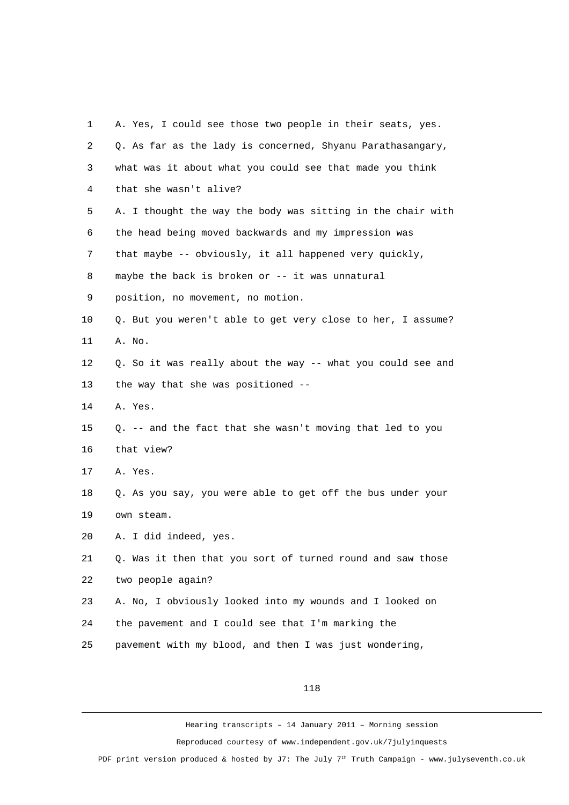| 1              | A. Yes, I could see those two people in their seats, yes.   |
|----------------|-------------------------------------------------------------|
| $\overline{2}$ | Q. As far as the lady is concerned, Shyanu Parathasangary,  |
| 3              | what was it about what you could see that made you think    |
| 4              | that she wasn't alive?                                      |
| 5              | A. I thought the way the body was sitting in the chair with |
| 6              | the head being moved backwards and my impression was        |
| 7              | that maybe -- obviously, it all happened very quickly,      |
| 8              | maybe the back is broken or -- it was unnatural             |
| 9              | position, no movement, no motion.                           |
| 10             | Q. But you weren't able to get very close to her, I assume? |
| 11             | A. No.                                                      |
| 12             | Q. So it was really about the way -- what you could see and |
| 13             | the way that she was positioned --                          |
| 14             | A. Yes.                                                     |
| 15             | Q. -- and the fact that she wasn't moving that led to you   |
| 16             | that view?                                                  |
| 17             | A. Yes.                                                     |
| 18             | Q. As you say, you were able to get off the bus under your  |
| 19             | own steam.                                                  |
| 20             | A. I did indeed, yes.                                       |
| 21             | Q. Was it then that you sort of turned round and saw those  |
| 22             | two people again?                                           |
| 23             | A. No, I obviously looked into my wounds and I looked on    |
| 24             | the pavement and I could see that I'm marking the           |
| 25             | pavement with my blood, and then I was just wondering,      |

118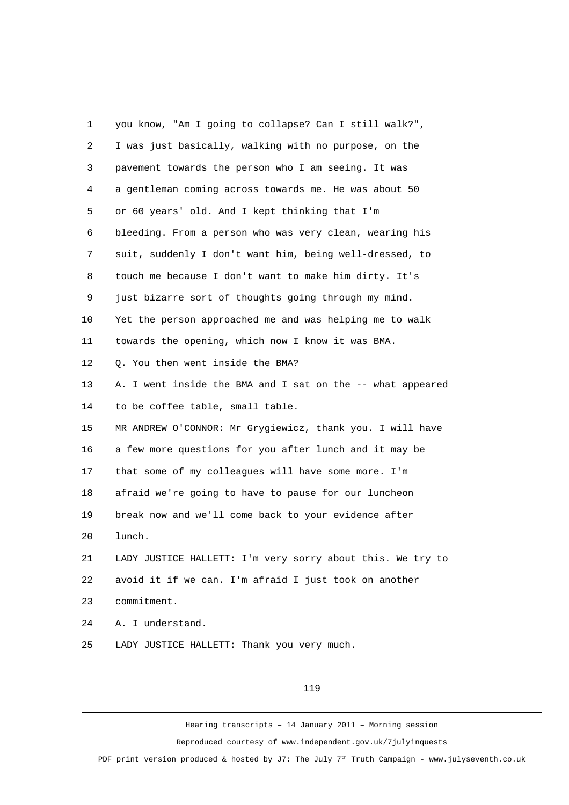1 you know, "Am I going to collapse? Can I still walk?", 2 I was just basically, walking with no purpose, on the 3 pavement towards the person who I am seeing. It was 4 a gentleman coming across towards me. He was about 50 5 or 60 years' old. And I kept thinking that I'm 6 bleeding. From a person who was very clean, wearing his 7 suit, suddenly I don't want him, being well-dressed, to 8 touch me because I don't want to make him dirty. It's 9 just bizarre sort of thoughts going through my mind. 10 Yet the person approached me and was helping me to walk 11 towards the opening, which now I know it was BMA. 12 Q. You then went inside the BMA? 13 A. I went inside the BMA and I sat on the -- what appeared 14 to be coffee table, small table. 15 MR ANDREW O'CONNOR: Mr Grygiewicz, thank you. I will have 16 a few more questions for you after lunch and it may be 17 that some of my colleagues will have some more. I'm 18 afraid we're going to have to pause for our luncheon 19 break now and we'll come back to your evidence after 20 lunch. 21 LADY JUSTICE HALLETT: I'm very sorry about this. We try to 22 avoid it if we can. I'm afraid I just took on another 23 commitment. 24 A. I understand.

25 LADY JUSTICE HALLETT: Thank you very much.

## 119